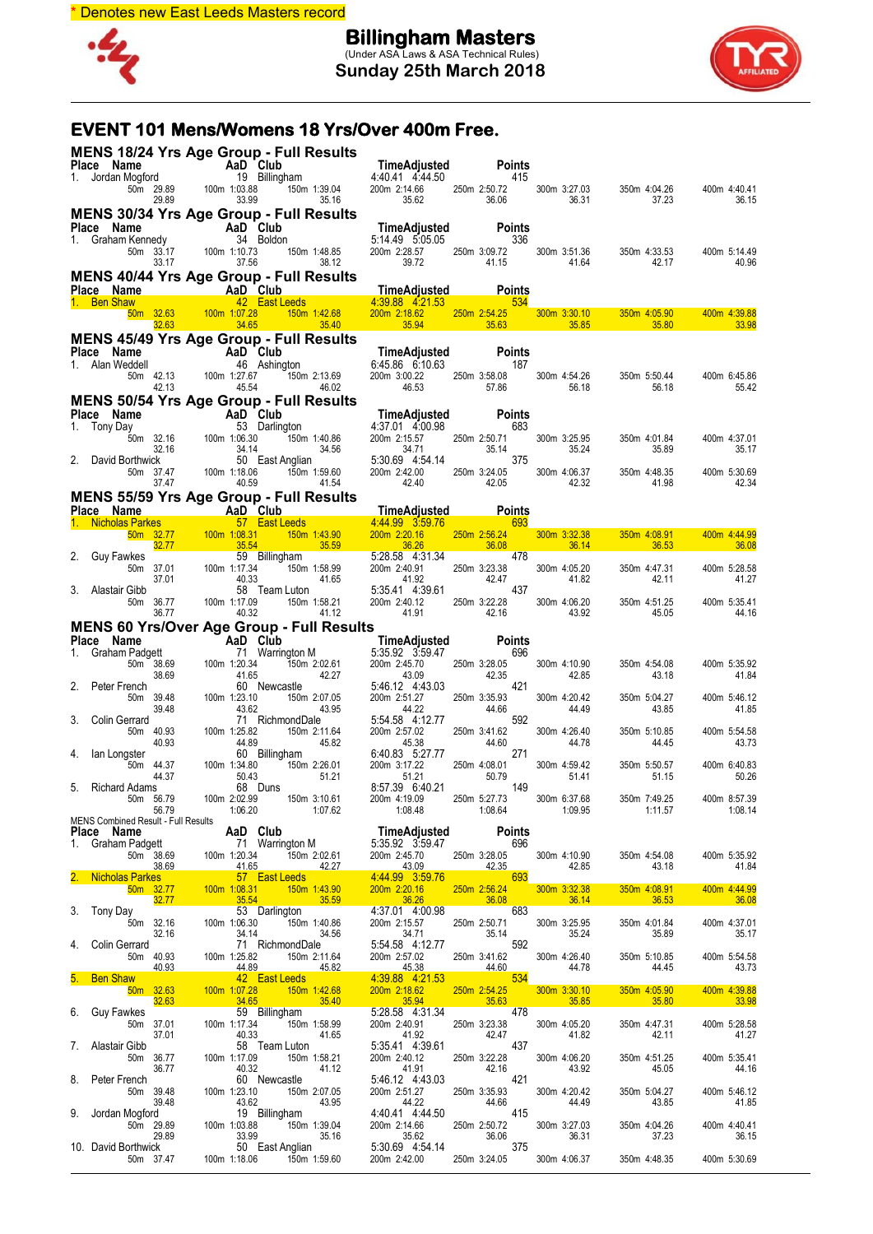

**Billingham Masters** (Under ASA Laws & ASA Technical Rules) **Sunday 25th March 2018**



### **EVENT 101 Mens/Womens 18 Yrs/Over 400m Free.**

|    | <b>MENS 18/24 Yrs Age Group - Full Results</b>                                                                                                                                                                                                                         |                                |                                                                                                                                                                                                                                                    |                                                                                                                                                                                                                                                                                     |                                          |                       |                                                         |                       |
|----|------------------------------------------------------------------------------------------------------------------------------------------------------------------------------------------------------------------------------------------------------------------------|--------------------------------|----------------------------------------------------------------------------------------------------------------------------------------------------------------------------------------------------------------------------------------------------|-------------------------------------------------------------------------------------------------------------------------------------------------------------------------------------------------------------------------------------------------------------------------------------|------------------------------------------|-----------------------|---------------------------------------------------------|-----------------------|
|    |                                                                                                                                                                                                                                                                        |                                |                                                                                                                                                                                                                                                    |                                                                                                                                                                                                                                                                                     |                                          |                       |                                                         |                       |
|    | Place Name<br>1. Jordan Mogford<br>50m 29.89<br>29.89<br>29.89<br>29.89<br>29.89<br>29.89<br>29.89                                                                                                                                                                     |                                |                                                                                                                                                                                                                                                    |                                                                                                                                                                                                                                                                                     |                                          | 300m 3:27.03          | 350m 4:04.26                                            | 400m 4:40.41          |
|    |                                                                                                                                                                                                                                                                        |                                |                                                                                                                                                                                                                                                    |                                                                                                                                                                                                                                                                                     |                                          | 36.31                 | 37.23                                                   | 36.15                 |
|    | <b>MENS 30/34 Yrs Age Group - Full Results</b><br>Place Name                                                                                                                                                                                                           |                                |                                                                                                                                                                                                                                                    |                                                                                                                                                                                                                                                                                     |                                          |                       |                                                         |                       |
|    | Place Name<br>1. Graham Kennedy<br>1. Graham Kennedy<br>34 Boldon                                                                                                                                                                                                      |                                |                                                                                                                                                                                                                                                    | <b>TimeAdjusted Points</b><br>5:14.49    5:05.05    636<br>5:14.49 5:05.05                                                                                                                                                                                                          | 336                                      |                       |                                                         |                       |
|    | 50m 33.17<br>33.17                                                                                                                                                                                                                                                     | 100m 1:10.73<br>37.56          | 150m 1:48.85<br>38.12                                                                                                                                                                                                                              | 200m 2:28.57 250m 3<br>39.72                                                                                                                                                                                                                                                        | 250m 3:09.72 300m 3:51.36<br>41.15 41.64 |                       | 350m 4:33.53<br>42.17                                   | 400m 5:14.49<br>40.96 |
|    | MENS 40/44 Yrs Age Group - Full Results                                                                                                                                                                                                                                |                                |                                                                                                                                                                                                                                                    |                                                                                                                                                                                                                                                                                     |                                          |                       |                                                         |                       |
|    |                                                                                                                                                                                                                                                                        |                                |                                                                                                                                                                                                                                                    |                                                                                                                                                                                                                                                                                     |                                          |                       |                                                         |                       |
|    | <b>MENS 40/44 Yrs Age Group - Full Results<br/> Place Name Map Club TimeAdjusted Points<br/> 1. Ben Shaw 42 East Leeds 4:39.88 4:21.53 534<br/> 50m 32.63 100m 1:07.28 150m 1:42.68 200m 2:18.62 250m 2:54.25 300m 3:30.10 350m 4:05.90<br/> ---</b>                   |                                |                                                                                                                                                                                                                                                    |                                                                                                                                                                                                                                                                                     |                                          |                       |                                                         | 400m 4:39.88          |
|    | MENS 45/49 Yrs Age Group - Full Results                                                                                                                                                                                                                                |                                |                                                                                                                                                                                                                                                    |                                                                                                                                                                                                                                                                                     |                                          |                       | $35.63$ $35.85$ $35.85$ $35.80$                         | 33.98                 |
|    | Place Name                                                                                                                                                                                                                                                             |                                |                                                                                                                                                                                                                                                    | <b>TimeAdjusted</b> Points<br>6:45.86  6:10.63  187                                                                                                                                                                                                                                 |                                          |                       |                                                         |                       |
|    | me<br>AaD Club<br>Addell<br>46 Ashing<br>50m 42.13<br>42.13<br>45.54<br>1. Alan Weddell                                                                                                                                                                                |                                | 46 Ashington<br>150m 2:13.69                                                                                                                                                                                                                       |                                                                                                                                                                                                                                                                                     |                                          |                       | 350m 5:50.44                                            | 400m 6:45.86          |
|    | MENS 50/54 Yrs Age Group - Full Results<br>Mens 11-mo Map Club And Club<br>And Club 4:37.01 4:00.98                                                                                                                                                                    |                                |                                                                                                                                                                                                                                                    | 200m 3:00.22 250m 3:58.08 300m 4:54.26<br>46.53 57.86 56.18                                                                                                                                                                                                                         |                                          |                       | 56.18                                                   | 55.42                 |
|    |                                                                                                                                                                                                                                                                        |                                |                                                                                                                                                                                                                                                    |                                                                                                                                                                                                                                                                                     |                                          |                       |                                                         |                       |
|    |                                                                                                                                                                                                                                                                        |                                |                                                                                                                                                                                                                                                    |                                                                                                                                                                                                                                                                                     |                                          |                       |                                                         |                       |
|    |                                                                                                                                                                                                                                                                        |                                | 1.17.01 4.00<br>150m 1:40.86<br>150m 1:40.86<br>200m 2:15.57<br>34.56<br>34.56<br>150m 1:59.60<br>200m 2:42.00                                                                                                                                     |                                                                                                                                                                                                                                                                                     | 250m 2:50.71<br>35.14                    | 300m 3:25.95<br>35.24 | 350m 4:01.84<br>35.89                                   | 400m 4:37.01<br>35.17 |
|    |                                                                                                                                                                                                                                                                        |                                | 50 East Anglian                                                                                                                                                                                                                                    |                                                                                                                                                                                                                                                                                     |                                          | 300m 4:06.37          | 350m 4:48.35                                            | 400m 5:30.69          |
|    | <b>Place Name</b><br>1. Tony Day<br>50 32.16 100m 1:06.30 and 150m<br>50 32.16 30 and 150m<br>50 32.16 34.14<br>2. David Borthwick<br>50 37.47 100m 1:18.06 150m<br>150m<br>77.47 100m 1:18.06 150m<br>150m<br>150m<br>150m<br>160m<br>17.18.06 150m<br>160m<br>1      |                                | 150m 1:59.60<br>41.54                                                                                                                                                                                                                              | 2.50.<br>35.1<br>35.1<br>2.42.00<br>42.40<br>42.40<br>42.40<br>42.40<br>42.40<br>42.40<br>42.05<br>42.40<br>42.90<br>42.40<br>42.05<br>42.40<br>42.90<br>42.40<br>5.28.58<br>200m 2.20.16<br>250m 2.56.24<br>36.08<br>5.28.58<br>4.31.34<br>99<br>200m 2.40.91<br>250m 3.608<br>5.2 |                                          | 42.32                 | 41.98                                                   | 42.34                 |
|    | <b>MENS 55/59 Yrs Age Group - Full Results</b>                                                                                                                                                                                                                         |                                |                                                                                                                                                                                                                                                    |                                                                                                                                                                                                                                                                                     |                                          |                       |                                                         |                       |
|    | Place Name<br>1. Nicholas Parkes<br>57 East Leeds<br>59 32.77 100m 1:08.31 150m<br>2. Guy Fawkes<br>2. Guy Fawkes<br>59 Billingham                                                                                                                                     |                                |                                                                                                                                                                                                                                                    |                                                                                                                                                                                                                                                                                     |                                          |                       |                                                         |                       |
|    |                                                                                                                                                                                                                                                                        |                                | <u>150m 1:43.90</u><br>35.59                                                                                                                                                                                                                       |                                                                                                                                                                                                                                                                                     |                                          | 300m 3:32.38          | 350m 4:08.91<br>36.14 36.53                             | 400m 4:44.99<br>36.08 |
|    |                                                                                                                                                                                                                                                                        |                                |                                                                                                                                                                                                                                                    |                                                                                                                                                                                                                                                                                     |                                          |                       |                                                         |                       |
|    | 50m 37.01<br>37.01                                                                                                                                                                                                                                                     | 100m 1:17.34<br>40.33<br>58    | 150m 1:58.99                                                                                                                                                                                                                                       |                                                                                                                                                                                                                                                                                     |                                          |                       | 350m 4:47.31<br>42.11                                   | 400m 5:28.58<br>41.27 |
|    | 3. Alastair Gibb<br>$50m$ $36.77$                                                                                                                                                                                                                                      | 100m 1:17.09                   | 58 Team Luton<br>150m 1:58.21                                                                                                                                                                                                                      |                                                                                                                                                                                                                                                                                     |                                          |                       | 350m 4:51.25                                            | 400m 5:35.41          |
|    | 36.77                                                                                                                                                                                                                                                                  | 40.32                          | 41.12                                                                                                                                                                                                                                              | 200m 2:40.91 250m 3:23.38 300m 4:05.20<br>41.92 42.47 41.82<br>5:35.41 4:39.61 437<br>200m 2:40.12 250m 3:22.28 300m 4:06.20<br>41.91 42.16 43.92                                                                                                                                   |                                          |                       | 45.05                                                   | 44.16                 |
|    | MENS 60 Yrs/Over Age Group - Full Results                                                                                                                                                                                                                              |                                |                                                                                                                                                                                                                                                    |                                                                                                                                                                                                                                                                                     |                                          |                       |                                                         |                       |
|    |                                                                                                                                                                                                                                                                        |                                |                                                                                                                                                                                                                                                    |                                                                                                                                                                                                                                                                                     |                                          |                       |                                                         |                       |
|    | Place Name AD Club<br>1. Graham Padgett<br>50m 38.69<br>2. Peter French<br>50m 39.48<br>39.48<br>39.48<br>39.48<br>2. Colin Gerrard<br>50m 40.93<br>41.65<br>50m 40.93<br>41.65<br>50m 40.93<br>41.65<br>41.65<br>41.65<br>42.34<br>40.91<br>40.82<br>71 Richmo<br>50m |                                | <b>AaD Club</b><br>71 Warrington M<br>120.34 150m 2:02.61 200m 2:535.92 3:59.47<br>120.34 150m 2:02.61 200m 2:45.70 250<br>43.66 42.27 43.09<br>60 Newcastle 5:46.12 4:43.03<br>123.10 150m 2:07.05 200m 2:51.27 250<br>43.92 43.95 44.22<br>13.62 |                                                                                                                                                                                                                                                                                     | 250m 3:28.05<br>42.35                    | 300m 4:10.90<br>42.85 | 350m 4:54.08<br>43.18                                   | 400m 5:35.92<br>41.84 |
|    |                                                                                                                                                                                                                                                                        |                                |                                                                                                                                                                                                                                                    |                                                                                                                                                                                                                                                                                     | 421                                      | 300m 4:20.42          | 350m 5:04.27                                            | 400m 5:46.12          |
|    |                                                                                                                                                                                                                                                                        |                                |                                                                                                                                                                                                                                                    |                                                                                                                                                                                                                                                                                     | 250m 3:35.93<br>44.66                    | 44.49                 | 43.85                                                   | 41.85                 |
|    |                                                                                                                                                                                                                                                                        |                                |                                                                                                                                                                                                                                                    |                                                                                                                                                                                                                                                                                     | 592<br>250m 3:41.62                      | 300m 4:26.40          | 350m 5:10.85                                            | 400m 5:54.58          |
|    |                                                                                                                                                                                                                                                                        |                                |                                                                                                                                                                                                                                                    |                                                                                                                                                                                                                                                                                     | 44.60<br>271                             | 44.78                 | 44.45                                                   | 43.73                 |
|    | 50m 44.37                                                                                                                                                                                                                                                              | 100m 1:34.80<br>50.43          |                                                                                                                                                                                                                                                    |                                                                                                                                                                                                                                                                                     | 250m 4:08.01<br>ا با.250m 4:08<br>50.79  | 300m 4:59.42          | 350m 5:50.57                                            | 400m 6:40.83          |
|    | 44.37<br>5. Richard Adams                                                                                                                                                                                                                                              |                                | 68 Duns                                                                                                                                                                                                                                            | 8.57.39 6.40.21 149                                                                                                                                                                                                                                                                 |                                          | 51.41                 | 51.15                                                   | 50.26                 |
|    | 50m 56.79                                                                                                                                                                                                                                                              | 100m 2:02.99                   | 150m 3:10.61                                                                                                                                                                                                                                       | 200m 4:19.09                                                                                                                                                                                                                                                                        | 250m 5:27.73                             | 300m 6:37.68          | 350m 7:49.25<br>1:08.48 1:08.64 1:09.95 1:11.57 1:08.14 | 400m 8:57.39          |
|    |                                                                                                                                                                                                                                                                        |                                |                                                                                                                                                                                                                                                    |                                                                                                                                                                                                                                                                                     |                                          |                       |                                                         |                       |
|    |                                                                                                                                                                                                                                                                        |                                |                                                                                                                                                                                                                                                    |                                                                                                                                                                                                                                                                                     |                                          |                       |                                                         |                       |
|    |                                                                                                                                                                                                                                                                        |                                |                                                                                                                                                                                                                                                    |                                                                                                                                                                                                                                                                                     |                                          |                       | 350m 4:54.08<br>43.18                                   | 400m 5:35.92<br>41.84 |
|    |                                                                                                                                                                                                                                                                        |                                |                                                                                                                                                                                                                                                    |                                                                                                                                                                                                                                                                                     |                                          |                       |                                                         |                       |
|    | MENS Combined Result Full Results<br><b>Place Name</b><br>1. Graham Padgett<br>50m 38.69<br><b>Place Name</b><br>1. Graham Padgett<br>50m 38.69<br>100m 1:20.34<br>150m 2:02.61<br>2.02.61<br>2.00m 2:45.70<br>2.590m 3:28.05<br>2. Nicholas Parkes<br>50m 327.7<br>   |                                |                                                                                                                                                                                                                                                    |                                                                                                                                                                                                                                                                                     |                                          |                       | 350m 4:08.91<br>36.53                                   | 400m 4:44.99<br>36.08 |
|    |                                                                                                                                                                                                                                                                        |                                |                                                                                                                                                                                                                                                    |                                                                                                                                                                                                                                                                                     |                                          |                       | 350m 4:01.84                                            | 400m 4:37.01          |
|    |                                                                                                                                                                                                                                                                        |                                |                                                                                                                                                                                                                                                    |                                                                                                                                                                                                                                                                                     |                                          |                       | 35.89                                                   | 35.17                 |
|    | 50m 40.93                                                                                                                                                                                                                                                              | 4. 14<br>71 Ri<br>100m 1:25.82 | 150m 2:11.64                                                                                                                                                                                                                                       | 200m 2:57.02                                                                                                                                                                                                                                                                        |                                          | 300m 4:26.40          | 350m 5:10.85                                            | 400m 5:54.58          |
|    | 40.93<br>5. Ben Shaw and the state                                                                                                                                                                                                                                     |                                | 44.89 45.82<br>42 East Leeds                                                                                                                                                                                                                       | 45.38<br>4:39.88 4:21.53                                                                                                                                                                                                                                                            | 250m 3:41.62<br>44.60<br>534             | 44.78                 | 44.45                                                   | 43.73                 |
|    | $50m$ 32.63                                                                                                                                                                                                                                                            |                                |                                                                                                                                                                                                                                                    |                                                                                                                                                                                                                                                                                     |                                          |                       | 350m 4:05.90                                            | 400m 4:39.88          |
|    | 32.63<br>6. Guy Fawkes                                                                                                                                                                                                                                                 |                                |                                                                                                                                                                                                                                                    | 200m 2:18.62 250m 2:54.25 300m 3:30.10<br>35.94 35.63 35.85 36:28.58 4:31.34 478                                                                                                                                                                                                    |                                          |                       | 35.80<br><b>CONTRACTOR</b>                              |                       |
|    | 50m 37.01<br>37.01                                                                                                                                                                                                                                                     | 100m 1:17.34                   | 150m 1:58.99<br>40.33 41.65                                                                                                                                                                                                                        | 200m 2:40.91<br>41.92                                                                                                                                                                                                                                                               | 250m 3:23.38 300m<br>42.47<br>61 437     | 300m 4:05.20<br>41.82 | 350m 4:47.31<br>350m<br>42.11                           | 400m 5:28.58<br>41.27 |
|    | 7. Alastair Gibb<br>50m 36.77                                                                                                                                                                                                                                          | 100m 1:17.09                   | 58 Team Luton<br>150m 1:58.21                                                                                                                                                                                                                      | 5:35.41 4:39.61                                                                                                                                                                                                                                                                     |                                          | 300m 4:06.20          | 350m 4:51.25                                            | 400m 5:35.41          |
|    | 36.77                                                                                                                                                                                                                                                                  | 40.32                          | 41.12                                                                                                                                                                                                                                              | 200m 2:40.12 250m 3:22.28 300m 41.91 42.16<br>5:46.12 4:43.03 42.16<br>41.91                                                                                                                                                                                                        |                                          | 43.92                 | 45.05                                                   | 44.16                 |
|    | 8. Peter French<br>50m 39.48                                                                                                                                                                                                                                           | 100m 1:23.10                   | 60 Newcastle<br>150m 2:07.05                                                                                                                                                                                                                       | 200m 2:51.27                                                                                                                                                                                                                                                                        |                                          | 300m 4:20.42          | 350m 5:04.27                                            | 400m 5:46.12          |
| 9. | 39.48<br>Jordan Mogford                                                                                                                                                                                                                                                | $43.62$<br>10                  | 43.95<br>19 Billingham                                                                                                                                                                                                                             | 44.22<br>4:40.41 4:44.50                                                                                                                                                                                                                                                            | 250m 3:35.93<br>44.66<br>415             | 44.49                 | 43.85                                                   | 41.85                 |
|    | 50m 29.89                                                                                                                                                                                                                                                              | 100m 1:03.88                   | 150m 1:39.04                                                                                                                                                                                                                                       | 200m 2:14.66                                                                                                                                                                                                                                                                        |                                          | 300m 3:27.03          | 350m 4:04.26                                            | 400m 4:40.41          |
|    | 29.89<br>10. David Borthwick                                                                                                                                                                                                                                           | 33.99<br>50 E                  | 35.16<br>50 East Anglian                                                                                                                                                                                                                           | 35.62<br>5:30.69 4:54.14                                                                                                                                                                                                                                                            | 250m 2:50.72<br>36.06<br>375             | 36.31                 | 37.23                                                   | 36.15                 |
|    | 50m 37.47                                                                                                                                                                                                                                                              | 100m 1:18.06                   | 150m 1:59.60                                                                                                                                                                                                                                       | 200m 2:42.00                                                                                                                                                                                                                                                                        | 250m 3:24.05                             | 300m 4:06.37          | 350m 4:48.35                                            | 400m 5:30.69          |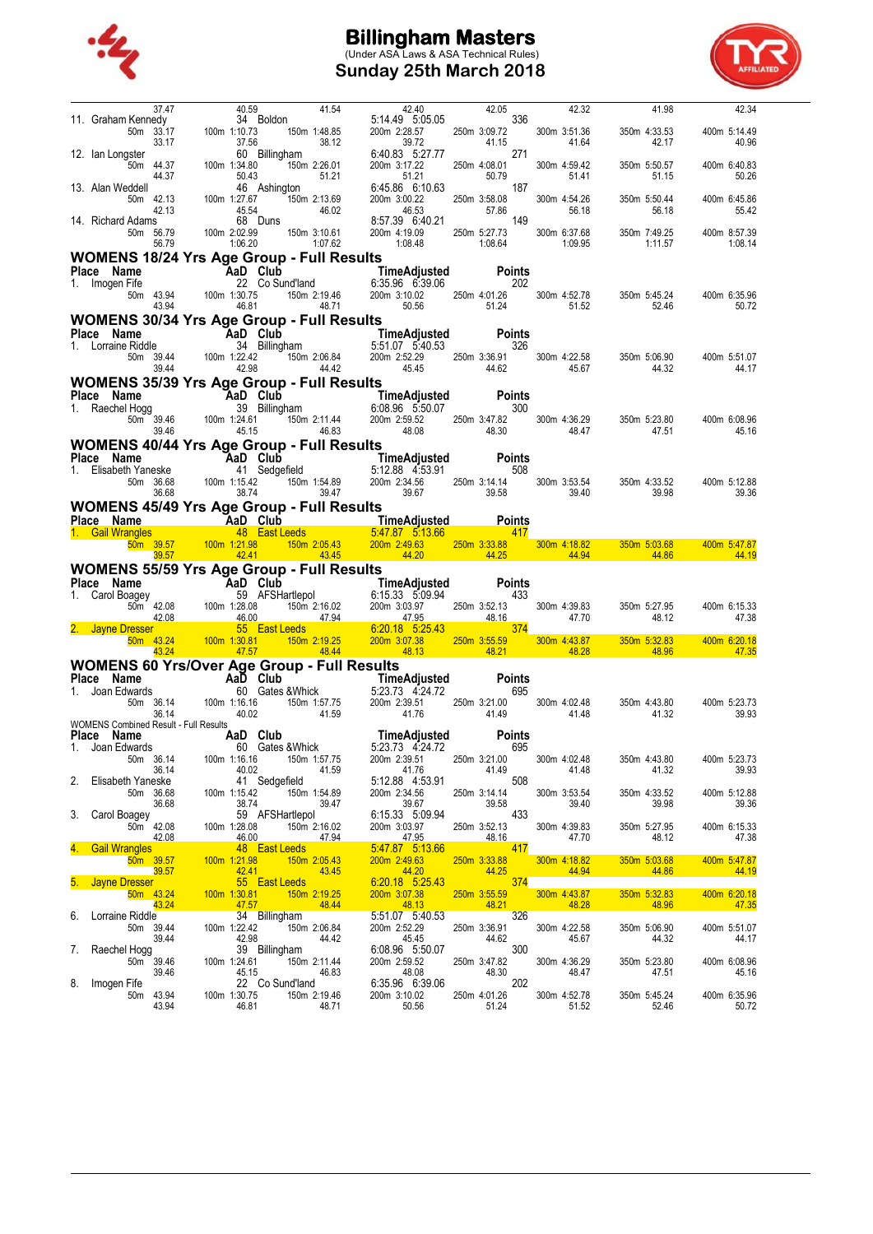

# **Billingham Masters** (Under ASA Laws & ASA Technical Rules) **Sunday 25th March 2018**



|    | 37.47                                                            | 40.59                                                         | 41.54                                                                                                                                           | 42.40                                                                    | 42.05                                                                                                                                                                                                                                                                                                               | 42.32                   | 41.98                   | 42.34                   |
|----|------------------------------------------------------------------|---------------------------------------------------------------|-------------------------------------------------------------------------------------------------------------------------------------------------|--------------------------------------------------------------------------|---------------------------------------------------------------------------------------------------------------------------------------------------------------------------------------------------------------------------------------------------------------------------------------------------------------------|-------------------------|-------------------------|-------------------------|
|    | 11. Graham Kennedy<br>50m 33.17                                  | 100m 1:10.73                                                  | 34 Boldon<br>150m 1:48.85                                                                                                                       | 5:14.49 5:05.05<br>200m 2:28.57                                          | 336<br>250m 3:09.72                                                                                                                                                                                                                                                                                                 | 300m 3:51.36            | 350m 4:33.53            | 400m 5:14.49            |
|    | 33.17<br>12. Ian Longster                                        | 37.56                                                         | 38.12<br>60 Billingham                                                                                                                          | 39.72<br>6:40.83 5:27.77                                                 | 41.15<br>271                                                                                                                                                                                                                                                                                                        | 41.64                   | 42.17                   | 40.96                   |
|    | 50m 44.37<br>44.37                                               | 100m 1:34.80<br>50.43                                         | 150m 2:26.01<br>51.21                                                                                                                           | 200m 3:17.22<br>51.21                                                    | 250m 4:08.01<br>50.79                                                                                                                                                                                                                                                                                               | 300m 4:59.42<br>51.41   | 350m 5:50.57<br>51.15   | 400m 6:40.83<br>50.26   |
|    | 13. Alan Weddell<br>50m 42.13                                    | 100m 1:27.67                                                  | 46 Ashington<br>150m 2:13.69                                                                                                                    | 6:45.86 6:10.63<br>200m 3:00.22                                          | 187<br>250m 3:58.08                                                                                                                                                                                                                                                                                                 | 300m 4:54.26            | 350m 5:50.44            | 400m 6:45.86            |
|    | 42.13<br>14. Richard Adams                                       | 45.54                                                         | 46.02<br>68 Duns                                                                                                                                | 46.53<br>8:57.39 6:40.21                                                 | 57.86<br>149                                                                                                                                                                                                                                                                                                        | 56.18                   | 56.18                   | 55.42                   |
|    | 50m 56.79<br>56.79                                               | 100m 2:02.99<br>1:06.20                                       | 150m 3:10.61<br>1:07.62                                                                                                                         | 200m 4:19.09<br>1:08.48                                                  | 250m 5:27.73 300                                                                                                                                                                                                                                                                                                    | 300m 6:37.68<br>1:09.95 | 350m 7:49.25<br>1:11.57 | 400m 8:57.39<br>1:08.14 |
|    | WOMENS 18/24 Yrs Age Group - Full Results                        |                                                               |                                                                                                                                                 |                                                                          |                                                                                                                                                                                                                                                                                                                     |                         |                         |                         |
|    | Place Name<br>1. Imogen Fife                                     | AaD Club<br>22 Co Su                                          | 22 Co Sund'land                                                                                                                                 | TimeAdjusted                   Pc<br>6:35.96   6:39.06                   | <b>Points</b><br>202                                                                                                                                                                                                                                                                                                |                         |                         |                         |
|    | 43.94                                                            | 50m 43.94 100m 1:30.75<br>46.81                               | 150m 2:19.46<br>48.71                                                                                                                           | 200m 3:10.02 250m 4:01.26<br>50.56                                       | 51.24                                                                                                                                                                                                                                                                                                               | 300m 4:52.78<br>51.52   | 350m 5:45.24<br>52.46   | 400m 6:35.96<br>50.72   |
|    | <b>WOMENS 30/34 Yrs Age Group - Full Results</b>                 |                                                               |                                                                                                                                                 |                                                                          |                                                                                                                                                                                                                                                                                                                     |                         |                         |                         |
|    | Place Name<br>1. Lorraine Riddle                                 | AaD Club<br>34 Billing                                        | 34 Billingham                                                                                                                                   | <b>TimeAdjusted Po</b><br>5:51.07  5:40.53                               | <b>Points</b><br>326                                                                                                                                                                                                                                                                                                |                         |                         |                         |
|    | 50m 39.44                                                        | 100m 1:22.42                                                  | 150m 2:06.84                                                                                                                                    | 200m 2:52.29<br>45.45                                                    | 250m 3:36.91                                                                                                                                                                                                                                                                                                        | 300m 4:22.58<br>45.67   | 350m 5:06.90            | 400m 5:51.07            |
|    | 39.44<br>WOMENS 35/39 Yrs Age Group - Full Results               | 42.98                                                         | 44.42                                                                                                                                           |                                                                          | 44.62                                                                                                                                                                                                                                                                                                               |                         | 44.32                   | 44.17                   |
|    | Place Name<br>1. Raechel Hogg                                    | <b>MAD Club</b><br>Hogg 39 Billingl<br>50m 39.46 100m 1:24.61 | 39 Billingham                                                                                                                                   |                                                                          |                                                                                                                                                                                                                                                                                                                     |                         |                         |                         |
|    |                                                                  |                                                               | 150m 2:11.44                                                                                                                                    | 200m 2:59.52                                                             | 250m 3:47.82                                                                                                                                                                                                                                                                                                        | 300m 4:36.29            | 350m 5:23.80            | 400m 6:08.96            |
|    | 39.46<br>WOMENS 40/44 Yrs Age Group - Full Results               | 45.15                                                         | 46.83                                                                                                                                           | 48.08                                                                    | 48.30                                                                                                                                                                                                                                                                                                               | 48.47                   | 47.51                   | 45.16                   |
|    | <b>Place Name</b><br>1. Elisabeth Yaneske <b>11</b> Sedgefield   |                                                               |                                                                                                                                                 | TimeAdjusted Pol<br>5:12.88 4:53.91<br>1:54.89 200m 2:34.56 250m 3:44.44 | <b>Points</b>                                                                                                                                                                                                                                                                                                       |                         |                         |                         |
|    | 50m 36.68                                                        | 100m 1:15.42                                                  | 150m 1:54.89                                                                                                                                    |                                                                          | 508<br>250m 3:14.14                                                                                                                                                                                                                                                                                                 | 300m 3:53.54<br>39.40   | 350m 4:33.52            | 400m 5:12.88            |
|    | 36.68                                                            | 38.74                                                         | 39.47                                                                                                                                           | 200m 2:34.56 250m 3<br>39.67                                             | 39.58                                                                                                                                                                                                                                                                                                               | 39.40                   | 39.98                   | 39.36                   |
|    | <b>WOMENS 45/49 Yrs Age Group - Full Results</b><br>Place Name   | <b>AaD</b> Club                                               |                                                                                                                                                 | <b>TimeAdjusted Points</b>                                               |                                                                                                                                                                                                                                                                                                                     |                         |                         |                         |
|    | 1. Gail Wrangles<br>50m 39.57                                    | 100m 1:21.98                                                  | 150m 2:05.43                                                                                                                                    | $5.47.87$ 5.13.66 $417$                                                  |                                                                                                                                                                                                                                                                                                                     | 300m 4:18.82            | 350m 5:03.68            | 400m 5:47.87            |
|    |                                                                  |                                                               |                                                                                                                                                 |                                                                          |                                                                                                                                                                                                                                                                                                                     |                         |                         |                         |
|    | 39.57                                                            | 42.41                                                         | $\frac{43.45}{2}$                                                                                                                               | 200m 2:49.63 250m 3:33.88<br>44.20 44.25<br>$\overline{44.20}$           | 250m 3:33.88 300                                                                                                                                                                                                                                                                                                    | 44.94                   | 44.86                   | 44.19                   |
|    | <b>WOMENS 55/59 Yrs Age Group - Full Results</b><br>Place Name   |                                                               |                                                                                                                                                 |                                                                          | <b>Points</b>                                                                                                                                                                                                                                                                                                       |                         |                         |                         |
| 1. | Carol Boagey                                                     |                                                               | 59 AFSHartlepol                                                                                                                                 | ll Resurus<br>TimeAdjusted Poi<br>Ang Care Fing Od<br>6:15.33 5:09.94    | 433                                                                                                                                                                                                                                                                                                                 |                         |                         |                         |
|    | 50m 42.08<br>42.08                                               | <b>AaD Club</b><br>59 AFSH<br>42.08 100m 1:28.08<br>46.00     | 150m 2:16.02<br>47.94                                                                                                                           | 200m 3:03.97<br>47.95                                                    | 250m 3:52.13<br>48.16                                                                                                                                                                                                                                                                                               | 300m 4:39.83<br>47.70   | 350m 5:27.95<br>48.12   | 400m 6:15.33<br>47.38   |
|    | 2. Jayne Dresser<br>$50m$ 43.24                                  | 100m 1:30.81                                                  | 55 East Leeds<br>150m 2:19.25                                                                                                                   | 6:20.18 5:25.43<br>200m 3:07.38                                          | <u>374 مارسى بىر</u><br>250m 3:55.59                                                                                                                                                                                                                                                                                | 300m 4:43.87            | 350m 5:32.83            | 400m 6:20.18            |
|    | 43.24                                                            | 47.57                                                         | 48.44                                                                                                                                           | 48.13                                                                    | $\frac{1}{2}$ $\frac{1}{2}$ $\frac{1}{2}$ $\frac{1}{2}$ $\frac{1}{2}$ $\frac{1}{2}$ $\frac{1}{2}$ $\frac{1}{2}$ $\frac{1}{2}$ $\frac{1}{2}$ $\frac{1}{2}$ $\frac{1}{2}$ $\frac{1}{2}$ $\frac{1}{2}$ $\frac{1}{2}$ $\frac{1}{2}$ $\frac{1}{2}$ $\frac{1}{2}$ $\frac{1}{2}$ $\frac{1}{2}$ $\frac{1}{2}$ $\frac{1}{2}$ | 48.28                   | 48.96                   | 47.35                   |
|    | <b>WOMENS 60 Yrs/Over Age Group - Full Results</b><br>Place Name |                                                               |                                                                                                                                                 |                                                                          | Points                                                                                                                                                                                                                                                                                                              |                         |                         |                         |
|    | Joan Edwards<br>50m 36.14                                        | $AaD$ Club<br>100m 1:16.16                                    | <b>aD Club</b> TimeAdjusted<br>60 Gates & Whick 5:23.73 4:24.72<br>150m 1:57.75                                                                 | 200m 2:39.51                                                             | 695<br>250m 3:21.00                                                                                                                                                                                                                                                                                                 | 300m 4:02.48            | 350m 4:43.80            | 400m 5:23.73            |
|    | 36.14                                                            | 40.02                                                         | 41.59                                                                                                                                           | 41.76                                                                    | 41.49                                                                                                                                                                                                                                                                                                               | 41.48                   | 41.32                   | 39.93                   |
|    | <b>WOMENS Combined Result - Full Results</b><br>Place Name       | <b>AaD</b> Club                                               |                                                                                                                                                 | TimeAdjusted                                                             | <b>Points</b>                                                                                                                                                                                                                                                                                                       |                         |                         |                         |
| 1. | Joan Edwards<br>50m 36.14                                        | 60 Gates & Whick<br>100m 1:16.16                              | 150m 1:57.75                                                                                                                                    | 5:23.73 4:24.72<br>200m 2:39.51                                          | 695<br>250m 3:21.00                                                                                                                                                                                                                                                                                                 | 300m 4:02.48            | 350m 4:43.80            | 400m 5:23.73            |
| 2. | 36.14<br>Elisabeth Yaneske                                       | 40.02                                                         | 41.59<br>41 Sedgefield                                                                                                                          | 41.76<br>5:12.88 4:53.91                                                 | 41.49<br>508                                                                                                                                                                                                                                                                                                        | 41.48                   | 41.32                   | 39.93                   |
|    | 50m 36.68                                                        | 100m 1:15.42                                                  | 150m 1:54.89<br>39.47                                                                                                                           | 200m 2:34.56                                                             | 250m 3:14.14<br>39.58                                                                                                                                                                                                                                                                                               | 300m 3:53.54<br>39.40   | 350m 4:33.52<br>39.98   | 400m 5:12.88<br>39.36   |
|    | 36.68<br>3. Carol Boagey                                         | 38.74                                                         | 59 AFSHartlepol                                                                                                                                 | 39.67<br>6:15.33 5:09.94                                                 | 433                                                                                                                                                                                                                                                                                                                 |                         |                         |                         |
|    | 50m 42.08<br>42.08                                               | 100m 1:28.08<br>46.00                                         | 150m 2:16.02<br>47.94                                                                                                                           | 200m 3:03.97<br>47.95                                                    | 250m 3:52.13<br>48.16                                                                                                                                                                                                                                                                                               | 300m 4:39.83<br>47.70   | 350m 5:27.95<br>48.12   | 400m 6:15.33<br>47.38   |
|    | 4. Gail Wrangles<br>50m 39.57                                    | 100m 1:21.98                                                  | 48 East Leeds<br>and the state of the state of the state of the state of the state of the state of the state of the state of th<br>150m 2:05.43 | 5:47.87 5:13.66<br>200m 2:49.63                                          | 250m 3:33.88                                                                                                                                                                                                                                                                                                        | 300m 4:18.82            | 350m 5:03.68            | 400m 5:47.87            |
|    | 39.57<br>5. Jayne Dresser                                        | 42.41                                                         | 43.45<br>and the state of the state of the state of the state of the state of the state of the state of the state of th                         | 44.20                                                                    | 44.25                                                                                                                                                                                                                                                                                                               | 44.94                   | 44.86                   | 44.19                   |
|    | 50m 43.24                                                        | 100m 1:30.81                                                  | 55 East Leeds<br>150m 2:19.25                                                                                                                   | 6:20.18 5:25.43<br>200m 3:07.38                                          | $\frac{44.29}{2}$ 374<br>250m 3:55.59                                                                                                                                                                                                                                                                               | 300m 4:43.87            | 350m 5:32.83            | 400m 6:20.18            |
|    | 43.24<br>6. Lorraine Riddle                                      | 47.57                                                         | 48.44<br>34 Billingham                                                                                                                          | 48.13<br>5:51.07 5:40.53                                                 | 48.21<br>326                                                                                                                                                                                                                                                                                                        | 48.28                   | 48.96                   | 47.35                   |
|    | 50m 39.44<br>39.44                                               | 100m 1:22.42<br>42.98                                         | 150m 2:06.84<br>44.42                                                                                                                           | 200m 2:52.29<br>45.45                                                    | 250m 3:36.91<br>44.62                                                                                                                                                                                                                                                                                               | 300m 4:22.58<br>45.67   | 350m 5:06.90<br>44.32   | 400m 5:51.07<br>44.17   |
| 7. | Raechel Hogg<br>50m 39.46                                        | 100m 1:24.61                                                  | 39 Billingham<br>150m 2:11.44                                                                                                                   | 6:08.96 5:50.07<br>200m 2:59.52                                          | $\frac{1}{200}$<br>250m 3:47.82                                                                                                                                                                                                                                                                                     | 300m 4:36.29            | 350m 5:23.80            | 400m 6:08.96            |
|    | 39.46<br>8. Imogen Fife                                          | 45.15                                                         | 46.83<br>22 Co Sund'land                                                                                                                        | 48.08<br>6:35.96 6:39.06                                                 | 48.30<br>202                                                                                                                                                                                                                                                                                                        | 48.47                   | 47.51                   | 45.16                   |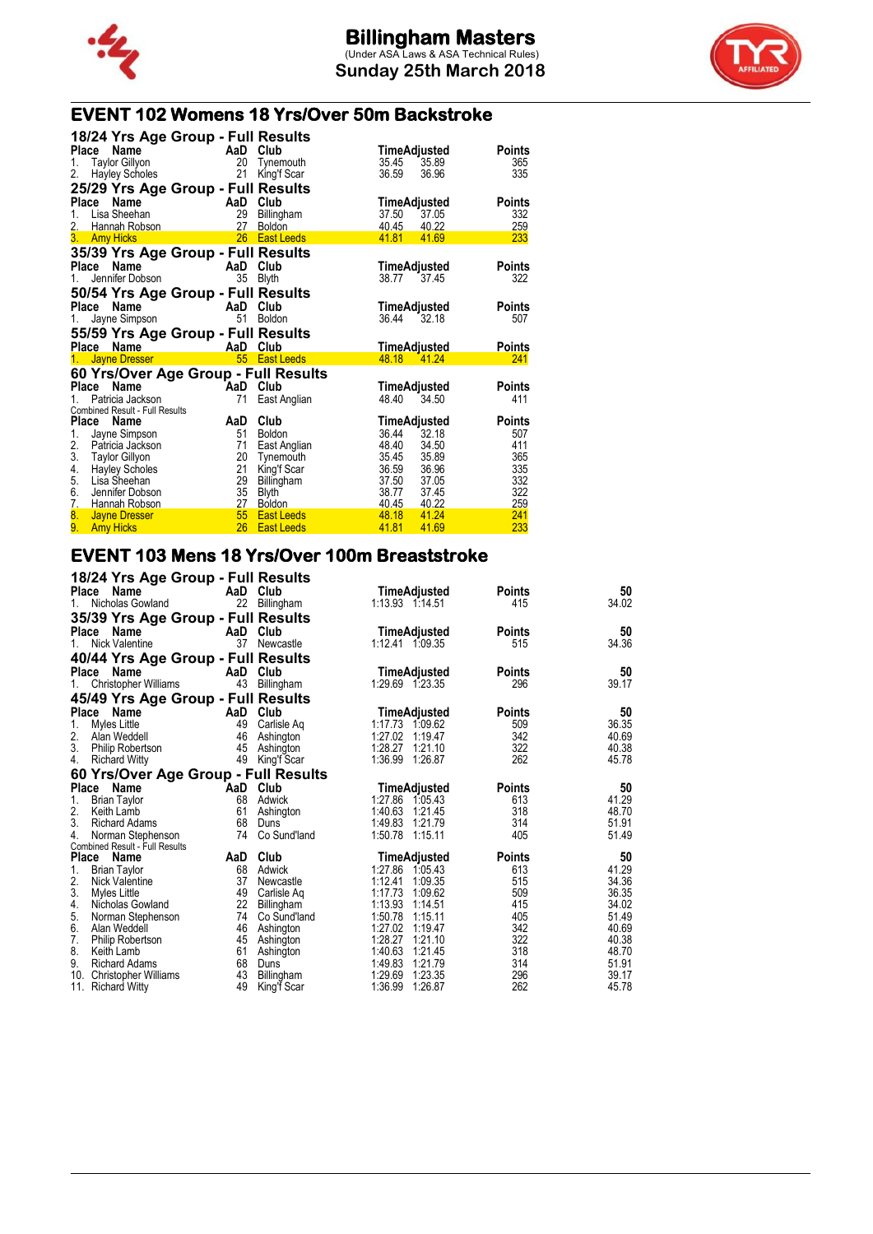



## **EVENT 102 Womens 18 Yrs/Over 50m Backstroke**

| 18/24 Yrs Age Group - Full Results          |          |                        |                         |               |
|---------------------------------------------|----------|------------------------|-------------------------|---------------|
| Name<br>Place                               |          | AaD Club               | TimeAdjusted            | <b>Points</b> |
| <b>Taylor Gillyon</b><br>1.                 | 20       | Tynemouth              | 35.45<br>35.89          | 365           |
| <b>Hayley Scholes</b><br>2.                 | 21       | King'f Scar            | 36.59<br>36.96          | 335           |
| 25/29 Yrs Age Group - Full Results          |          |                        |                         |               |
| Name<br><b>Place</b>                        | AaD      | Club                   | TimeAdjusted            | <b>Points</b> |
| Lisa Sheehan<br>1.                          | 29       | Billingham             | 37.50<br>37.05          | 332           |
| 2.<br>Hannah Robson                         | 27       | <b>Boldon</b>          | 40.45<br>40.22          | 259           |
| 3. Amy Hicks                                | 26       | <b>East Leeds</b>      | 41.81<br>41.69          | 233           |
| 35/39 Yrs Age Group - Full Results          |          |                        |                         |               |
| Name<br>Place                               |          | AaD Club               | TimeAdjusted            | <b>Points</b> |
| Jennifer Dobson<br>1.                       | 35       | <b>Blyth</b>           | 38.77<br>37.45          | 322           |
| 50/54 Yrs Age Group - Full Results          |          |                        |                         |               |
| Place<br>Name                               | AaD      | Club                   | TimeAdjusted            | <b>Points</b> |
| Jayne Simpson<br>1.                         | 51       | <b>Boldon</b>          | 36.44<br>32.18          | 507           |
|                                             |          |                        |                         |               |
|                                             |          |                        |                         |               |
| 55/59 Yrs Age Group - Full Results          |          |                        |                         |               |
| Place Name                                  |          | AaD Club               | <u>TimeAdjusted</u>     | <b>Points</b> |
| Jayne Dresser<br>1.                         | 55       | <b>East Leeds</b>      | 48.18<br>41.24          | 241           |
| 60 Yrs/Over Age Group - Full Results        |          |                        |                         |               |
| Name<br>Place                               |          | AaD Club               | TimeAdjusted            | <b>Points</b> |
| Patricia Jackson<br>1.                      | 71       | East Anglian           | 48.40<br>34.50          | 411           |
| Combined Result - Full Results              |          |                        |                         |               |
| Place<br><b>Name</b>                        | AaD      | Club                   | TimeAdjusted            | <b>Points</b> |
| 1.<br>Jayne Simpson                         | 51       | <b>Boldon</b>          | 36.44<br>32.18          | 507           |
| 2.<br>Patricia Jackson                      | 71       | East Anglian           | 48.40<br>34.50          | 411           |
| 3.<br><b>Taylor Gillyon</b>                 | 20       | Tynemouth              | 35.45<br>35.89          | 365           |
| 4.<br><b>Hayley Scholes</b><br>Lisa Sheehan | 21       | King'f Scar            | 36.59<br>36.96          | 335           |
| 5.<br>Jennifer Dobson                       | 29       | Billingham             | 37.50<br>37.05<br>38.77 | 332           |
| 6.<br>7.<br>Hannah Robson                   | 35<br>27 | Blyth<br><b>Boldon</b> | 37.45<br>40.22<br>40.45 | 322<br>259    |
| 8.<br><b>Jayne Dresser</b><br>9.            | 55       | <b>East Leeds</b>      | 48.18<br>41.24          | 241           |

#### **EVENT 103 Mens 18 Yrs/Over 100m Breaststroke 18/24 Yrs Age Group - Full Results**

| AaD Club<br>TimeAdjusted<br><b>Points</b><br>34.02<br>22 Billingham<br>1:13.93 1:14.51<br>Nicholas Gowland<br>415<br>$1_{-}$<br>35/39 Yrs Age Group - Full Results<br>50<br>Place Name<br>AaD Club<br>TimeAdjusted<br><b>Points</b><br>34.36<br><b>Nick Valentine</b><br>37<br>Newcastle<br>1:12.41 1:09.35<br>515<br>1.<br>40/44 Yrs Age Group - Full Results<br>50<br>Place Name<br>AaD Club<br><b>Points</b><br>TimeAdjusted<br>43 Billingham<br>39.17<br><b>Christopher Williams</b><br>1:29.69 1:23.35<br>296<br>1.<br>45/49 Yrs Age Group - Full Results<br>Place<br>Club<br>50<br>Name<br>AaD<br>TimeAdjusted<br><b>Points</b><br>36.35<br>1.<br>49<br>1:17.73<br>509<br>Myles Little<br>Carlisle Aq<br>1:09.62<br>2. Alan Weddell<br>342<br>46<br>40.69<br>1:27.02<br>1:19.47<br>Ashington<br>3. Philip Robertson<br>322<br>1:28.27<br>40.38<br>45<br>1:21.10<br>Ashington<br>262<br>4.<br>49<br>1:36.99<br>1:26.87<br>45.78<br>King'f Scar<br><b>Richard Witty</b><br>60 Yrs/Over Age Group - Full Results<br>Place Name<br>AaD Club<br>TimeAdjusted<br><b>Points</b><br>1.<br>68<br>1:27.86 1:05.43<br><b>Brian Taylor</b><br>Adwick<br>613<br>2.<br>61<br>1:40.63<br>318<br>1:21.45<br>Keith Lamb<br>Ashington<br>3.<br>68<br>1:49.83<br>1:21.79<br>314<br><b>Richard Adams</b><br>Duns<br>4.<br>74<br>Co Sund'land<br>1:50.78<br>1:15.11<br>405<br>Norman Stephenson<br>Combined Result - Full Results<br>Club<br>50<br>Place<br>AaD<br><b>TimeAdjusted</b><br><b>Points</b><br>Name<br>41.29<br>1.<br>1:27.86<br>613<br><b>Brian Taylor</b><br>68<br>Adwick<br>1:05.43<br>2.<br>37<br>515<br>34.36<br>1:12.41<br>1:09.35<br>Nick Valentine<br>Newcastle<br>3.<br>49<br>1:09.62<br>509<br>36.35<br>Myles Little<br>1:17.73<br>Carlisle Aq<br>22<br>4.<br>415<br>34.02<br>1:13.93<br>1:14.51<br>Nicholas Gowland<br>Billingham<br>5.<br>51.49<br>74<br>1:50.78<br>1:15.11<br>405<br>Norman Stephenson<br>Co Sund'land<br>6.<br>1:27.02<br>342<br>40.69<br>1:19.47<br>Alan Weddell<br>46<br>Ashington<br>7.<br>1:28.27<br>322<br>45 Ashington<br>1:21.10<br><b>Philip Robertson</b><br>8.<br>61<br>1:40.63<br>318<br>1:21.45<br>Keith Lamb<br>Ashington<br>9.<br>68<br>1:49.83<br>314<br>1:21.79<br><b>Richard Adams</b><br>Duns<br>10.<br>43<br>1:29.69<br>296<br>Billingham<br>1:23.35<br><b>Christopher Williams</b><br>262<br>11. Richard Witty<br>49<br>1:36.99<br>1:26.87<br>King'f Scar | 10/24 TIS Age Group - Full Results |  |  |       |
|----------------------------------------------------------------------------------------------------------------------------------------------------------------------------------------------------------------------------------------------------------------------------------------------------------------------------------------------------------------------------------------------------------------------------------------------------------------------------------------------------------------------------------------------------------------------------------------------------------------------------------------------------------------------------------------------------------------------------------------------------------------------------------------------------------------------------------------------------------------------------------------------------------------------------------------------------------------------------------------------------------------------------------------------------------------------------------------------------------------------------------------------------------------------------------------------------------------------------------------------------------------------------------------------------------------------------------------------------------------------------------------------------------------------------------------------------------------------------------------------------------------------------------------------------------------------------------------------------------------------------------------------------------------------------------------------------------------------------------------------------------------------------------------------------------------------------------------------------------------------------------------------------------------------------------------------------------------------------------------------------------------------------------------------------------------------------------------------------------------------------------------------------------------------------------------------------------------------------------------------------------------------------------------------------------------------------------------------------------------------------------------------------------|------------------------------------|--|--|-------|
|                                                                                                                                                                                                                                                                                                                                                                                                                                                                                                                                                                                                                                                                                                                                                                                                                                                                                                                                                                                                                                                                                                                                                                                                                                                                                                                                                                                                                                                                                                                                                                                                                                                                                                                                                                                                                                                                                                                                                                                                                                                                                                                                                                                                                                                                                                                                                                                                          | Place Name                         |  |  | 50    |
|                                                                                                                                                                                                                                                                                                                                                                                                                                                                                                                                                                                                                                                                                                                                                                                                                                                                                                                                                                                                                                                                                                                                                                                                                                                                                                                                                                                                                                                                                                                                                                                                                                                                                                                                                                                                                                                                                                                                                                                                                                                                                                                                                                                                                                                                                                                                                                                                          |                                    |  |  |       |
|                                                                                                                                                                                                                                                                                                                                                                                                                                                                                                                                                                                                                                                                                                                                                                                                                                                                                                                                                                                                                                                                                                                                                                                                                                                                                                                                                                                                                                                                                                                                                                                                                                                                                                                                                                                                                                                                                                                                                                                                                                                                                                                                                                                                                                                                                                                                                                                                          |                                    |  |  |       |
|                                                                                                                                                                                                                                                                                                                                                                                                                                                                                                                                                                                                                                                                                                                                                                                                                                                                                                                                                                                                                                                                                                                                                                                                                                                                                                                                                                                                                                                                                                                                                                                                                                                                                                                                                                                                                                                                                                                                                                                                                                                                                                                                                                                                                                                                                                                                                                                                          |                                    |  |  |       |
|                                                                                                                                                                                                                                                                                                                                                                                                                                                                                                                                                                                                                                                                                                                                                                                                                                                                                                                                                                                                                                                                                                                                                                                                                                                                                                                                                                                                                                                                                                                                                                                                                                                                                                                                                                                                                                                                                                                                                                                                                                                                                                                                                                                                                                                                                                                                                                                                          |                                    |  |  |       |
|                                                                                                                                                                                                                                                                                                                                                                                                                                                                                                                                                                                                                                                                                                                                                                                                                                                                                                                                                                                                                                                                                                                                                                                                                                                                                                                                                                                                                                                                                                                                                                                                                                                                                                                                                                                                                                                                                                                                                                                                                                                                                                                                                                                                                                                                                                                                                                                                          |                                    |  |  |       |
|                                                                                                                                                                                                                                                                                                                                                                                                                                                                                                                                                                                                                                                                                                                                                                                                                                                                                                                                                                                                                                                                                                                                                                                                                                                                                                                                                                                                                                                                                                                                                                                                                                                                                                                                                                                                                                                                                                                                                                                                                                                                                                                                                                                                                                                                                                                                                                                                          |                                    |  |  |       |
|                                                                                                                                                                                                                                                                                                                                                                                                                                                                                                                                                                                                                                                                                                                                                                                                                                                                                                                                                                                                                                                                                                                                                                                                                                                                                                                                                                                                                                                                                                                                                                                                                                                                                                                                                                                                                                                                                                                                                                                                                                                                                                                                                                                                                                                                                                                                                                                                          |                                    |  |  |       |
|                                                                                                                                                                                                                                                                                                                                                                                                                                                                                                                                                                                                                                                                                                                                                                                                                                                                                                                                                                                                                                                                                                                                                                                                                                                                                                                                                                                                                                                                                                                                                                                                                                                                                                                                                                                                                                                                                                                                                                                                                                                                                                                                                                                                                                                                                                                                                                                                          |                                    |  |  |       |
|                                                                                                                                                                                                                                                                                                                                                                                                                                                                                                                                                                                                                                                                                                                                                                                                                                                                                                                                                                                                                                                                                                                                                                                                                                                                                                                                                                                                                                                                                                                                                                                                                                                                                                                                                                                                                                                                                                                                                                                                                                                                                                                                                                                                                                                                                                                                                                                                          |                                    |  |  |       |
|                                                                                                                                                                                                                                                                                                                                                                                                                                                                                                                                                                                                                                                                                                                                                                                                                                                                                                                                                                                                                                                                                                                                                                                                                                                                                                                                                                                                                                                                                                                                                                                                                                                                                                                                                                                                                                                                                                                                                                                                                                                                                                                                                                                                                                                                                                                                                                                                          |                                    |  |  |       |
|                                                                                                                                                                                                                                                                                                                                                                                                                                                                                                                                                                                                                                                                                                                                                                                                                                                                                                                                                                                                                                                                                                                                                                                                                                                                                                                                                                                                                                                                                                                                                                                                                                                                                                                                                                                                                                                                                                                                                                                                                                                                                                                                                                                                                                                                                                                                                                                                          |                                    |  |  |       |
|                                                                                                                                                                                                                                                                                                                                                                                                                                                                                                                                                                                                                                                                                                                                                                                                                                                                                                                                                                                                                                                                                                                                                                                                                                                                                                                                                                                                                                                                                                                                                                                                                                                                                                                                                                                                                                                                                                                                                                                                                                                                                                                                                                                                                                                                                                                                                                                                          |                                    |  |  |       |
|                                                                                                                                                                                                                                                                                                                                                                                                                                                                                                                                                                                                                                                                                                                                                                                                                                                                                                                                                                                                                                                                                                                                                                                                                                                                                                                                                                                                                                                                                                                                                                                                                                                                                                                                                                                                                                                                                                                                                                                                                                                                                                                                                                                                                                                                                                                                                                                                          |                                    |  |  |       |
|                                                                                                                                                                                                                                                                                                                                                                                                                                                                                                                                                                                                                                                                                                                                                                                                                                                                                                                                                                                                                                                                                                                                                                                                                                                                                                                                                                                                                                                                                                                                                                                                                                                                                                                                                                                                                                                                                                                                                                                                                                                                                                                                                                                                                                                                                                                                                                                                          |                                    |  |  |       |
|                                                                                                                                                                                                                                                                                                                                                                                                                                                                                                                                                                                                                                                                                                                                                                                                                                                                                                                                                                                                                                                                                                                                                                                                                                                                                                                                                                                                                                                                                                                                                                                                                                                                                                                                                                                                                                                                                                                                                                                                                                                                                                                                                                                                                                                                                                                                                                                                          |                                    |  |  |       |
|                                                                                                                                                                                                                                                                                                                                                                                                                                                                                                                                                                                                                                                                                                                                                                                                                                                                                                                                                                                                                                                                                                                                                                                                                                                                                                                                                                                                                                                                                                                                                                                                                                                                                                                                                                                                                                                                                                                                                                                                                                                                                                                                                                                                                                                                                                                                                                                                          |                                    |  |  | 50    |
|                                                                                                                                                                                                                                                                                                                                                                                                                                                                                                                                                                                                                                                                                                                                                                                                                                                                                                                                                                                                                                                                                                                                                                                                                                                                                                                                                                                                                                                                                                                                                                                                                                                                                                                                                                                                                                                                                                                                                                                                                                                                                                                                                                                                                                                                                                                                                                                                          |                                    |  |  | 41.29 |
|                                                                                                                                                                                                                                                                                                                                                                                                                                                                                                                                                                                                                                                                                                                                                                                                                                                                                                                                                                                                                                                                                                                                                                                                                                                                                                                                                                                                                                                                                                                                                                                                                                                                                                                                                                                                                                                                                                                                                                                                                                                                                                                                                                                                                                                                                                                                                                                                          |                                    |  |  | 48.70 |
|                                                                                                                                                                                                                                                                                                                                                                                                                                                                                                                                                                                                                                                                                                                                                                                                                                                                                                                                                                                                                                                                                                                                                                                                                                                                                                                                                                                                                                                                                                                                                                                                                                                                                                                                                                                                                                                                                                                                                                                                                                                                                                                                                                                                                                                                                                                                                                                                          |                                    |  |  | 51.91 |
|                                                                                                                                                                                                                                                                                                                                                                                                                                                                                                                                                                                                                                                                                                                                                                                                                                                                                                                                                                                                                                                                                                                                                                                                                                                                                                                                                                                                                                                                                                                                                                                                                                                                                                                                                                                                                                                                                                                                                                                                                                                                                                                                                                                                                                                                                                                                                                                                          |                                    |  |  | 51.49 |
|                                                                                                                                                                                                                                                                                                                                                                                                                                                                                                                                                                                                                                                                                                                                                                                                                                                                                                                                                                                                                                                                                                                                                                                                                                                                                                                                                                                                                                                                                                                                                                                                                                                                                                                                                                                                                                                                                                                                                                                                                                                                                                                                                                                                                                                                                                                                                                                                          |                                    |  |  |       |
|                                                                                                                                                                                                                                                                                                                                                                                                                                                                                                                                                                                                                                                                                                                                                                                                                                                                                                                                                                                                                                                                                                                                                                                                                                                                                                                                                                                                                                                                                                                                                                                                                                                                                                                                                                                                                                                                                                                                                                                                                                                                                                                                                                                                                                                                                                                                                                                                          |                                    |  |  |       |
|                                                                                                                                                                                                                                                                                                                                                                                                                                                                                                                                                                                                                                                                                                                                                                                                                                                                                                                                                                                                                                                                                                                                                                                                                                                                                                                                                                                                                                                                                                                                                                                                                                                                                                                                                                                                                                                                                                                                                                                                                                                                                                                                                                                                                                                                                                                                                                                                          |                                    |  |  |       |
|                                                                                                                                                                                                                                                                                                                                                                                                                                                                                                                                                                                                                                                                                                                                                                                                                                                                                                                                                                                                                                                                                                                                                                                                                                                                                                                                                                                                                                                                                                                                                                                                                                                                                                                                                                                                                                                                                                                                                                                                                                                                                                                                                                                                                                                                                                                                                                                                          |                                    |  |  |       |
|                                                                                                                                                                                                                                                                                                                                                                                                                                                                                                                                                                                                                                                                                                                                                                                                                                                                                                                                                                                                                                                                                                                                                                                                                                                                                                                                                                                                                                                                                                                                                                                                                                                                                                                                                                                                                                                                                                                                                                                                                                                                                                                                                                                                                                                                                                                                                                                                          |                                    |  |  |       |
|                                                                                                                                                                                                                                                                                                                                                                                                                                                                                                                                                                                                                                                                                                                                                                                                                                                                                                                                                                                                                                                                                                                                                                                                                                                                                                                                                                                                                                                                                                                                                                                                                                                                                                                                                                                                                                                                                                                                                                                                                                                                                                                                                                                                                                                                                                                                                                                                          |                                    |  |  |       |
|                                                                                                                                                                                                                                                                                                                                                                                                                                                                                                                                                                                                                                                                                                                                                                                                                                                                                                                                                                                                                                                                                                                                                                                                                                                                                                                                                                                                                                                                                                                                                                                                                                                                                                                                                                                                                                                                                                                                                                                                                                                                                                                                                                                                                                                                                                                                                                                                          |                                    |  |  |       |
|                                                                                                                                                                                                                                                                                                                                                                                                                                                                                                                                                                                                                                                                                                                                                                                                                                                                                                                                                                                                                                                                                                                                                                                                                                                                                                                                                                                                                                                                                                                                                                                                                                                                                                                                                                                                                                                                                                                                                                                                                                                                                                                                                                                                                                                                                                                                                                                                          |                                    |  |  |       |
|                                                                                                                                                                                                                                                                                                                                                                                                                                                                                                                                                                                                                                                                                                                                                                                                                                                                                                                                                                                                                                                                                                                                                                                                                                                                                                                                                                                                                                                                                                                                                                                                                                                                                                                                                                                                                                                                                                                                                                                                                                                                                                                                                                                                                                                                                                                                                                                                          |                                    |  |  | 40.38 |
|                                                                                                                                                                                                                                                                                                                                                                                                                                                                                                                                                                                                                                                                                                                                                                                                                                                                                                                                                                                                                                                                                                                                                                                                                                                                                                                                                                                                                                                                                                                                                                                                                                                                                                                                                                                                                                                                                                                                                                                                                                                                                                                                                                                                                                                                                                                                                                                                          |                                    |  |  | 48.70 |
|                                                                                                                                                                                                                                                                                                                                                                                                                                                                                                                                                                                                                                                                                                                                                                                                                                                                                                                                                                                                                                                                                                                                                                                                                                                                                                                                                                                                                                                                                                                                                                                                                                                                                                                                                                                                                                                                                                                                                                                                                                                                                                                                                                                                                                                                                                                                                                                                          |                                    |  |  | 51.91 |
|                                                                                                                                                                                                                                                                                                                                                                                                                                                                                                                                                                                                                                                                                                                                                                                                                                                                                                                                                                                                                                                                                                                                                                                                                                                                                                                                                                                                                                                                                                                                                                                                                                                                                                                                                                                                                                                                                                                                                                                                                                                                                                                                                                                                                                                                                                                                                                                                          |                                    |  |  | 39.17 |
|                                                                                                                                                                                                                                                                                                                                                                                                                                                                                                                                                                                                                                                                                                                                                                                                                                                                                                                                                                                                                                                                                                                                                                                                                                                                                                                                                                                                                                                                                                                                                                                                                                                                                                                                                                                                                                                                                                                                                                                                                                                                                                                                                                                                                                                                                                                                                                                                          |                                    |  |  | 45.78 |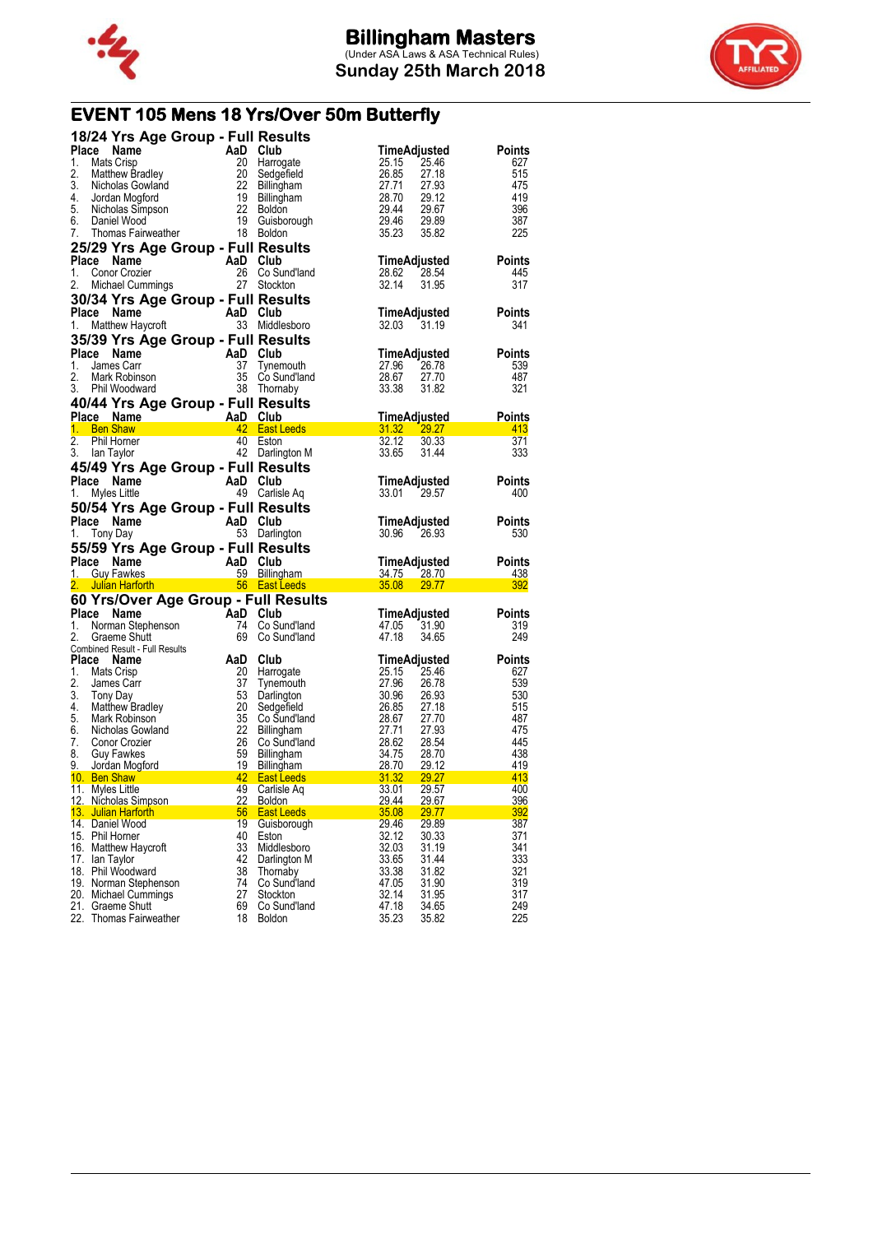



# **EVENT 105 Mens 18 Yrs/Over 50m Butterfly**

|          | 18/24 Yrs Age Group - Full Results                                                            |          |                                                 |                                           |                      |
|----------|-----------------------------------------------------------------------------------------------|----------|-------------------------------------------------|-------------------------------------------|----------------------|
| Place    | AaD Club<br>20 Harrow<br>20 Sedge<br>Name                                                     |          |                                                 | TimeAdjusted                              | Points               |
| 1.       | Mats Crisp                                                                                    |          | 20 Harrogate                                    | 25.15 25.46                               | 627                  |
| 2.       | <b>Matthew Bradley</b>                                                                        |          |                                                 | 26.85<br>27.18                            | 515                  |
| 3.       | Micholas Gowland                                                                              |          | 20 Sedgefield<br>22 Billingham<br>19 Billingham | 27.71 27.93<br>28.70 29.12                | 475                  |
|          | 4. Jordan Mogford                                                                             |          |                                                 |                                           | 419                  |
|          |                                                                                               |          |                                                 | 29.44 29.67                               | 396                  |
| 7.       | Thomas Fairweather 18 Boldon                                                                  |          |                                                 | 29.46 29.89<br>35.23<br>35.82             | 387<br>225           |
|          |                                                                                               |          |                                                 |                                           |                      |
|          | 25/29 Yrs Age Group - Full Results                                                            |          |                                                 |                                           |                      |
|          | Place Name                                                                                    | AaD Club |                                                 | TimeAdjusted                              | <b>Points</b>        |
| 1.<br>2. | Conor Crozier                                                                                 |          | 26 Co Sund'land<br>27 Stockton                  | 28.62 28.54<br>32.14                      | 445<br>317           |
|          | Michael Cummings                                                                              |          |                                                 | 31.95                                     |                      |
|          | 30/34 Yrs Age Group - Full Results                                                            |          |                                                 |                                           |                      |
|          | Place Name<br>AaD Club                                                                        |          |                                                 | TimeAdjusted                              | <b>Points</b>        |
| 1.       | Matthew Haycroft                                                                              |          | 33 Middlesboro                                  | 32.03 31.19                               | 341                  |
|          | 35/39 Yrs Age Group - Full Results                                                            |          |                                                 |                                           |                      |
|          | $AaD \text{ Club}$<br>37 Tynem<br>35 Co. Su<br>Place Name                                     |          |                                                 | TimeAdjusted                              | <b>Points</b>        |
| 1.       | James Carr                                                                                    |          | Tynemouth                                       | 27.96 26.78                               | 539                  |
| 2.       | Mark Robinson                                                                                 |          | 35 Co Sund'land                                 | 28.67<br>27.70                            | 487                  |
|          | 3. Phil Woodward                                                                              |          | 38 Thornaby                                     | 33.38<br>31.82                            | 321                  |
|          | 40/44 Yrs Age Group - Full Results                                                            |          |                                                 |                                           |                      |
|          | Place Name AaD Club<br>1. Ben Shaw <b>1. AaD Club</b><br>1. Ben Shaw <b>1. AaD Club</b>       |          |                                                 | <b>TimeAdjusted</b>                       | <b>Points</b>        |
|          |                                                                                               |          |                                                 | 31.32 29.27                               | 413                  |
| 2.       | Phil Horner                                                                                   |          | 40 Eston                                        | 32.12<br>30.33                            | 371                  |
| 3.       | lan Taylor                                                                                    |          | 42 Darlington M                                 | 33.65<br>31.44                            | 333                  |
|          | 45/49 Yrs Age Group - Full Results                                                            |          |                                                 |                                           |                      |
|          | Place Name<br>AaD Club<br>49 Carlisl                                                          |          |                                                 | TimeAdjusted                              | <b>Points</b>        |
| 1.       | Myles Little                                                                                  |          | 49 Carlisle Aq                                  | 33.01 29.57                               | 400                  |
|          | 50/54 Yrs Age Group - Full Results                                                            |          |                                                 |                                           |                      |
|          | AaD Club<br>53 Darlin<br>Place Name                                                           |          |                                                 | TimeAdjusted                              | <b>Points</b>        |
|          |                                                                                               |          |                                                 |                                           |                      |
| 1.       | Tony Day                                                                                      |          | 53 Darlington                                   | 30.96 26.93                               | 530                  |
|          |                                                                                               |          |                                                 |                                           |                      |
|          | 55/59 Yrs Age Group - Full Results                                                            |          |                                                 |                                           |                      |
|          |                                                                                               |          |                                                 | TimeAdjusted                              | <b>Points</b><br>438 |
|          |                                                                                               |          |                                                 | 34.75 28.70<br>35.08 29.77 Page 10        | 392                  |
|          | <b>Place Name AaD Club</b><br>1. Guy Fawkes 59 Billingham<br>2. Julian Harforth 56 East Leeds |          |                                                 |                                           |                      |
|          | 60 Yrs/Over Age Group - Full Results                                                          |          |                                                 |                                           |                      |
| 1.       | Place Name                                                                                    |          |                                                 | TimeAdjusted                              | Points<br>319        |
| 2.       |                                                                                               |          | 74 Co Sund'land<br>69 Co Sund'land              | 47.05 31.90<br>47.18<br>34.65             | 249                  |
|          | Norman Stephenson<br>Club<br>Graeme Shutt<br>Graeme Shutt<br>Combined Result - Full Results   |          |                                                 |                                           |                      |
|          | Place Name                                                                                    | AaD Club |                                                 | TimeAdjusted                              | <b>Points</b>        |
| 1.       | Mats Crisp                                                                                    |          |                                                 | 25.15 25.46                               | 627                  |
| 2.       | James Carr                                                                                    |          | 20 Harrogate                                    | 27.96 26.78                               | 539                  |
| 3.       | Tony Day                                                                                      |          | 37 Tynemouth<br>53 Darlington                   |                                           | 530                  |
| 4.       | Matthew Bradley                                                                               | 20       | Sedgefield                                      | 30.96 26.93<br>26.85 27.18                | 515                  |
| 5.       | Mark Robinson                                                                                 |          | 35 Co Sund'land                                 |                                           | 487                  |
| 6.       | Nicholas Gowland                                                                              |          | 22 Billingham                                   |                                           | 475                  |
| 7.       | Conor Crozier                                                                                 |          | Co Sund'Iand                                    | 28.67 27.70<br>27.71 27.93<br>28.62 28.54 | 445                  |
| 8.       | <b>Guy Fawkes</b>                                                                             |          |                                                 | 34.75 28.70                               | 438                  |
|          |                                                                                               |          | <b>East Leeds</b>                               | 28.70 29.12<br>29.27                      | 419<br>413           |
|          | 9. Jordan Mogford<br>10. Ben Shaw                                                             |          | $\frac{231.32}{31.32}$                          |                                           |                      |
|          | 11. Myles Little<br>12. Nicholas Simpson                                                      | 22       | 49 Carlisle Aq<br><b>Boldon</b>                 | 33.01<br>29.57<br>29.44<br><u>29.67</u>   | 400<br>396           |
|          | 13. Julian Harforth                                                                           | 56       | <b>East Leeds</b>                               | 35.08<br>29.77                            | 392                  |
|          | 14. Daniel Wood                                                                               | 19       | Guisborough                                     | 29.46<br>29.89                            | 387                  |
|          | 15. Phil Horner                                                                               | 40       | Eston                                           | 32.12<br>30.33                            | 371                  |
|          | 16. Matthew Haycroft                                                                          | 33       | Middlesboro                                     | 32.03<br>31.19                            | 341                  |
|          | 17. Ian Taylor                                                                                | 42       | Darlington M                                    | 33.65<br>31.44                            | 333                  |
|          | 18. Phil Woodward                                                                             | 38       | Thornaby                                        | 33.38<br>31.82                            | 321                  |
|          | 19. Norman Stephenson                                                                         | 74       | Co Sund'land                                    | 47.05<br>31.90                            | 319                  |
|          | 20. Michael Cummings<br>21. Graeme Shutt                                                      | 27<br>69 | Stockton<br>Co Sund'land                        | 32.14<br>31.95<br>47.18<br>34.65          | 317<br>249           |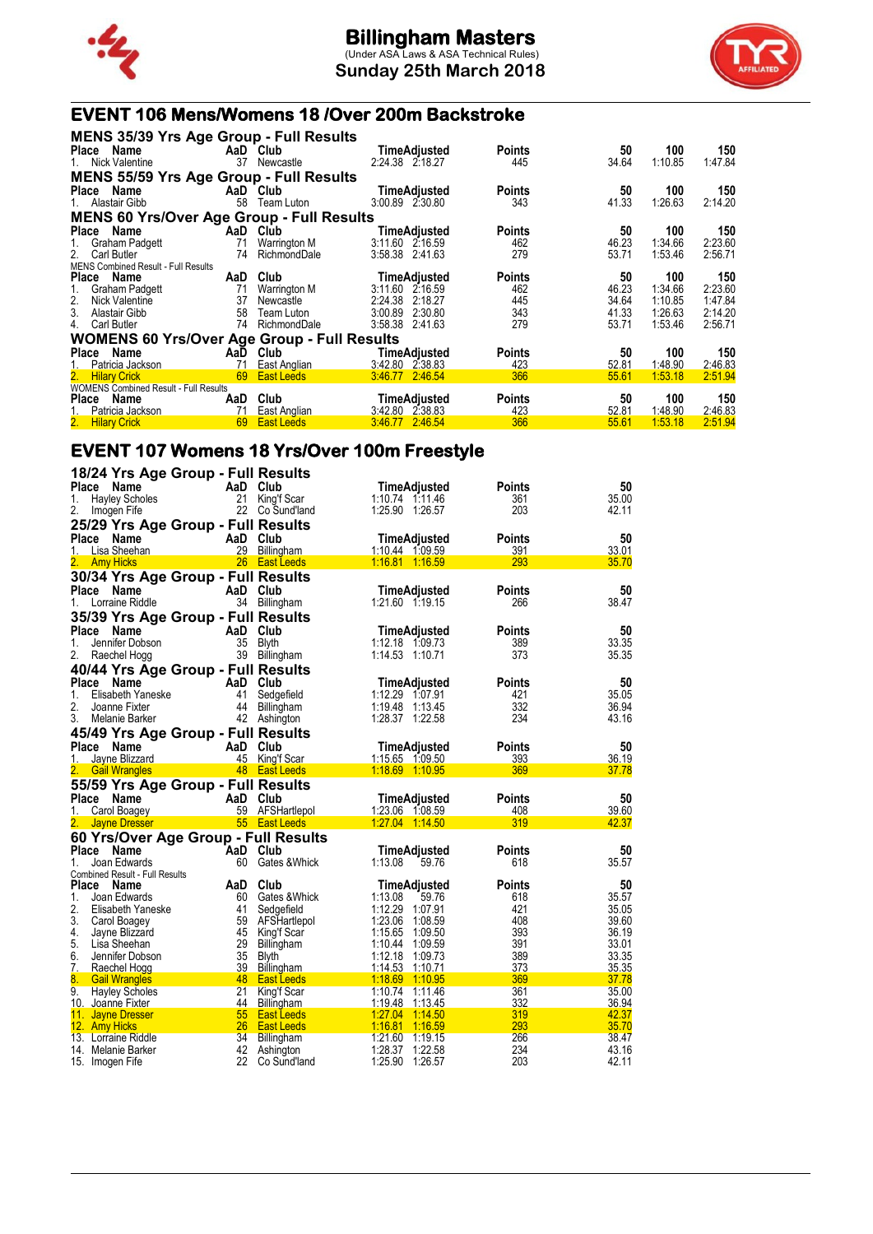

**Sunday 25th March 2018**



### **EVENT 106 Mens/Womens 18 /Over 200m Backstroke**

| <b>MENS 35/39 Yrs Age Group - Full Results</b>     |     |                   |                     |               |       |         |         |
|----------------------------------------------------|-----|-------------------|---------------------|---------------|-------|---------|---------|
| Place Name                                         |     | AaD Club          | TimeAdjusted        | <b>Points</b> | 50    | 100     | 150     |
| 1. Nick Valentine                                  | 37  | Newcastle         | 2:24.38 2:18.27     | 445           | 34.64 | 1:10.85 | 1:47.84 |
| <b>MENS 55/59 Yrs Age Group - Full Results</b>     |     |                   |                     |               |       |         |         |
| Place Name                                         |     | AaD Club          | TimeAdjusted        | <b>Points</b> | 50    | 100     | 150     |
| 1. Alastair Gibb                                   | 58  | Team Luton        | 3:00.89 2:30.80     | 343           | 41.33 | 1:26.63 | 2:14.20 |
| <b>MENS 60 Yrs/Over Age Group - Full Results</b>   |     |                   |                     |               |       |         |         |
| Place Name                                         |     | AaD Club          | TimeAdjusted        | <b>Points</b> | 50    | 100     | 150     |
| Graham Padgett<br>1.                               | 71  | Warrington M      | 3:11.60 2:16.59     | 462           | 46.23 | 1:34.66 | 2:23.60 |
| 2.<br>Carl Butler                                  | 74  | RichmondDale      | 3:58.38 2:41.63     | 279           | 53.71 | 1:53.46 | 2:56.71 |
| <b>MENS Combined Result - Full Results</b>         |     |                   |                     |               |       |         |         |
| Place Name                                         | AaD | Club              | <b>TimeAdjusted</b> | <b>Points</b> | 50    | 100     | 150     |
| 1.<br>Graham Padgett                               | 71  | Warrington M      | 3:11.60 2:16.59     | 462           | 46.23 | 1:34.66 | 2:23.60 |
| 2.<br>Nick Valentine                               | 37  | Newcastle         | 2:24.38 2:18.27     | 445           | 34.64 | 1:10.85 | 1:47.84 |
| 3.<br>Alastair Gibb                                | 58  | Team Luton        | 3:00.89 2:30.80     | 343           | 41.33 | 1:26.63 | 2:14.20 |
| 4.<br>Carl Butler                                  | 74  | RichmondDale      | 3:58.38 2:41.63     | 279           | 53.71 | 1:53.46 | 2:56.71 |
| <b>WOMENS 60 Yrs/Over Age Group - Full Results</b> |     |                   |                     |               |       |         |         |
| Place Name                                         |     | AaD Club          | TimeAdjusted        | <b>Points</b> | 50    | 100     | 150     |
| Patricia Jackson                                   | 71  | East Anglian      | 3:42.80 2:38.83     | 423           | 52.81 | 1:48.90 | 2:46.83 |
| 2.<br><b>Hilary Crick</b>                          | 69  | East Leeds        | 3.46.77 2.46.54     | 366           | 55.61 | 1:53.18 | 2:51.94 |
| <b>WOMENS Combined Result - Full Results</b>       |     |                   |                     |               |       |         |         |
| Place Name                                         | AaD | Club              | <b>TimeAdjusted</b> | <b>Points</b> | 50    | 100     | 150     |
| 1. Patricia Jackson                                | 71  | East Anglian      | 3:42.80 2:38.83     | 423           | 52.81 | 1:48.90 | 2:46.83 |
| 2. Hilary Crick                                    | 69  | <b>East Leeds</b> | 3.46.77 2.46.54     | 366           | 55.61 | 1:53.18 | 2:51.94 |

## **EVENT 107 Womens 18 Yrs/Over 100m Freestyle**

| 18/24 Yrs Age Group - Full Results    |                                 |                                          |               |                |
|---------------------------------------|---------------------------------|------------------------------------------|---------------|----------------|
| Place<br><b>Name</b>                  | AaD Club                        | TimeAdjusted                             | <b>Points</b> | 50             |
| 1.<br><b>Hayley Scholes</b>           | 21<br>King'f Scar               | 1:10.74 1:11.46                          | 361           | 35.00          |
| 2.<br>Imogen Fife                     | 22 Co Sund'land                 | 1:25.90 1:26.57                          | 203           | 42.11          |
| 25/29 Yrs Age Group - Full Results    |                                 |                                          |               |                |
| Place Name                            | AaD Club                        | <b>TimeAdjusted</b>                      | <b>Points</b> | 50             |
| Lisa Sheehan<br>1.                    | 29 Billingham                   | 1:10.44 1:09.59                          | 391           | 33.01          |
| 2.<br><b>Amy Hicks</b>                | 26 East Leeds                   | 1:16.81 1:16.59                          | 293           | 35.70          |
| 30/34 Yrs Age Group - Full Results    |                                 |                                          |               |                |
| Place<br><b>Name</b>                  | AaD Club                        | <b>TimeAdjusted</b>                      | <b>Points</b> | 50             |
| Lorraine Riddle<br>1.                 | 34 Billingham                   | 1:21.60 1:19.15                          | 266           | 38.47          |
| 35/39 Yrs Age Group - Full Results    |                                 |                                          |               |                |
| Place<br>Name                         | AaD Club                        | <b>TimeAdjusted</b>                      | <b>Points</b> | 50             |
| 1.<br>Jennifer Dobson                 | 35 Blyth                        | 1:12.18 1:09.73                          | 389           | 33.35          |
| 2.<br>Raechel Hogg                    | 39 Billingham                   | 1:14.53 1:10.71                          | 373           | 35.35          |
|                                       |                                 |                                          |               |                |
| 40/44 Yrs Age Group - Full Results    |                                 |                                          |               |                |
| Place Name                            | AaD Club                        | TimeAdjusted                             | <b>Points</b> | 50             |
| 1.<br>Elisabeth Yaneske               | 41<br>Sedgefield                | 1:12.29 1:07.91                          | 421           | 35.05          |
| 2.<br>Joanne Fixter                   | 44 Billingham                   | 1:19.48 1:13.45                          | 332           | 36.94          |
| 3.<br>Melanie Barker                  | 42 Ashington                    | 1:28.37 1:22.58                          | 234           | 43.16          |
| 45/49 Yrs Age Group - Full Results    |                                 |                                          |               |                |
| Place<br>Name                         | AaD Club                        | TimeAdjusted                             | <b>Points</b> | 50             |
| Jayne Blizzard<br>1.                  | 45 King'f Scar                  | 1:15.65 1:09.50                          | 393           | 36.19          |
| <b>Gail Wrangles</b>                  | 48 East Leeds                   | 1:18.69 1:10.95                          | 369           | 37.78          |
| 55/59 Yrs Age Group - Full Results    |                                 |                                          |               |                |
| Place Name                            | AaD Club                        | TimeAdjusted                             | <b>Points</b> | 50             |
| 1.<br>Carol Boagey                    | 59 AFSHartlepol                 | 1:23.06 1:08.59                          | 408           | 39.60          |
| 2.<br><b>Jayne Dresser</b>            | 55 East Leeds                   | 1:27.04 1:14.50                          | 319           | 42.37          |
| 60 Yrs/Over Age Group - Full Results  |                                 |                                          |               |                |
| Place<br>Name                         | AaD Club                        | <b>TimeAdjusted</b>                      | <b>Points</b> | 50             |
| 1.<br>Joan Edwards                    | 60 Gates & Whick                | 1:13.08<br>59.76                         | 618           | 35.57          |
| <b>Combined Result - Full Results</b> |                                 |                                          |               |                |
| Place<br>Name                         | Club<br>AaD                     | <b>TimeAdjusted</b>                      | <b>Points</b> | 50             |
| 1.<br>Joan Edwards                    | 60 Gates & Whick                | 1:13.08<br>59.76                         | 618           | 35.57          |
| 2.<br>Elisabeth Yaneske               | 41<br>Sedgefield                | 1:12.29 1:07.91                          | 421           | 35.05          |
| 3.<br>Carol Boagey                    | 59 AFSHartlepol                 | 1:23.06<br>1:08.59                       | 408           | 39.60          |
| 4.<br>Jayne Blizzard                  | 45<br>King'f Scar               | 1:15.65<br>1:09.50                       | 393           | 36.19          |
| 5.<br>Lisa Sheehan                    | 29 Billingham                   | 1:10.44<br>1:09.59                       | 391           | 33.01          |
| 6.<br>Jennifer Dobson                 | 35<br>Blyth                     | 1:12.18<br>1:09.73                       | 389           | 33.35          |
| 7. Raechel Hogg                       | 39<br>Billingham                | 1:14.53 1:10.71                          | 373           | 35.35          |
| 8.<br><b>Gail Wrangles</b>            | 48<br><b>East Leeds</b>         | 1:18.69 1:10.95                          | 369           | 37.78          |
| 9.<br><b>Hayley Scholes</b>           | 21<br>King'f Scar               | 1:10.74<br>1:11.46                       | 361           | 35.00          |
| 10. Joanne Fixter                     | 44<br>Billingham                | 1:19.48<br>1:13.45                       | 332           | 36.94          |
| 11. Jayne Dresser                     | 55<br><b>East Leeds</b>         | 1:27.04<br>1.14.50                       | 319           | 42.37          |
| 12. Amy Hicks<br>13. Lorraine Riddle  | 26<br><b>East Leeds</b><br>34   | 1:16.81<br>1:16.59                       | 293<br>266    | 35.70          |
| 14. Melanie Barker                    | Billingham<br>42                | 1:21.60<br>1:19.15<br>1:28.37<br>1:22.58 | 234           | 38.47<br>43.16 |
| 15. Imogen Fife                       | Ashington<br>22<br>Co Sund'land | 1:25.90<br>1:26.57                       | 203           | 42.11          |
|                                       |                                 |                                          |               |                |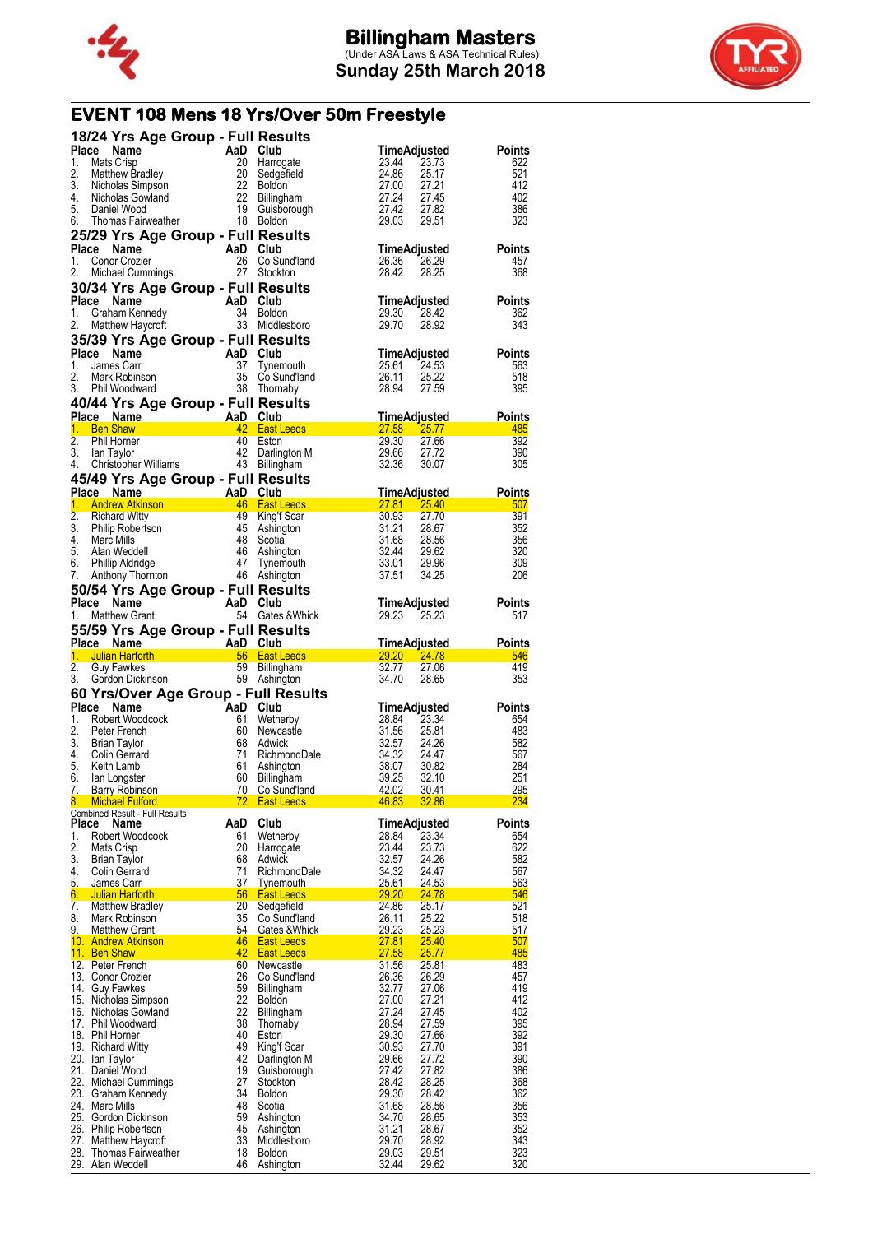



# **EVENT 108 Mens 18 Yrs/Over 50m Freestyle**

|             |                                                                                                        | 18/24 Yrs Age Group - Full Results                                                                                                                                                                                                                     |                                                                                                                                                                                                                           |                                                                                                                                                                            |                      |
|-------------|--------------------------------------------------------------------------------------------------------|--------------------------------------------------------------------------------------------------------------------------------------------------------------------------------------------------------------------------------------------------------|---------------------------------------------------------------------------------------------------------------------------------------------------------------------------------------------------------------------------|----------------------------------------------------------------------------------------------------------------------------------------------------------------------------|----------------------|
| Place       |                                                                                                        |                                                                                                                                                                                                                                                        |                                                                                                                                                                                                                           | TimeAdjusted                                                                                                                                                               | Points               |
| 1.          |                                                                                                        |                                                                                                                                                                                                                                                        |                                                                                                                                                                                                                           | 23.44<br>23.73                                                                                                                                                             | 622                  |
| 2.<br>3.    |                                                                                                        |                                                                                                                                                                                                                                                        |                                                                                                                                                                                                                           | 24.86<br>25.17<br>27.00<br>27.21                                                                                                                                           | 521<br>412           |
| 4.          |                                                                                                        |                                                                                                                                                                                                                                                        |                                                                                                                                                                                                                           | 27.00<br>27.24<br>27.42<br>27.45                                                                                                                                           | 402                  |
| 5.          |                                                                                                        |                                                                                                                                                                                                                                                        |                                                                                                                                                                                                                           | 27.42<br>27.82                                                                                                                                                             | 386                  |
| 6.          |                                                                                                        | March 1982<br>March 1982<br>March 1982<br>March 20 Harrogate<br>March 20 Harrogate<br>March 20 Sedgefield<br>Nicholas Simpson<br>Nicholas Gowland<br>Daniel Wood<br>Thomas Fairweather<br>Thomas Fairweather<br>Thomas Fairweather<br>Thomas The Boldo |                                                                                                                                                                                                                           | 29.03<br>29.51                                                                                                                                                             | 323                  |
|             |                                                                                                        | 25/29 Yrs Age Group - Full Results                                                                                                                                                                                                                     |                                                                                                                                                                                                                           |                                                                                                                                                                            |                      |
|             | Place Name                                                                                             | Comor Crozier<br>Conor Crozier<br>Michael Cummings<br>27 Stockton                                                                                                                                                                                      |                                                                                                                                                                                                                           | <b>TimeAdjusted</b>                                                                                                                                                        | <b>Points</b>        |
| 1.          |                                                                                                        |                                                                                                                                                                                                                                                        | 26 Co Sund'land                                                                                                                                                                                                           | 26.36<br>26.29                                                                                                                                                             | 457                  |
| 2.          |                                                                                                        |                                                                                                                                                                                                                                                        |                                                                                                                                                                                                                           | 28.42<br>28.25                                                                                                                                                             | 368                  |
|             |                                                                                                        | 30/34 Yrs Age Group - Full Results                                                                                                                                                                                                                     |                                                                                                                                                                                                                           |                                                                                                                                                                            |                      |
| Place       | Name                                                                                                   | AaD Club<br>34 Boldon<br>33 Middlesboro                                                                                                                                                                                                                |                                                                                                                                                                                                                           | TimeAdjusted                                                                                                                                                               | <b>Points</b>        |
| 1.          | Graham Kennedy                                                                                         |                                                                                                                                                                                                                                                        |                                                                                                                                                                                                                           | 29.30<br>28.42                                                                                                                                                             | 362                  |
| 2.          | Matthew Haycroft                                                                                       |                                                                                                                                                                                                                                                        |                                                                                                                                                                                                                           | 29.70<br>28.92                                                                                                                                                             | 343                  |
|             |                                                                                                        | 35/39 Yrs Age Group - Full Results                                                                                                                                                                                                                     |                                                                                                                                                                                                                           |                                                                                                                                                                            |                      |
| 1.          | Place Name                                                                                             |                                                                                                                                                                                                                                                        |                                                                                                                                                                                                                           | TimeAdjusted                                                                                                                                                               | <b>Points</b>        |
| 2.          | James Carr<br>Mark Robinson                                                                            |                                                                                                                                                                                                                                                        | Tynemouth<br>Co Sund'Iand                                                                                                                                                                                                 | 25.61<br>24.53<br>26.11<br>25.22                                                                                                                                           | 563<br>518           |
| 3.          | Phil Woodward                                                                                          | AaD Club<br>37 Tynen<br>35 Co Su<br>38 Thom                                                                                                                                                                                                            | 38 Thornaby                                                                                                                                                                                                               | 27.59<br>28.94                                                                                                                                                             | 395                  |
|             |                                                                                                        | 40/44 Yrs Age Group - Full Results                                                                                                                                                                                                                     |                                                                                                                                                                                                                           |                                                                                                                                                                            |                      |
|             |                                                                                                        |                                                                                                                                                                                                                                                        |                                                                                                                                                                                                                           |                                                                                                                                                                            |                      |
|             |                                                                                                        |                                                                                                                                                                                                                                                        | Place Name AaD Club<br>1. Ben Shaw <b>1. AaD Club</b><br>1. Ben Shaw <b>1. AaD Club</b> 27.58 25.77 485                                                                                                                   |                                                                                                                                                                            |                      |
| 2.          |                                                                                                        |                                                                                                                                                                                                                                                        |                                                                                                                                                                                                                           | 29.30<br>27.66                                                                                                                                                             | 392                  |
| 3.          |                                                                                                        | Phil Horner                                     40 Eston<br>lan Taylor                                 42 Darlington<br>Christopher Williams                     43 Billingham                                                                         | Darlington M                                                                                                                                                                                                              | 29.66<br>27.72                                                                                                                                                             | 390                  |
| 4.          |                                                                                                        |                                                                                                                                                                                                                                                        |                                                                                                                                                                                                                           |                                                                                                                                                                            | 305                  |
|             |                                                                                                        | 45/49 Yrs Age Group - Full Results                                                                                                                                                                                                                     |                                                                                                                                                                                                                           |                                                                                                                                                                            |                      |
|             | Place Name                                                                                             | ace Name<br>Andrew Atkinson<br>Andrew Atkinson<br>A6 East Leeds                                                                                                                                                                                        |                                                                                                                                                                                                                           | $\begin{array}{r}\n 30.07 \\  7.81 \quad 25.40 \\  30.93 \quad 27.70 \\  31.21 \quad 28.67 \\  31.68 \quad 28.56 \\  32.44 \quad 29.62 \\  33.01 \quad 29.62\n\end{array}$ | <b>Points</b>        |
| 1.          |                                                                                                        |                                                                                                                                                                                                                                                        |                                                                                                                                                                                                                           |                                                                                                                                                                            | 507                  |
| 2.<br>3.    | Richard Witty<br>Philip Robertson<br>Marc Mills<br>Alan Weddell<br>Phillip Aldridge<br>Anthony Thomton | 45                                                                                                                                                                                                                                                     | 49 King'f Scar<br>Ashington                                                                                                                                                                                               |                                                                                                                                                                            | 391<br>352           |
| 4.          | Marc Mills                                                                                             | 48                                                                                                                                                                                                                                                     | Scotia                                                                                                                                                                                                                    |                                                                                                                                                                            | 356                  |
| 5.          | Alan Weddell                                                                                           |                                                                                                                                                                                                                                                        | 46 Ashington                                                                                                                                                                                                              |                                                                                                                                                                            | 320                  |
| 6.          |                                                                                                        |                                                                                                                                                                                                                                                        | 47 Tynemouth                                                                                                                                                                                                              | 29.62<br>29.96<br>34.25                                                                                                                                                    | 309                  |
| 7.          |                                                                                                        |                                                                                                                                                                                                                                                        | 46 Ashington                                                                                                                                                                                                              | 37.51<br>34.25                                                                                                                                                             | 206                  |
|             |                                                                                                        | <b>50/54 Yrs Age Group - Full Results<br/>Place Name AaD Club<br/>1. Matthew Grant 64 Gates &amp; Which</b>                                                                                                                                            |                                                                                                                                                                                                                           |                                                                                                                                                                            |                      |
|             |                                                                                                        |                                                                                                                                                                                                                                                        |                                                                                                                                                                                                                           | TimeAdjusted                                                                                                                                                               | Points               |
| 1.          | Matthew Grant                                                                                          |                                                                                                                                                                                                                                                        | 54 Gates & Whick                                                                                                                                                                                                          | 29.23 25.23                                                                                                                                                                | 517                  |
|             |                                                                                                        | 55/59 Yrs Age Group - Full Results                                                                                                                                                                                                                     |                                                                                                                                                                                                                           |                                                                                                                                                                            |                      |
|             |                                                                                                        |                                                                                                                                                                                                                                                        |                                                                                                                                                                                                                           |                                                                                                                                                                            | <b>Points</b>        |
|             |                                                                                                        |                                                                                                                                                                                                                                                        |                                                                                                                                                                                                                           |                                                                                                                                                                            |                      |
|             |                                                                                                        |                                                                                                                                                                                                                                                        |                                                                                                                                                                                                                           |                                                                                                                                                                            |                      |
|             |                                                                                                        |                                                                                                                                                                                                                                                        |                                                                                                                                                                                                                           |                                                                                                                                                                            |                      |
|             |                                                                                                        |                                                                                                                                                                                                                                                        | <b>Place Name Contract And Club Club TimeAdjusted Points<br/> 1. Julian Harforth 66 East Leeds 29.20 24.78 546<br/> 2. Guy Fawkes 59 Billingham 32.77 27.06 419<br/> 3. Gordon Dickinson 59 Ashington 34.70 28.65 353</b> |                                                                                                                                                                            |                      |
|             | Name                                                                                                   | 60 Yrs/Over Age Group - Full Results                                                                                                                                                                                                                   |                                                                                                                                                                                                                           |                                                                                                                                                                            |                      |
| Place<br>1. | Robert Woodcock                                                                                        |                                                                                                                                                                                                                                                        |                                                                                                                                                                                                                           | <b>TimeAdjusted</b><br>28.84<br>23.34                                                                                                                                      | <b>Points</b><br>654 |
| 2.          | Peter French                                                                                           | AaD Club<br>61 Wethe<br>60 News                                                                                                                                                                                                                        |                                                                                                                                                                                                                           | 31.56<br>25.81                                                                                                                                                             | 483                  |
| 3.          | Brian Taylor                                                                                           | 68                                                                                                                                                                                                                                                     |                                                                                                                                                                                                                           | 32.57<br>24.26                                                                                                                                                             | 582                  |
| 4.          | Colin Gerrard                                                                                          | 71                                                                                                                                                                                                                                                     |                                                                                                                                                                                                                           | 34.32<br>24.47                                                                                                                                                             | 567                  |
| 5.          | Keith Lamb                                                                                             | 61                                                                                                                                                                                                                                                     |                                                                                                                                                                                                                           | 38.07<br>30.82                                                                                                                                                             | 284                  |
| 6.          | lan Longster<br><b>Barry Robinson</b>                                                                  | 60<br>70                                                                                                                                                                                                                                               |                                                                                                                                                                                                                           | 39.25<br>32.10<br>42.02<br>30.41                                                                                                                                           | 251                  |
| 8.          | <b>Michael Fulford</b>                                                                                 |                                                                                                                                                                                                                                                        | 72 East Leeds                                                                                                                                                                                                             | 46.83<br>32.86                                                                                                                                                             | <u>295</u><br>234    |
|             | Combined Result - Full Results                                                                         |                                                                                                                                                                                                                                                        |                                                                                                                                                                                                                           |                                                                                                                                                                            |                      |
| Place       | Name                                                                                                   | AaD                                                                                                                                                                                                                                                    |                                                                                                                                                                                                                           | TimeAdjusted                                                                                                                                                               | <b>Points</b>        |
| 1.          | Robert Woodcock                                                                                        | 61                                                                                                                                                                                                                                                     | Wetherby                                                                                                                                                                                                                  | 28.84<br>23.34                                                                                                                                                             | 654                  |
| 2.<br>3.    | Mats Crisp<br><b>Brian Taylor</b>                                                                      | 20<br>68                                                                                                                                                                                                                                               | Harrogate<br>Adwick                                                                                                                                                                                                       | 23.44<br>23.73<br>32.57<br>24.26                                                                                                                                           | 622<br>582           |
| 4.          | Colin Gerrard                                                                                          | 71                                                                                                                                                                                                                                                     | RichmondDale                                                                                                                                                                                                              | 34.32<br>24.47                                                                                                                                                             | 567                  |
| 5.          | James Carr                                                                                             | 37                                                                                                                                                                                                                                                     | Tynemouth                                                                                                                                                                                                                 | 25.61<br>24.53                                                                                                                                                             | 563                  |
| 6.          | <b>Julian Harforth</b>                                                                                 | 56                                                                                                                                                                                                                                                     | <b>East Leeds</b>                                                                                                                                                                                                         | 29.20<br><b>24.78</b>                                                                                                                                                      | 546                  |
| 7.          | <b>Matthew Bradley</b>                                                                                 | 20                                                                                                                                                                                                                                                     | Sedgefield                                                                                                                                                                                                                | 25.17<br>24.86                                                                                                                                                             | 521                  |
| 8.          | Mark Robinson                                                                                          | 35                                                                                                                                                                                                                                                     | Co Sund'land                                                                                                                                                                                                              | 26.11<br>25.22                                                                                                                                                             | 518                  |
|             | 9. Matthew Grant<br><u>10. Andrew Atkinson</u>                                                         | 54<br>46                                                                                                                                                                                                                                               | Gates & Whick<br><b>East Leeds</b>                                                                                                                                                                                        | 29.23<br>25.23<br><b>27.81</b><br>25.40                                                                                                                                    | 517<br>507           |
|             | 11. Ben Shaw                                                                                           | 42                                                                                                                                                                                                                                                     | <b>East Leeds</b>                                                                                                                                                                                                         | 27.58<br>25.77                                                                                                                                                             | 485                  |
|             | 12. Peter French                                                                                       | 60                                                                                                                                                                                                                                                     | Newcastle                                                                                                                                                                                                                 | 31.56<br>25.81                                                                                                                                                             | 483                  |
|             | 13. Conor Crozier                                                                                      | 26                                                                                                                                                                                                                                                     | Co Sund'land                                                                                                                                                                                                              | 26.36<br>26.29                                                                                                                                                             | 457                  |
|             | 14. Guy Fawkes                                                                                         | 59                                                                                                                                                                                                                                                     | Billingham                                                                                                                                                                                                                | 32.77<br>27.06                                                                                                                                                             | 419                  |
|             | 15. Nicholas Simpson<br>16. Nicholas Gowland                                                           | 22<br>22                                                                                                                                                                                                                                               | <b>Boldon</b><br>Billingham                                                                                                                                                                                               | 27.00<br>27.21<br>27.24<br>27.45                                                                                                                                           | 412<br>402           |
|             | 17. Phil Woodward                                                                                      | 38                                                                                                                                                                                                                                                     | Thornaby                                                                                                                                                                                                                  | 28.94<br>27.59                                                                                                                                                             | 395                  |
|             | 18. Phil Horner                                                                                        | 40                                                                                                                                                                                                                                                     | Eston                                                                                                                                                                                                                     | 29.30<br>27.66                                                                                                                                                             | 392                  |
|             | 19. Richard Witty                                                                                      | 49                                                                                                                                                                                                                                                     | King'f Scar                                                                                                                                                                                                               | 30.93<br>27.70                                                                                                                                                             | 391                  |
|             | 20. Ian Taylor                                                                                         | 42                                                                                                                                                                                                                                                     | Darlington M                                                                                                                                                                                                              | 29.66<br>27.72                                                                                                                                                             | 390                  |
|             | 21. Daniel Wood                                                                                        | 19                                                                                                                                                                                                                                                     | Guisborough                                                                                                                                                                                                               | 27.42<br>27.82                                                                                                                                                             | 386                  |
|             | 22. Michael Cummings<br>23. Graham Kennedy                                                             | 27<br>34                                                                                                                                                                                                                                               | Stockton<br><b>Boldon</b>                                                                                                                                                                                                 | 28.42<br>28.25<br>29.30<br>28.42                                                                                                                                           | 368<br>362           |
|             | 24. Marc Mills                                                                                         | 48                                                                                                                                                                                                                                                     | Scotia                                                                                                                                                                                                                    | 31.68<br>28.56                                                                                                                                                             | 356                  |
|             | 25. Gordon Dickinson                                                                                   | 59                                                                                                                                                                                                                                                     | Ashington                                                                                                                                                                                                                 | 34.70<br>28.65                                                                                                                                                             | 353                  |
|             | 26. Philip Robertson                                                                                   | 45                                                                                                                                                                                                                                                     | Ashington                                                                                                                                                                                                                 | 31.21<br>28.67                                                                                                                                                             | 352                  |
|             | 27. Matthew Haycroft<br>28. Thomas Fairweather                                                         | 33<br>18                                                                                                                                                                                                                                               | Middlesboro<br><b>Boldon</b>                                                                                                                                                                                              | 29.70<br>28.92<br>29.03<br>29.51                                                                                                                                           | 343<br>323           |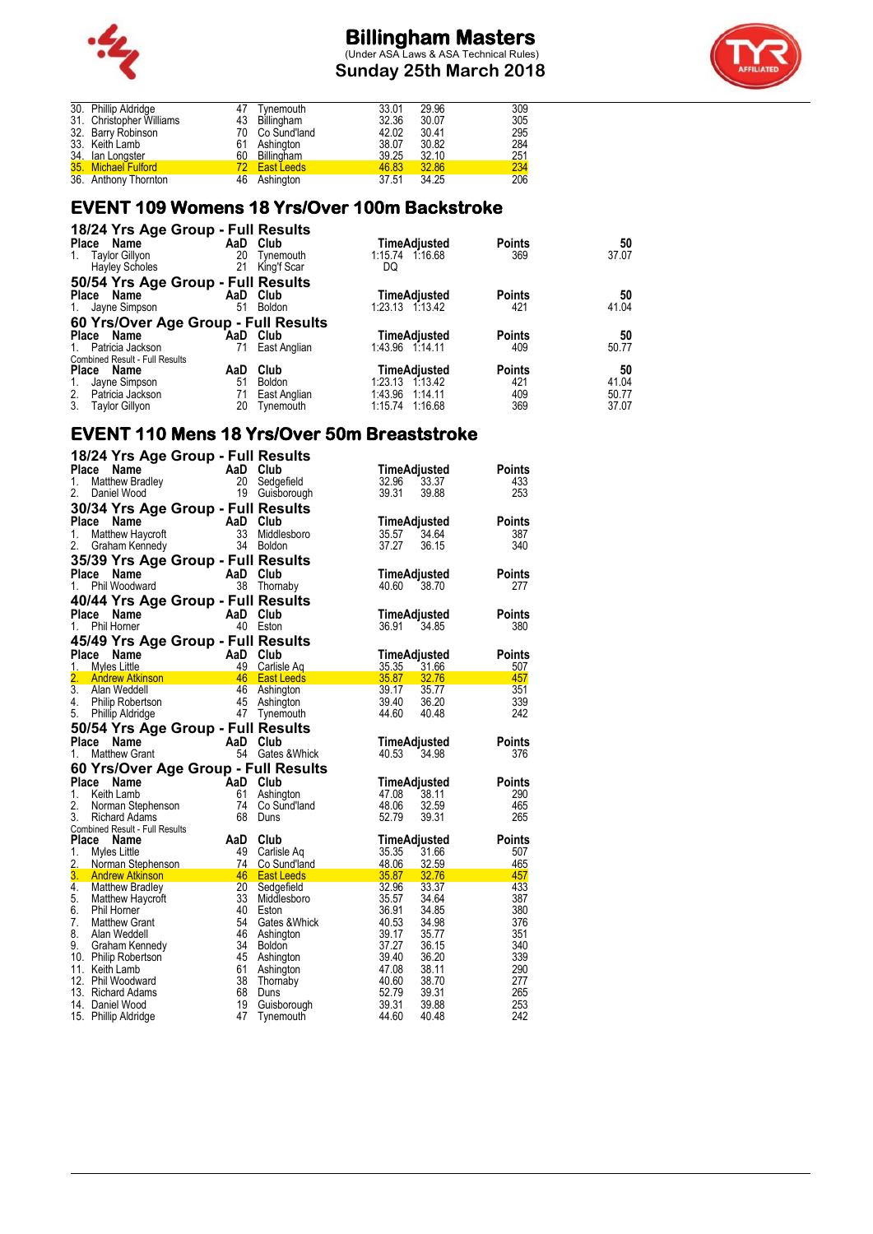

**Sunday 25th March 2018**



| 30. Phillip Aldridge     |              | Tynemouth         | 33.01 | 29.96 | 309 |
|--------------------------|--------------|-------------------|-------|-------|-----|
| 31. Christopher Williams |              | 43 Billingham     | 32.36 | 30.07 | 305 |
| 32. Barry Robinson       |              | 70 Co Sund'land   | 42.02 | 30.41 | 295 |
| 33. Keith Lamb           |              | 61 Ashington      | 38.07 | 30.82 | 284 |
| 34. Ian Longster         |              | 60 Billingham     | 39.25 | 32.10 | 251 |
| 35. Michael Fulford      | $72^{\circ}$ | <b>East Leeds</b> | 46.83 | 32.86 | 234 |
| 36. Anthony Thornton     |              | 46 Ashington      | 37.51 | 34.25 | 206 |
|                          |              |                   |       |       |     |

### **EVENT 109 Womens 18 Yrs/Over 100m Backstroke**

| 18/24 Yrs Age Group - Full Results    |     |               |                     |               |       |
|---------------------------------------|-----|---------------|---------------------|---------------|-------|
| Place Name                            |     | AaD Club      | TimeAdjusted        | <b>Points</b> | 50    |
| <b>Taylor Gillyon</b><br>1.           | 20  | Tynemouth     | 1:15.74 1:16.68     | 369           | 37.07 |
| <b>Hayley Scholes</b>                 | 21  | King'f Scar   | DQ                  |               |       |
| 50/54 Yrs Age Group - Full Results    |     |               |                     |               |       |
| Place Name                            |     | AaD Club      | <b>TimeAdjusted</b> | <b>Points</b> | 50    |
| 1. Jayne Simpson                      | 51  | <b>Boldon</b> | 1:23.13 1:13.42     | 421           | 41.04 |
| 60 Yrs/Over Age Group - Full Results  |     |               |                     |               |       |
| Place Name                            | AaD | Club          | TimeAdjusted        | <b>Points</b> | 50    |
| 1. Patricia Jackson                   | 71  | East Anglian  | 1:43.96 1:14.11     | 409           | 50.77 |
| <b>Combined Result - Full Results</b> |     |               |                     |               |       |
| Place Name                            | AaD | Club          | TimeAdjusted        | <b>Points</b> | 50    |
| Jayne Simpson<br>1.                   | 51  | <b>Boldon</b> | 1:23.13 1:13.42     | 421           | 41.04 |
| 2. Patricia Jackson                   | 71  | East Anglian  | 1:43.96 1:14.11     | 409           | 50.77 |
| 3.<br><b>Taylor Gillyon</b>           | 20  | Tynemouth     | 1:15.74 1:16.68     | 369           | 37.07 |

### **EVENT 110 Mens 18 Yrs/Over 50m Breaststroke**

| Place<br>Name                                                |          | 18/24 Yrs Age Group - Full Results |                         |                      |
|--------------------------------------------------------------|----------|------------------------------------|-------------------------|----------------------|
|                                                              | AaD Club |                                    | TimeAdjusted            | <b>Points</b>        |
| 1.<br>Matthew Bradley                                        | 20       | Sedgefield                         | 32.96<br>33.37          | 433                  |
| 2.<br>Daniel Wood                                            |          | 19 Guisborough                     | 39.31<br>39.88          | 253                  |
|                                                              |          |                                    |                         |                      |
| 30/34 Yrs Age Group - Full Results<br><b>Place</b>           | AaD      | Club                               |                         |                      |
| Name                                                         |          |                                    | <b>TimeAdjusted</b>     | <b>Points</b>        |
| 1.<br>Matthew Haycroft                                       | 33       | Middlesboro                        | 35.57<br>34.64          | 387                  |
| 2.<br>Graham Kennedy                                         | 34       | <b>Boldon</b>                      | 37.27<br>36.15          | 340                  |
| 35/39 Yrs Age Group - Full Results                           |          |                                    |                         |                      |
| Place<br>Name                                                | AaD      | Club                               | TimeAdjusted            | <b>Points</b>        |
| 1.<br>Phil Woodward                                          | 38       | Thornaby                           | 40.60<br>38.70          | 277                  |
| 40/44 Yrs Age Group - Full Results                           |          |                                    |                         |                      |
| <b>Place</b><br>Name                                         | AaD      | Club                               | <b>TimeAdjusted</b>     | <b>Points</b>        |
| 1.<br>Phil Horner                                            |          | 40 Eston                           | 36.91<br>34.85          | 380                  |
|                                                              |          |                                    |                         |                      |
| 45/49 Yrs Age Group - Full Results                           |          |                                    |                         |                      |
| <b>Place</b><br>Name                                         | AaD      | Club                               | <b>TimeAdjusted</b>     | <b>Points</b>        |
| 1.<br>Myles Little                                           | 49       | Carlisle Ag                        | 35.35<br>31.66          | 507                  |
| 2.<br><b>Andrew Atkinson</b>                                 | 46       | <b>East Leeds</b>                  | 35.87<br>32.76          | 457                  |
| $\overline{3}$ .<br>Alan Weddell                             | 46       | Ashington                          | 39.17<br>35.77          | 351                  |
| 4.<br>Philip Robertson                                       | 45       | Ashington                          | 39.40<br>36.20          | 339                  |
| 5.<br><b>Phillip Aldridge</b>                                |          | 47 Tynemouth                       | 44.60<br>40.48          | 242                  |
| 50/54 Yrs Age Group - Full Results                           |          |                                    |                         |                      |
| Place<br>Name                                                | AaD      | Club                               | TimeAdjusted            | <b>Points</b>        |
| 1.<br>Matthew Grant                                          | 54       | Gates &Whick                       | 40.53<br>34.98          | 376                  |
| 60 Yrs/Over Age Group - Full Results                         |          |                                    |                         |                      |
| Place<br><b>Name</b>                                         | AaD      | Club                               | TimeAdjusted            | <b>Points</b>        |
|                                                              |          |                                    |                         |                      |
|                                                              |          |                                    |                         |                      |
| 1.<br>Keith Lamb                                             | 61       | Ashington                          | 47.08<br>38.11          | 290                  |
| 2.<br>Norman Stephenson                                      | 74       | Co Sund'land                       | 48.06<br>32.59          | 465                  |
| 3.<br><b>Richard Adams</b>                                   | 68       | Duns                               | 52.79<br>39.31          | 265                  |
| <b>Combined Result - Full Results</b>                        | AaD      | Club                               |                         |                      |
| Place<br>Name<br>1.                                          | 49       |                                    | TimeAdjusted            | <b>Points</b><br>507 |
| Myles Little<br>2.                                           | 74       | Carlisle Ag<br>Co Sund'land        | 35.35<br>31.66<br>48.06 | 465                  |
| Norman Stephenson                                            | 46       | <b>East Leeds</b>                  | 32.59<br>35.87<br>32.76 | 457                  |
| 3 <sub>1</sub><br><b>Andrew Atkinson</b><br>$\overline{4}$ . | 20       |                                    | 33.37                   | 433                  |
| <b>Matthew Bradley</b>                                       | 33       | Sedgefield<br>Middlesboro          | 32.96<br>35.57<br>34.64 | 387                  |
| 5.<br>Matthew Haycroft<br>6.<br><b>Phil Horner</b>           | 40       | Eston                              | 36.91<br>34.85          | 380                  |
| 7.<br><b>Matthew Grant</b>                                   | 54       | Gates & Whick                      | 40.53<br>34.98          | 376                  |
| 8.<br>Alan Weddell                                           | 46       |                                    | 39.17<br>35.77          | 351                  |
| 9.<br>Graham Kennedy                                         | 34       | Ashington<br><b>Boldon</b>         | 37.27<br>36.15          | 340                  |
| 10. Philip Robertson                                         | 45       | Ashington                          | 39.40<br>36.20          | 339                  |
| 11. Keith Lamb                                               | 61       | Ashington                          | 47.08<br>38.11          | 290                  |
| 12. Phil Woodward                                            | 38       | Thornaby                           | 40.60<br>38.70          | 277                  |
| 13. Richard Adams                                            | 68       | Duns                               | 52.79<br>39.31          | 265                  |
| 14. Daniel Wood                                              | 19       | Guisborough                        | 39.31<br>39.88          | 253                  |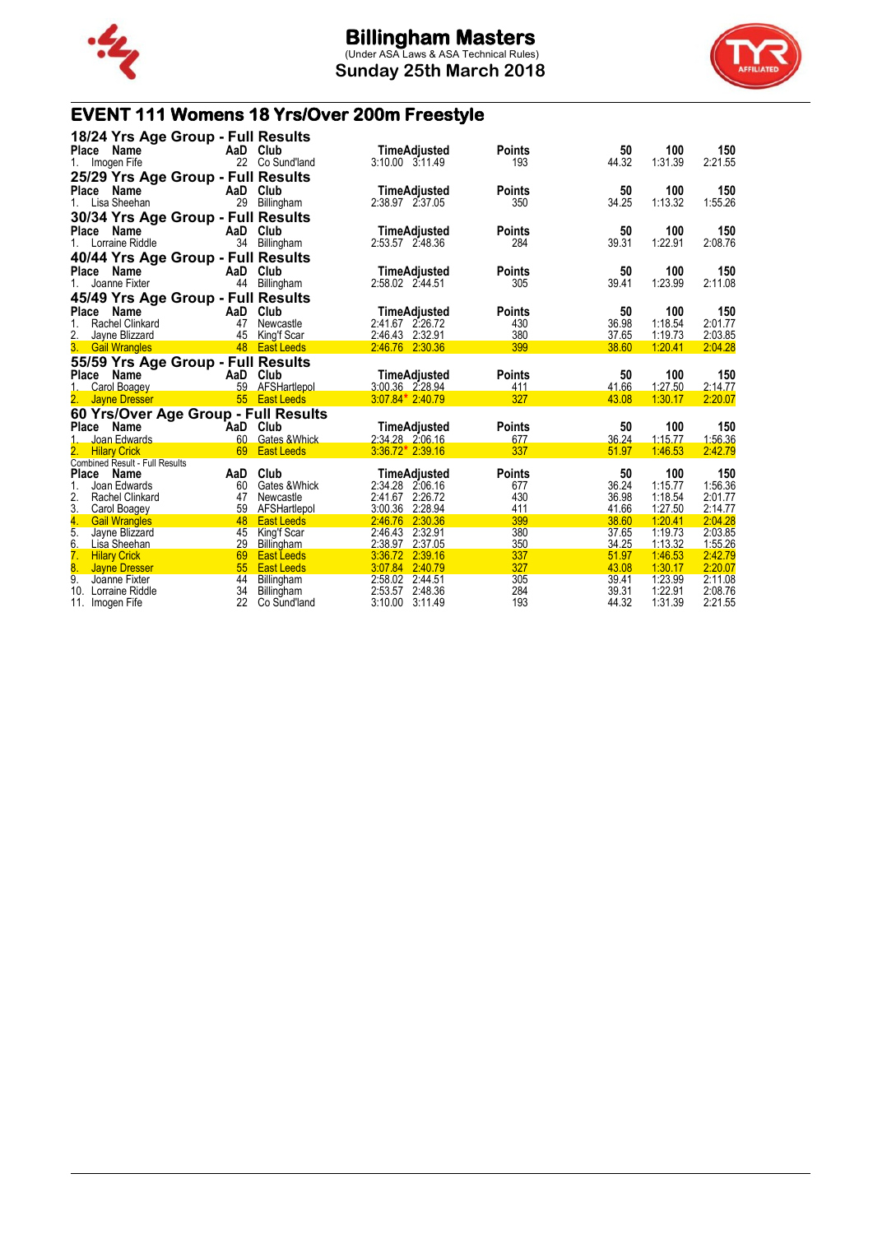

**Sunday 25th March 2018**



# **EVENT 111 Womens 18 Yrs/Over 200m Freestyle**

| Place         | Name                                                         | 18/24 Yrs Age Group - Full Results<br>AaD<br>22 | Club                                      | <b>TimeAdjusted</b>                                      | <b>Points</b>        | 50                      | 100                           | 150                           |
|---------------|--------------------------------------------------------------|-------------------------------------------------|-------------------------------------------|----------------------------------------------------------|----------------------|-------------------------|-------------------------------|-------------------------------|
| 1.            | Imogen Fife                                                  | 25/29 Yrs Age Group - Full Results              | Co Sund'land                              | $3:10.00$ $3:11.49$                                      | 193                  | 44.32                   | 1:31.39                       | 2:21.55                       |
| Place         | Name<br>1. Lisa Sheehan                                      | AaD Club<br>29                                  | Billingham                                | TimeAdjusted<br>2:38.97 2:37.05                          | <b>Points</b><br>350 | 50<br>34.25             | 100<br>1:13.32                | 150<br>1:55.26                |
| Place         | Name<br>1. Lorraine Riddle                                   | 30/34 Yrs Age Group - Full Results<br>AaD<br>34 | Club<br>Billingham                        | TimeAdjusted<br>2:53.57 2:48.36                          | <b>Points</b><br>284 | 50<br>39.31             | 100<br>1:22.91                | 150<br>2:08.76                |
| <b>Place</b>  | Name                                                         | 40/44 Yrs Age Group - Full Results<br>AaD       | Club                                      | TimeAdjusted                                             | <b>Points</b>        | 50                      | 100                           | 150                           |
| 1.            | Joanne Fixter                                                | 44                                              | Billingham                                | 2:58.02 2:44.51                                          | 305                  | 39.41                   | 1:23.99                       | 2:11.08                       |
| Place         | Name                                                         | 45/49 Yrs Age Group - Full Results<br>AaD       | Club                                      | TimeAdjusted                                             | <b>Points</b>        | 50                      | 100                           | 150                           |
| <u>2.</u>     | <b>Rachel Clinkard</b><br>Jayne Blizzard<br>3. Gail Wrangles | 47<br>45                                        | Newcastle<br>King'f Scar<br>48 East Leeds | 2:41.67 2:26.72<br>2:46.43<br>2:32.91<br>2:46.76 2:30.36 | 430<br>380<br>399    | 36.98<br>37.65<br>38.60 | 1:18.54<br>1:19.73<br>1:20.41 | 2:01.77<br>2:03.85<br>2:04.28 |
|               |                                                              | 55/59 Yrs Age Group - Full Results              |                                           |                                                          |                      |                         |                               |                               |
| Place         | Name<br>Carol Boagey                                         | AaD<br>59                                       | Club<br>AFSHartlepol                      | <b>TimeAdjusted</b><br>3:00.36 2.28.94                   | <b>Points</b><br>411 | 50<br>41.66             | 100<br>1:27.50                | 150<br>2:14.77                |
| 2.            | <b>Jayne Dresser</b>                                         | 55<br>60 Yrs/Over Age Group - Full Results      | <b>East Leeds</b>                         | $3.07.84*2.40.79$                                        | 327                  | 43.08                   | 1:30.17                       | 2:20.07                       |
| Place         | Name                                                         | AaD                                             | Club                                      | TimeAdjusted                                             | <b>Points</b>        | 50                      | 100                           | 150                           |
|               | Joan Edwards                                                 | 60                                              | Gates & Whick                             | 2:34.28 2:06.16                                          | 677                  | 36.24                   | 1:15.77                       | 1:56.36                       |
| 2.            | <b>Hilary Crick</b><br><b>Combined Result - Full Results</b> | 69                                              | <b>East Leeds</b>                         | $3.36.72*2.39.16$                                        | 337                  | 51.97                   | 1:46.53                       | 2:42.79                       |
| <b>Place</b>  | Name                                                         | AaD                                             | Club                                      | TimeAdjusted                                             | <b>Points</b>        | 50                      | 100                           | 150                           |
|               | Joan Edwards                                                 | 60                                              | Gates & Whick                             | 2:34.28 2:06.16                                          | 677                  | 36.24                   | 1:15.77                       | 1:56.36                       |
| 2.<br>3.      | <b>Rachel Clinkard</b><br>Carol Boagey                       | 47<br>59                                        | Newcastle<br>AFSHartlepol                 | 2:41.67<br>2:26.72<br>3:00.36<br>2:28.94                 | 430<br>411           | 36.98<br>41.66          | 1:18.54<br>1:27.50            | 2:01.77<br>2:14.77            |
|               | <b>Gail Wrangles</b>                                         | 48                                              | <b>East Leeds</b>                         | 2:30.36<br>2:46.76                                       | 399                  | 38.60                   | 1:20.41                       | 2:04.28                       |
| $\frac{4}{5}$ | Jayne Blizzard                                               | 45                                              | King'f Scar                               | 2:46.43 2:32.91                                          | 380                  | 37.65                   | 1:19.73                       | 2:03.85                       |
| 6.            | Lisa Sheehan                                                 | 29                                              | <b>Billingham</b>                         | 2:38.97<br>2:37.05                                       | 350                  | 34.25                   | 1:13.32                       | 1:55.26                       |
| 7.            | <b>Hilary Crick</b>                                          | 69                                              | <b>East Leeds</b>                         | 3:36.72<br>2:39.16                                       | 337                  | 51.97                   | 1:46.53                       | 2:42.79                       |
| 8.            |                                                              |                                                 |                                           |                                                          |                      |                         |                               |                               |
|               | <b>Jayne Dresser</b>                                         | 55                                              | <b>East Leeds</b>                         | 2:40.79<br>3:07.84                                       | 327                  | 43.08                   | 1:30.17                       | 2:20.07                       |
| 9.<br>10.     | Joanne Fixter<br>Lorraine Riddle                             | 44<br>34                                        | Billingham<br>Billingham                  | 2:58.02<br>2:44.51<br>2:53.57<br>2:48.36                 | 305<br>284           | 39.41<br>39.31          | 1:23.99<br>1:22.91            | 2:11.08<br>2:08.76            |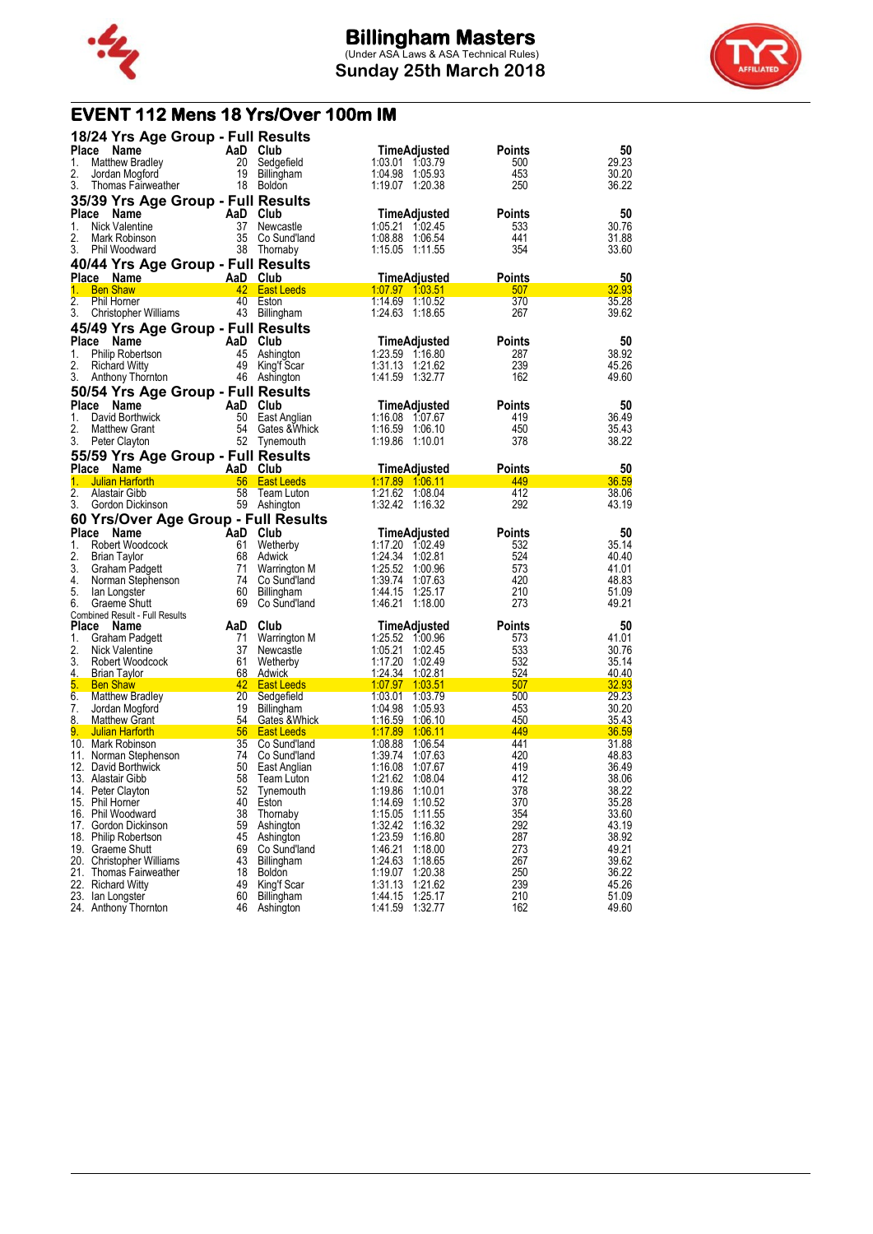



## **EVENT 112 Mens 18 Yrs/Over 100m IM**

| 18/24 Yrs Age Group - Full Results             |                                        |                                          |               |                         |
|------------------------------------------------|----------------------------------------|------------------------------------------|---------------|-------------------------|
| <b>Place</b><br>Name                           | AaD Club                               | <b>TimeAdjusted</b>                      | Points        | 50                      |
| 1.<br><b>Matthew Bradley</b>                   | 20<br>Sedgefield                       | 1:03.01 1:03.79                          | 500           | 29.23                   |
| 2.<br>Jordan Mogford                           | 19 Billingham                          | 1:04.98 1:05.93                          | 453           | 30.20                   |
| 3.<br>Thomas Fairweather                       | 18 Boldon                              | 1:19.07 1:20.38                          | 250           | 36.22                   |
| 35/39 Yrs Age Group - Full Results             |                                        |                                          |               |                         |
| Place<br>Name                                  | AaD Club                               | TimeAdjusted                             | Points        | 50                      |
| Nick Valentine<br>1.                           | 37<br>Newcastle                        | 1:05.21 1:02.45                          | 533           | 30.76                   |
| 2.<br>Mark Robinson                            | 35<br>Co Sund'land                     | 1:08.88 1:06.54                          | 441           | 31.88                   |
| 3.<br>Phil Woodward                            | 38<br>Thornaby                         | 1:15.05 1:11.55                          | 354           | 33.60                   |
| 40/44 Yrs Age Group - Full Results             |                                        |                                          |               |                         |
| Place Name                                     | AaD Club                               | TimeAdjusted                             | Points        | 50                      |
| 1.<br><b>Ben Shaw</b>                          | 42<br><b>East Leeds</b>                |                                          | 507           | 32.93                   |
| 2.<br>Phil Horner                              | 40 Eston                               | 1:14.69 1:10.52                          | 370           | 35.28                   |
| 3.<br>Christopher Williams                     | 43 Billingham                          | 1:24.63 1:18.65                          | 267           | 39.62                   |
| 45/49 Yrs Age Group - Full Results             |                                        |                                          |               |                         |
| Place Name                                     | AaD Club                               | TimeAdjusted                             | Points        | 50                      |
| 1.<br>Philip Robertson                         | 45 Ashington                           | 1:23.59 1:16.80                          | 287           | 38.92                   |
| 2.<br><b>Richard Witty</b><br>3.               | 49 King'f Scar                         | 1:31.13 1:21.62<br>1:41.59 1:32.77       | 239<br>162    | 45.26<br>49.60          |
| Anthony Thornton                               | 46 Ashington                           |                                          |               |                         |
| 50/54 Yrs Age Group - Full Results             |                                        |                                          |               |                         |
| Place<br>Name                                  | AaD Club                               | TimeAdjusted                             | Points        | 50                      |
| 1.<br>David Borthwick<br>2.                    | 50<br>East Anglian                     | 1:16.08 1:07.67                          | 419           | 36.49                   |
| <b>Matthew Grant</b><br>3.<br>Peter Clayton    | 54 Gates & Whick<br>52 Tynemouth       | 1:16.59 1:06.10<br>1:19.86 1:10.01       | 450<br>378    | 35.43<br>38.22          |
|                                                |                                        |                                          |               |                         |
| 55/59 Yrs Age Group - Full Results             |                                        |                                          |               |                         |
| Place Name<br>1.<br><b>Julian Harforth</b>     | AaD Club<br>56 East Leeds              | TimeAdjusted<br>1.17.89 1.06.11          | Points<br>449 | 50<br>36.59             |
| 2.<br>Alastair Gibb                            | 58<br>Team Luton                       | 1:21.62 1:08.04                          | 412           | 38.06                   |
| 3.<br>Gordon Dickinson                         | 59 Ashington                           | 1:32.42 1:16.32                          | 292           | 43.19                   |
| 60 Yrs/Over Age Group - Full Results           |                                        |                                          |               |                         |
| Place Name                                     | AaD Club                               | TimeAdjusted                             | <b>Points</b> | 50                      |
| 1.<br>Robert Woodcock                          | 61<br>Wetherby                         | 1:17.20 1:02.49                          | 532           | 35.14                   |
| 2.<br><b>Brian Taylor</b>                      | 68<br>Adwick                           | 1:24.34<br>1:02.81                       | 524           | 40.40                   |
| 3.<br>Graham Padgett                           | 71<br>Warrington M                     | 1:25.52<br>1:00.96                       | 573           | 41.01                   |
| 4.<br>Norman Stephenson                        | 74<br>Co Sund'land                     | 1:39.74<br>1:07.63                       | 420           | 48.83                   |
| 5.<br>lan Longster                             | 60<br>Billingham                       | 1:44.15<br>1:25.17                       | 210           | 51.09                   |
| 6.<br>Graeme Shutt                             | 69<br>Co Sund'land                     | 1:46.21 1:18.00                          | 273           | 49.21                   |
| <b>Combined Result - Full Results</b><br>Place | Club                                   |                                          | Points        | 50                      |
| Name<br>1.<br>Graham Padgett                   | AaD<br>71                              | TimeAdjusted<br>1:25.52 1:00.96          | 573           | 41.01                   |
| 2.<br>Nick Valentine                           | Warrington M<br>37<br>Newcastle        | 1:05.21<br>1:02.45                       | 533           | 30.76                   |
| 3.<br>Robert Woodcock                          | 61<br>Wetherby                         | 1:17.20<br>1:02.49                       | 532           | 35.14                   |
| 4.<br>Brian Taylor                             | 68 Adwick                              | 1:24.34 1:02.81                          | 524           | 40.40                   |
| 5.<br><b>Ben Shaw</b>                          | 42 East Leeds                          | 1.07.97 1.03.51                          | 507           | 32.93                   |
| 6.<br><b>Matthew Bradley</b>                   | 20<br>Sedgefield                       | 1:03.01<br>1:03.79                       | 500           | 29.23                   |
| 7.<br>Jordan Mogford                           | 19<br>Billingham                       | 1:04.98<br>1:05.93                       | 453           | 30.20                   |
| 8.<br><b>Matthew Grant</b>                     | 54<br>Gates & Whick                    | <u>1:16.59</u><br><u>1:06.10</u>         | 450           | 35.43                   |
| 9.<br><b>Julian Harforth</b>                   | 56 East Leeds                          | 1:17.89 1:06.11                          | 449           | 36.59                   |
| 10. Mark Robinson                              | 35 Co Sund'land                        | 1:08.88 1:06.54                          | 441           | 31.88                   |
| 11. Norman Stephenson                          | 74<br>Co Sund'land                     | 1:39.74<br>1:07.63                       | 420           | 48.83                   |
| 12. David Borthwick<br>13. Alastair Gibb       | 50<br>East Anglian<br>58<br>Team Luton | 1:16.08<br>1:07.67<br>1.08.04            | 419<br>412    | 36.49<br>38.06          |
| 14. Peter Clayton                              | 52                                     | 1:21.62<br>1:19.86<br>1:10.01            | 378           | 38.22                   |
| 15. Phil Horner                                | Tynemouth<br>40<br>Eston               | 1:14.69 1:10.52                          | 370           | 35.28                   |
| 16. Phil Woodward                              | 38<br>Thornaby                         | 1:15.05<br>1:11.55                       | 354           | 33.60                   |
| 17. Gordon Dickinson                           | 59<br>Ashington                        | 1:32.42<br>1:16.32                       | 292           | 43.19                   |
| 18. Philip Robertson                           |                                        |                                          | 287           | 38.92                   |
|                                                | 45<br>Ashington                        | 1:23.59<br>1:16.80                       |               |                         |
| 19. Graeme Shutt                               | 69<br>Co Sund'land                     | 1:46.21<br>1:18.00                       | 273           | 49.21                   |
| 20. Christopher Williams                       | 43<br>Billingham                       | 1:24.63<br>1:18.65                       | 267           | 39.62                   |
| 21. Thomas Fairweather                         | 18<br><b>Boldon</b>                    | 1:19.07<br>1:20.38                       | 250           | 36.22                   |
| 22. Richard Witty                              | 49<br>King'f Scar                      | 1:31.13<br>1:21.62                       | 239           |                         |
| 23. Ian Longster<br>24. Anthony Thornton       | 60<br>Billingham<br>46<br>Ashington    | 1:44.15<br>1:25.17<br>1:41.59<br>1:32.77 | 210<br>162    | 45.26<br>51.09<br>49.60 |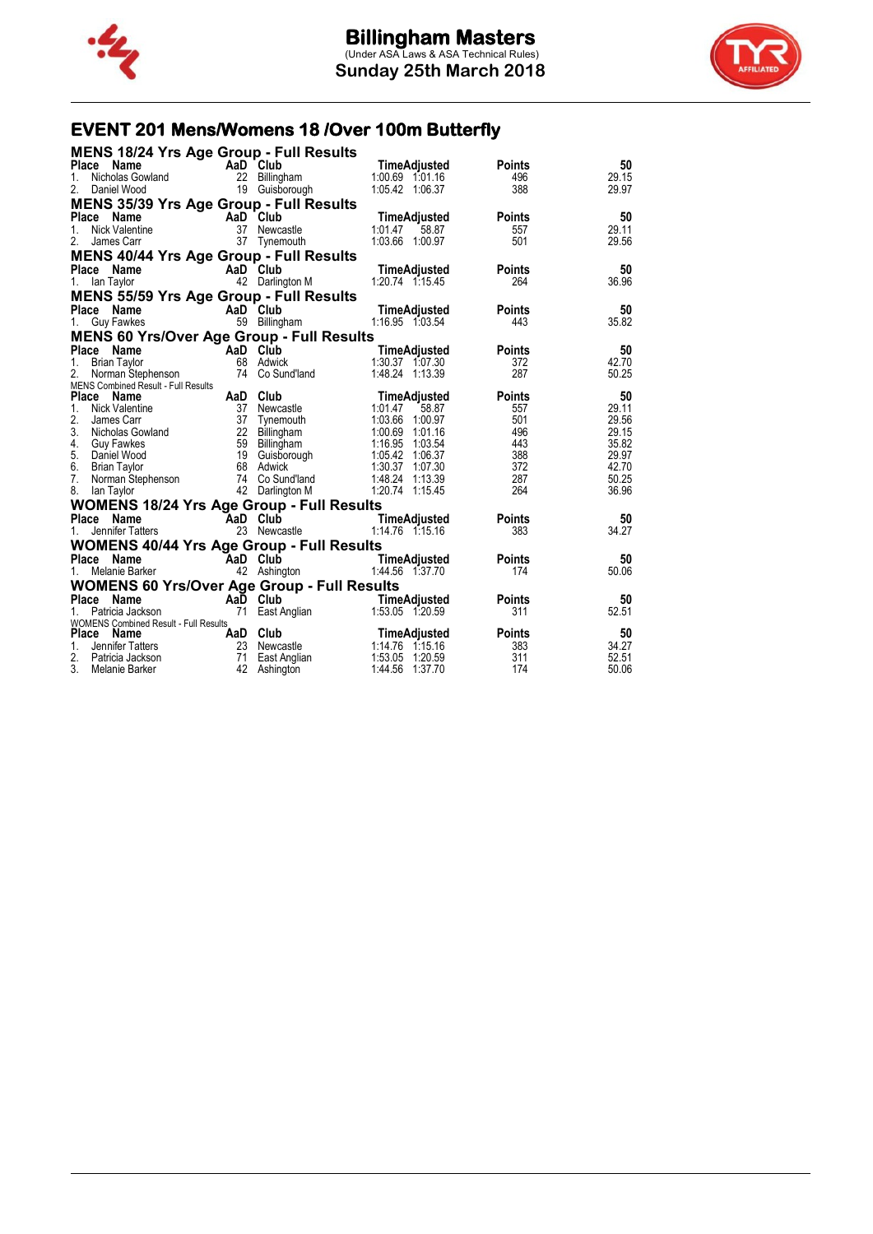



# **EVENT 201 Mens/Womens 18 /Over 100m Butterfly**

| Ce Name Manne Manne Club Time Adjusted<br>Nicholas Gowland 22 Billingham 1:00.69 1:01.16<br>Daniel Wood 19 Guisborough 1:05.42 1:06.37<br>Place Name<br>50<br><b>Points</b><br>29.15<br>1.<br>496<br>2. Daniel Wood<br>388<br>29.97<br><b>MENS 35/39 Yrs Age Group - Full Results</b><br><b>COMPRESS CONTRETS CONTRESS CONTRES</b><br>Nick Valentine 37 Newca<br>James Carr 37 Tynem<br>50<br><b>aD Club</b><br>37 Newcastle 1:01.47 58.87<br>37 Tynemouth 1:03.66 1:00.97<br>Place Name<br><b>Points</b><br>1.<br>29.11<br>557<br>2.<br>501<br>29.56<br>MENS 40/44 Yrs Age Group - Full Results<br><b>Ce Name</b><br>lan Taylor <b>Capacity AaD Club</b><br>42 Darlington M<br>TimeAdjusted<br>50<br>Place Name<br><b>Points</b><br>1:20.74 1:15.45<br>36.96<br>1.<br>264<br><b>MENS 55/59 Yrs Age Group - Full Results</b><br>TimeAdjusted<br>50<br><b>Place Name</b><br>1. Guy Fawkes <b>Contains Container State AD Club</b><br><b>Points</b><br>a <b>D</b> C <b>IUD</b><br>59 Billingham<br>1:16.95 1:03.54<br>35.82<br>443<br><b>MENS 60 Yrs/Over Age Group - Full Results</b><br>Place Name<br>Ce Name<br>Brian Taylor<br>Norman Stephenson<br>74 Co Sund'land<br>50<br><b>Points</b><br>42.70<br>1.<br>372<br>1:48.24 1:13.39<br>50.25<br>2.<br>287<br>MENS Combined Result - Full Results<br>MENS Combined Result - Full Results<br><b>Pace Committee State of the Committee State of the Committee State of the Committee State of the Committee State of the Committee State of the Committee State of the Committee State of</b><br>50<br><b>Points</b><br>29.11<br>557<br>501<br>29.56<br>496<br>29.15<br>443<br>35.82<br>388<br>29.97<br>372<br>42.70<br>287<br>50.25<br>8. Ian Taylor<br>264<br>36.96<br><b>WOMENS 18/24 Yrs Age Group - Full Results</b><br><b>Ce Name</b><br><b>Ce Name Tallers CAD Club</b><br>23 Newcastle 1:14.76 1:15.16<br>Place Name<br>50<br><b>Points</b><br>34.27<br>383<br>1.<br><b>WOMENS 40/44 Yrs Age Group - Full Results</b><br><b>Place Name</b><br><b>1.</b> Melanie Barker<br><b>1.44.56</b> 1.37.70<br>50<br><b>Points</b><br>50.06<br>174<br><b>WOMENS 60 Yrs/Over Age Group - Full Results<br/>Place Name AaD Club TimeAdjusted<br/>1. Patricia Jackson 71 East Anglian 1.53.05 1:20.59</b><br>50<br><b>Points</b><br>52.51<br>311<br><b>WOMENS Combined Result - Full Results</b><br>And Club<br>1. Jennier Tatters<br>2. Patricia Jackson<br>2. Patricia Jackson<br>2. Patricia Jackson<br>2. Patricia Jackson<br>2. Patricia Jackson<br>2. Patricia Jackson<br>2. Patricia Jackson<br>2. Ashington<br>4. Ashington<br>2. Ashington<br>2<br>50<br><b>Points</b><br>34.27<br>383<br>311<br>52.51 | <b>MENS 18/24 Yrs Age Group - Full Results</b> |  |     |       |
|---------------------------------------------------------------------------------------------------------------------------------------------------------------------------------------------------------------------------------------------------------------------------------------------------------------------------------------------------------------------------------------------------------------------------------------------------------------------------------------------------------------------------------------------------------------------------------------------------------------------------------------------------------------------------------------------------------------------------------------------------------------------------------------------------------------------------------------------------------------------------------------------------------------------------------------------------------------------------------------------------------------------------------------------------------------------------------------------------------------------------------------------------------------------------------------------------------------------------------------------------------------------------------------------------------------------------------------------------------------------------------------------------------------------------------------------------------------------------------------------------------------------------------------------------------------------------------------------------------------------------------------------------------------------------------------------------------------------------------------------------------------------------------------------------------------------------------------------------------------------------------------------------------------------------------------------------------------------------------------------------------------------------------------------------------------------------------------------------------------------------------------------------------------------------------------------------------------------------------------------------------------------------------------------------------------------------------------------------------------------------------------------------------------------------------------------------------------------------------------------------------------------------------------------------------------------------------------------------------------------------------------------------------|------------------------------------------------|--|-----|-------|
|                                                                                                                                                                                                                                                                                                                                                                                                                                                                                                                                                                                                                                                                                                                                                                                                                                                                                                                                                                                                                                                                                                                                                                                                                                                                                                                                                                                                                                                                                                                                                                                                                                                                                                                                                                                                                                                                                                                                                                                                                                                                                                                                                                                                                                                                                                                                                                                                                                                                                                                                                                                                                                                         |                                                |  |     |       |
|                                                                                                                                                                                                                                                                                                                                                                                                                                                                                                                                                                                                                                                                                                                                                                                                                                                                                                                                                                                                                                                                                                                                                                                                                                                                                                                                                                                                                                                                                                                                                                                                                                                                                                                                                                                                                                                                                                                                                                                                                                                                                                                                                                                                                                                                                                                                                                                                                                                                                                                                                                                                                                                         |                                                |  |     |       |
|                                                                                                                                                                                                                                                                                                                                                                                                                                                                                                                                                                                                                                                                                                                                                                                                                                                                                                                                                                                                                                                                                                                                                                                                                                                                                                                                                                                                                                                                                                                                                                                                                                                                                                                                                                                                                                                                                                                                                                                                                                                                                                                                                                                                                                                                                                                                                                                                                                                                                                                                                                                                                                                         |                                                |  |     |       |
|                                                                                                                                                                                                                                                                                                                                                                                                                                                                                                                                                                                                                                                                                                                                                                                                                                                                                                                                                                                                                                                                                                                                                                                                                                                                                                                                                                                                                                                                                                                                                                                                                                                                                                                                                                                                                                                                                                                                                                                                                                                                                                                                                                                                                                                                                                                                                                                                                                                                                                                                                                                                                                                         |                                                |  |     |       |
|                                                                                                                                                                                                                                                                                                                                                                                                                                                                                                                                                                                                                                                                                                                                                                                                                                                                                                                                                                                                                                                                                                                                                                                                                                                                                                                                                                                                                                                                                                                                                                                                                                                                                                                                                                                                                                                                                                                                                                                                                                                                                                                                                                                                                                                                                                                                                                                                                                                                                                                                                                                                                                                         |                                                |  |     |       |
|                                                                                                                                                                                                                                                                                                                                                                                                                                                                                                                                                                                                                                                                                                                                                                                                                                                                                                                                                                                                                                                                                                                                                                                                                                                                                                                                                                                                                                                                                                                                                                                                                                                                                                                                                                                                                                                                                                                                                                                                                                                                                                                                                                                                                                                                                                                                                                                                                                                                                                                                                                                                                                                         |                                                |  |     |       |
|                                                                                                                                                                                                                                                                                                                                                                                                                                                                                                                                                                                                                                                                                                                                                                                                                                                                                                                                                                                                                                                                                                                                                                                                                                                                                                                                                                                                                                                                                                                                                                                                                                                                                                                                                                                                                                                                                                                                                                                                                                                                                                                                                                                                                                                                                                                                                                                                                                                                                                                                                                                                                                                         |                                                |  |     |       |
|                                                                                                                                                                                                                                                                                                                                                                                                                                                                                                                                                                                                                                                                                                                                                                                                                                                                                                                                                                                                                                                                                                                                                                                                                                                                                                                                                                                                                                                                                                                                                                                                                                                                                                                                                                                                                                                                                                                                                                                                                                                                                                                                                                                                                                                                                                                                                                                                                                                                                                                                                                                                                                                         |                                                |  |     |       |
|                                                                                                                                                                                                                                                                                                                                                                                                                                                                                                                                                                                                                                                                                                                                                                                                                                                                                                                                                                                                                                                                                                                                                                                                                                                                                                                                                                                                                                                                                                                                                                                                                                                                                                                                                                                                                                                                                                                                                                                                                                                                                                                                                                                                                                                                                                                                                                                                                                                                                                                                                                                                                                                         |                                                |  |     |       |
|                                                                                                                                                                                                                                                                                                                                                                                                                                                                                                                                                                                                                                                                                                                                                                                                                                                                                                                                                                                                                                                                                                                                                                                                                                                                                                                                                                                                                                                                                                                                                                                                                                                                                                                                                                                                                                                                                                                                                                                                                                                                                                                                                                                                                                                                                                                                                                                                                                                                                                                                                                                                                                                         |                                                |  |     |       |
|                                                                                                                                                                                                                                                                                                                                                                                                                                                                                                                                                                                                                                                                                                                                                                                                                                                                                                                                                                                                                                                                                                                                                                                                                                                                                                                                                                                                                                                                                                                                                                                                                                                                                                                                                                                                                                                                                                                                                                                                                                                                                                                                                                                                                                                                                                                                                                                                                                                                                                                                                                                                                                                         |                                                |  |     |       |
|                                                                                                                                                                                                                                                                                                                                                                                                                                                                                                                                                                                                                                                                                                                                                                                                                                                                                                                                                                                                                                                                                                                                                                                                                                                                                                                                                                                                                                                                                                                                                                                                                                                                                                                                                                                                                                                                                                                                                                                                                                                                                                                                                                                                                                                                                                                                                                                                                                                                                                                                                                                                                                                         |                                                |  |     |       |
|                                                                                                                                                                                                                                                                                                                                                                                                                                                                                                                                                                                                                                                                                                                                                                                                                                                                                                                                                                                                                                                                                                                                                                                                                                                                                                                                                                                                                                                                                                                                                                                                                                                                                                                                                                                                                                                                                                                                                                                                                                                                                                                                                                                                                                                                                                                                                                                                                                                                                                                                                                                                                                                         |                                                |  |     |       |
|                                                                                                                                                                                                                                                                                                                                                                                                                                                                                                                                                                                                                                                                                                                                                                                                                                                                                                                                                                                                                                                                                                                                                                                                                                                                                                                                                                                                                                                                                                                                                                                                                                                                                                                                                                                                                                                                                                                                                                                                                                                                                                                                                                                                                                                                                                                                                                                                                                                                                                                                                                                                                                                         |                                                |  |     |       |
|                                                                                                                                                                                                                                                                                                                                                                                                                                                                                                                                                                                                                                                                                                                                                                                                                                                                                                                                                                                                                                                                                                                                                                                                                                                                                                                                                                                                                                                                                                                                                                                                                                                                                                                                                                                                                                                                                                                                                                                                                                                                                                                                                                                                                                                                                                                                                                                                                                                                                                                                                                                                                                                         |                                                |  |     |       |
|                                                                                                                                                                                                                                                                                                                                                                                                                                                                                                                                                                                                                                                                                                                                                                                                                                                                                                                                                                                                                                                                                                                                                                                                                                                                                                                                                                                                                                                                                                                                                                                                                                                                                                                                                                                                                                                                                                                                                                                                                                                                                                                                                                                                                                                                                                                                                                                                                                                                                                                                                                                                                                                         |                                                |  |     |       |
|                                                                                                                                                                                                                                                                                                                                                                                                                                                                                                                                                                                                                                                                                                                                                                                                                                                                                                                                                                                                                                                                                                                                                                                                                                                                                                                                                                                                                                                                                                                                                                                                                                                                                                                                                                                                                                                                                                                                                                                                                                                                                                                                                                                                                                                                                                                                                                                                                                                                                                                                                                                                                                                         |                                                |  |     |       |
|                                                                                                                                                                                                                                                                                                                                                                                                                                                                                                                                                                                                                                                                                                                                                                                                                                                                                                                                                                                                                                                                                                                                                                                                                                                                                                                                                                                                                                                                                                                                                                                                                                                                                                                                                                                                                                                                                                                                                                                                                                                                                                                                                                                                                                                                                                                                                                                                                                                                                                                                                                                                                                                         |                                                |  |     |       |
|                                                                                                                                                                                                                                                                                                                                                                                                                                                                                                                                                                                                                                                                                                                                                                                                                                                                                                                                                                                                                                                                                                                                                                                                                                                                                                                                                                                                                                                                                                                                                                                                                                                                                                                                                                                                                                                                                                                                                                                                                                                                                                                                                                                                                                                                                                                                                                                                                                                                                                                                                                                                                                                         |                                                |  |     |       |
|                                                                                                                                                                                                                                                                                                                                                                                                                                                                                                                                                                                                                                                                                                                                                                                                                                                                                                                                                                                                                                                                                                                                                                                                                                                                                                                                                                                                                                                                                                                                                                                                                                                                                                                                                                                                                                                                                                                                                                                                                                                                                                                                                                                                                                                                                                                                                                                                                                                                                                                                                                                                                                                         |                                                |  |     |       |
|                                                                                                                                                                                                                                                                                                                                                                                                                                                                                                                                                                                                                                                                                                                                                                                                                                                                                                                                                                                                                                                                                                                                                                                                                                                                                                                                                                                                                                                                                                                                                                                                                                                                                                                                                                                                                                                                                                                                                                                                                                                                                                                                                                                                                                                                                                                                                                                                                                                                                                                                                                                                                                                         |                                                |  |     |       |
|                                                                                                                                                                                                                                                                                                                                                                                                                                                                                                                                                                                                                                                                                                                                                                                                                                                                                                                                                                                                                                                                                                                                                                                                                                                                                                                                                                                                                                                                                                                                                                                                                                                                                                                                                                                                                                                                                                                                                                                                                                                                                                                                                                                                                                                                                                                                                                                                                                                                                                                                                                                                                                                         |                                                |  |     |       |
|                                                                                                                                                                                                                                                                                                                                                                                                                                                                                                                                                                                                                                                                                                                                                                                                                                                                                                                                                                                                                                                                                                                                                                                                                                                                                                                                                                                                                                                                                                                                                                                                                                                                                                                                                                                                                                                                                                                                                                                                                                                                                                                                                                                                                                                                                                                                                                                                                                                                                                                                                                                                                                                         |                                                |  |     |       |
|                                                                                                                                                                                                                                                                                                                                                                                                                                                                                                                                                                                                                                                                                                                                                                                                                                                                                                                                                                                                                                                                                                                                                                                                                                                                                                                                                                                                                                                                                                                                                                                                                                                                                                                                                                                                                                                                                                                                                                                                                                                                                                                                                                                                                                                                                                                                                                                                                                                                                                                                                                                                                                                         |                                                |  |     |       |
|                                                                                                                                                                                                                                                                                                                                                                                                                                                                                                                                                                                                                                                                                                                                                                                                                                                                                                                                                                                                                                                                                                                                                                                                                                                                                                                                                                                                                                                                                                                                                                                                                                                                                                                                                                                                                                                                                                                                                                                                                                                                                                                                                                                                                                                                                                                                                                                                                                                                                                                                                                                                                                                         |                                                |  |     |       |
|                                                                                                                                                                                                                                                                                                                                                                                                                                                                                                                                                                                                                                                                                                                                                                                                                                                                                                                                                                                                                                                                                                                                                                                                                                                                                                                                                                                                                                                                                                                                                                                                                                                                                                                                                                                                                                                                                                                                                                                                                                                                                                                                                                                                                                                                                                                                                                                                                                                                                                                                                                                                                                                         |                                                |  |     |       |
|                                                                                                                                                                                                                                                                                                                                                                                                                                                                                                                                                                                                                                                                                                                                                                                                                                                                                                                                                                                                                                                                                                                                                                                                                                                                                                                                                                                                                                                                                                                                                                                                                                                                                                                                                                                                                                                                                                                                                                                                                                                                                                                                                                                                                                                                                                                                                                                                                                                                                                                                                                                                                                                         |                                                |  |     |       |
|                                                                                                                                                                                                                                                                                                                                                                                                                                                                                                                                                                                                                                                                                                                                                                                                                                                                                                                                                                                                                                                                                                                                                                                                                                                                                                                                                                                                                                                                                                                                                                                                                                                                                                                                                                                                                                                                                                                                                                                                                                                                                                                                                                                                                                                                                                                                                                                                                                                                                                                                                                                                                                                         |                                                |  |     |       |
|                                                                                                                                                                                                                                                                                                                                                                                                                                                                                                                                                                                                                                                                                                                                                                                                                                                                                                                                                                                                                                                                                                                                                                                                                                                                                                                                                                                                                                                                                                                                                                                                                                                                                                                                                                                                                                                                                                                                                                                                                                                                                                                                                                                                                                                                                                                                                                                                                                                                                                                                                                                                                                                         |                                                |  |     |       |
|                                                                                                                                                                                                                                                                                                                                                                                                                                                                                                                                                                                                                                                                                                                                                                                                                                                                                                                                                                                                                                                                                                                                                                                                                                                                                                                                                                                                                                                                                                                                                                                                                                                                                                                                                                                                                                                                                                                                                                                                                                                                                                                                                                                                                                                                                                                                                                                                                                                                                                                                                                                                                                                         |                                                |  |     |       |
|                                                                                                                                                                                                                                                                                                                                                                                                                                                                                                                                                                                                                                                                                                                                                                                                                                                                                                                                                                                                                                                                                                                                                                                                                                                                                                                                                                                                                                                                                                                                                                                                                                                                                                                                                                                                                                                                                                                                                                                                                                                                                                                                                                                                                                                                                                                                                                                                                                                                                                                                                                                                                                                         |                                                |  |     |       |
|                                                                                                                                                                                                                                                                                                                                                                                                                                                                                                                                                                                                                                                                                                                                                                                                                                                                                                                                                                                                                                                                                                                                                                                                                                                                                                                                                                                                                                                                                                                                                                                                                                                                                                                                                                                                                                                                                                                                                                                                                                                                                                                                                                                                                                                                                                                                                                                                                                                                                                                                                                                                                                                         |                                                |  |     |       |
|                                                                                                                                                                                                                                                                                                                                                                                                                                                                                                                                                                                                                                                                                                                                                                                                                                                                                                                                                                                                                                                                                                                                                                                                                                                                                                                                                                                                                                                                                                                                                                                                                                                                                                                                                                                                                                                                                                                                                                                                                                                                                                                                                                                                                                                                                                                                                                                                                                                                                                                                                                                                                                                         |                                                |  |     |       |
|                                                                                                                                                                                                                                                                                                                                                                                                                                                                                                                                                                                                                                                                                                                                                                                                                                                                                                                                                                                                                                                                                                                                                                                                                                                                                                                                                                                                                                                                                                                                                                                                                                                                                                                                                                                                                                                                                                                                                                                                                                                                                                                                                                                                                                                                                                                                                                                                                                                                                                                                                                                                                                                         |                                                |  |     |       |
|                                                                                                                                                                                                                                                                                                                                                                                                                                                                                                                                                                                                                                                                                                                                                                                                                                                                                                                                                                                                                                                                                                                                                                                                                                                                                                                                                                                                                                                                                                                                                                                                                                                                                                                                                                                                                                                                                                                                                                                                                                                                                                                                                                                                                                                                                                                                                                                                                                                                                                                                                                                                                                                         |                                                |  |     |       |
|                                                                                                                                                                                                                                                                                                                                                                                                                                                                                                                                                                                                                                                                                                                                                                                                                                                                                                                                                                                                                                                                                                                                                                                                                                                                                                                                                                                                                                                                                                                                                                                                                                                                                                                                                                                                                                                                                                                                                                                                                                                                                                                                                                                                                                                                                                                                                                                                                                                                                                                                                                                                                                                         |                                                |  |     |       |
|                                                                                                                                                                                                                                                                                                                                                                                                                                                                                                                                                                                                                                                                                                                                                                                                                                                                                                                                                                                                                                                                                                                                                                                                                                                                                                                                                                                                                                                                                                                                                                                                                                                                                                                                                                                                                                                                                                                                                                                                                                                                                                                                                                                                                                                                                                                                                                                                                                                                                                                                                                                                                                                         |                                                |  |     |       |
|                                                                                                                                                                                                                                                                                                                                                                                                                                                                                                                                                                                                                                                                                                                                                                                                                                                                                                                                                                                                                                                                                                                                                                                                                                                                                                                                                                                                                                                                                                                                                                                                                                                                                                                                                                                                                                                                                                                                                                                                                                                                                                                                                                                                                                                                                                                                                                                                                                                                                                                                                                                                                                                         |                                                |  |     |       |
|                                                                                                                                                                                                                                                                                                                                                                                                                                                                                                                                                                                                                                                                                                                                                                                                                                                                                                                                                                                                                                                                                                                                                                                                                                                                                                                                                                                                                                                                                                                                                                                                                                                                                                                                                                                                                                                                                                                                                                                                                                                                                                                                                                                                                                                                                                                                                                                                                                                                                                                                                                                                                                                         |                                                |  |     |       |
|                                                                                                                                                                                                                                                                                                                                                                                                                                                                                                                                                                                                                                                                                                                                                                                                                                                                                                                                                                                                                                                                                                                                                                                                                                                                                                                                                                                                                                                                                                                                                                                                                                                                                                                                                                                                                                                                                                                                                                                                                                                                                                                                                                                                                                                                                                                                                                                                                                                                                                                                                                                                                                                         |                                                |  |     |       |
|                                                                                                                                                                                                                                                                                                                                                                                                                                                                                                                                                                                                                                                                                                                                                                                                                                                                                                                                                                                                                                                                                                                                                                                                                                                                                                                                                                                                                                                                                                                                                                                                                                                                                                                                                                                                                                                                                                                                                                                                                                                                                                                                                                                                                                                                                                                                                                                                                                                                                                                                                                                                                                                         |                                                |  | 174 | 50.06 |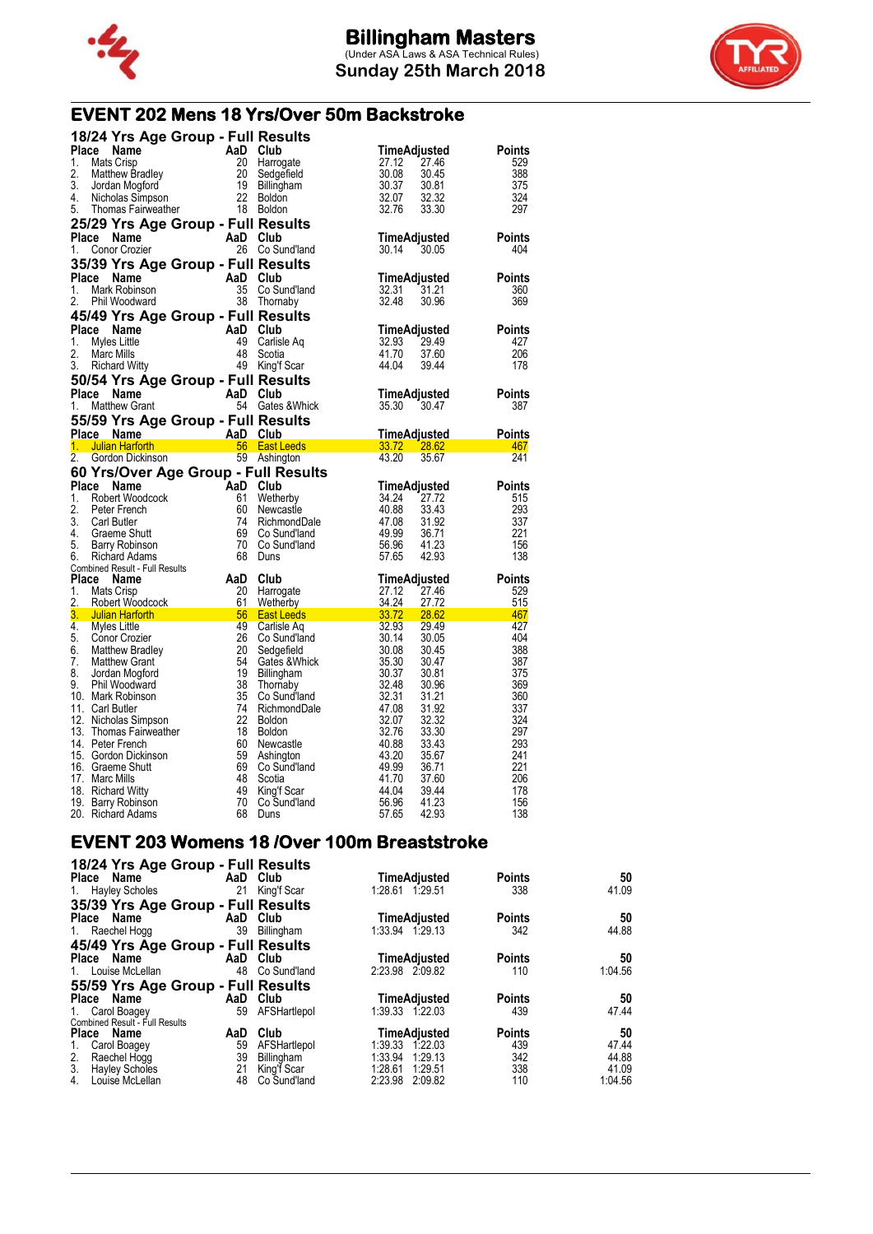



## **EVENT 202 Mens 18 Yrs/Over 50m Backstroke**

|                  | 18/24 Yrs Age Group - Full Results                                                                                                                                                                                                                                                                                                     |                             |                                                           |                       |                |                      |
|------------------|----------------------------------------------------------------------------------------------------------------------------------------------------------------------------------------------------------------------------------------------------------------------------------------------------------------------------------------|-----------------------------|-----------------------------------------------------------|-----------------------|----------------|----------------------|
| Place            | Name                                                                                                                                                                                                                                                                                                                                   | AaD                         | Club                                                      | TimeAdjusted          |                | Points               |
| 1.               | Mats Crisp                                                                                                                                                                                                                                                                                                                             | 20                          | Harrogate                                                 | 27.12                 | 27.46          | 529                  |
| 2.               | Matthew Bradley                                                                                                                                                                                                                                                                                                                        | 20                          | Sedgefield                                                | 30.08                 | 30.45          | 388                  |
| 3.               | Jordan Mogford                                                                                                                                                                                                                                                                                                                         |                             | Billingham                                                | 30.37                 | 30.81          | 375                  |
| 4.               | Nicholas Simpson                                                                                                                                                                                                                                                                                                                       | $\frac{19}{22}$             | Boldon                                                    | 32.07                 | 32.32          | 324                  |
| 5.               | Thomas Fairweather                                                                                                                                                                                                                                                                                                                     |                             | 18 Boldon                                                 | 32.76                 | 33.30          | 297                  |
|                  | 25/29 Yrs Age Group - Full Results                                                                                                                                                                                                                                                                                                     |                             |                                                           |                       |                |                      |
|                  | Place Name                                                                                                                                                                                                                                                                                                                             | AaD Club                    |                                                           | TimeAdjusted          |                | <b>Points</b>        |
| 1.               | Conor Crozier                                                                                                                                                                                                                                                                                                                          |                             | 26 Co Sund'land                                           | 30.14                 | 30.05          | 404                  |
|                  | 35/39 Yrs Age Group - Full Results                                                                                                                                                                                                                                                                                                     |                             |                                                           |                       |                |                      |
|                  | Place Name                                                                                                                                                                                                                                                                                                                             | AaD Club                    |                                                           | TimeAdjusted          |                | <b>Points</b>        |
| 1.               | Mark Robinson                                                                                                                                                                                                                                                                                                                          |                             | 35 Co Sund'land                                           | 32.31                 | 31.21          | 360                  |
| 2.               | Phil Woodward                                                                                                                                                                                                                                                                                                                          |                             | 38 Thornaby                                               | 32.48                 | 30.96          | 369                  |
|                  | 45/49 Yrs Age Group - Full Results                                                                                                                                                                                                                                                                                                     |                             |                                                           |                       |                |                      |
|                  | Place Name                                                                                                                                                                                                                                                                                                                             | AaD Club                    |                                                           | TimeAdjusted          |                | <b>Points</b>        |
| 1.               | Myles Little                                                                                                                                                                                                                                                                                                                           | 49                          | Carlisle Aq                                               | 32.93                 | 29.49          | 427                  |
| 2.               | Marc Mills                                                                                                                                                                                                                                                                                                                             | 48                          | Scotia                                                    | 41.70                 | 37.60          | 206                  |
| 3.               | <b>Richard Witty</b>                                                                                                                                                                                                                                                                                                                   | 49                          | King'f Scar                                               | 44.04                 | 39.44          | 178                  |
|                  | 50/54 Yrs Age Group - Full Results                                                                                                                                                                                                                                                                                                     |                             |                                                           |                       |                |                      |
| Place            | Name                                                                                                                                                                                                                                                                                                                                   | AaD Club                    |                                                           | TimeAdjusted          |                | <b>Points</b>        |
| 1.               | <b>Matthew Grant</b>                                                                                                                                                                                                                                                                                                                   |                             | 54 Gates & Whick                                          | 35.30                 | 30.47          | 387                  |
|                  | 55/59 Yrs Age Group - Full Results                                                                                                                                                                                                                                                                                                     |                             |                                                           |                       |                |                      |
|                  | <b>Place Name</b><br><b>Example 2</b> AaD Club                                                                                                                                                                                                                                                                                         |                             |                                                           | TimeAdjusted          |                | <b>Points</b>        |
| 1.               | <b>Julian Harforth</b>                                                                                                                                                                                                                                                                                                                 |                             | 56 East Leeds                                             | 33.72 28.62           |                | 467                  |
| $\overline{2}$ . | Gordon Dickinson                                                                                                                                                                                                                                                                                                                       |                             | 59 Ashington                                              | 43.20                 | 35.67          | 241                  |
|                  |                                                                                                                                                                                                                                                                                                                                        |                             |                                                           |                       |                |                      |
|                  |                                                                                                                                                                                                                                                                                                                                        |                             |                                                           |                       |                |                      |
|                  | 60 Yrs/Over Age Group - Full Results<br>Place<br>Name                                                                                                                                                                                                                                                                                  |                             | Club                                                      |                       |                |                      |
| 1.               | Robert Woodcock                                                                                                                                                                                                                                                                                                                        | AaD<br>61                   | Wetherby                                                  | TimeAdjusted<br>34.24 | 27.72          | <b>Points</b><br>515 |
| 2.               | Peter French                                                                                                                                                                                                                                                                                                                           | 60                          | Newcastle                                                 | 40.88                 | 33.43          | 293                  |
| 3.               | <b>Carl Butler</b>                                                                                                                                                                                                                                                                                                                     | 74                          | RichmondDale                                              | 47.08                 | 31.92          | 337                  |
| 4.               | Graeme Shutt                                                                                                                                                                                                                                                                                                                           | 69                          | Co Sund'land                                              | 49.99                 | 36.71          | 221                  |
| 5.               | Barry Robinson                                                                                                                                                                                                                                                                                                                         | 70                          | Co Sund'land                                              | 56.96                 | 41.23          | 156                  |
| 6.               | Richard Adams                                                                                                                                                                                                                                                                                                                          | 68                          | Duns                                                      | 57.65                 | 42.93          | 138                  |
|                  | <b>Combined Result - Full Results</b>                                                                                                                                                                                                                                                                                                  |                             |                                                           |                       |                |                      |
| Place            | Name                                                                                                                                                                                                                                                                                                                                   | AaD                         | Club                                                      | TimeAdjusted          |                | <b>Points</b>        |
| 1.               | Mats Crisp                                                                                                                                                                                                                                                                                                                             | 20                          | Harrogate                                                 | 27.12                 | 27.46          | 529                  |
| 2.               | Robert Woodcock                                                                                                                                                                                                                                                                                                                        | $\overline{\phantom{0}}$ 61 | Wetherby                                                  | 34.24                 | 27.72          | 515                  |
| 3.               | $\frac{1}{2}$ $\frac{1}{2}$ $\frac{1}{2}$ $\frac{1}{2}$ $\frac{1}{2}$ $\frac{1}{2}$ $\frac{1}{2}$ $\frac{1}{2}$ $\frac{1}{2}$ $\frac{1}{2}$ $\frac{1}{2}$ $\frac{1}{2}$ $\frac{1}{2}$ $\frac{1}{2}$ $\frac{1}{2}$ $\frac{1}{2}$ $\frac{1}{2}$ $\frac{1}{2}$ $\frac{1}{2}$ $\frac{1}{2}$ $\frac{1}{2}$ $\frac{1}{2}$<br>Julian Harforth | 49                          | $\frac{33.72}{28.62}$<br><b>East Leeds</b><br>Carlisle Aq | 32.93                 | 29.49          | 467<br>427           |
| 5.               | 4. Myles Little<br>Conor Crozier                                                                                                                                                                                                                                                                                                       | 26                          | Co Sund'land                                              | 30.14                 | 30.05          | 404                  |
| 6.               | Matthew Bradley                                                                                                                                                                                                                                                                                                                        | 20                          | Sedgefield                                                | 30.08                 | 30.45          | 388                  |
| 7.               | <b>Matthew Grant</b>                                                                                                                                                                                                                                                                                                                   | 54                          | Gates & Whick                                             | 35.30                 | 30.47          | 387                  |
| 8.               | Jordan Mogford                                                                                                                                                                                                                                                                                                                         | 19                          | Billingham                                                | 30.37                 | 30.81          | 375                  |
| 9.               | Phil Woodward                                                                                                                                                                                                                                                                                                                          | 38                          | Thornaby                                                  | 32.48                 | 30.96          | 369                  |
|                  | 10. Mark Robinson                                                                                                                                                                                                                                                                                                                      | 35                          | Co Sund'land                                              | 32.31                 | 31.21          | 360                  |
|                  | 11. Carl Butler                                                                                                                                                                                                                                                                                                                        | 74                          | RichmondDale                                              | 47.08                 | 31.92          | 337                  |
|                  | 12. Nicholas Simpson                                                                                                                                                                                                                                                                                                                   | 22                          | <b>Boldon</b>                                             | 32.07                 | 32.32          | 324                  |
|                  | 13. Thomas Fairweather                                                                                                                                                                                                                                                                                                                 | 18                          | Boldon                                                    | 32.76                 | 33.30          | 297                  |
|                  | 14. Peter French                                                                                                                                                                                                                                                                                                                       | 60                          | Newcastle                                                 | 40.88                 | 33.43          | 293                  |
|                  | 15. Gordon Dickinson                                                                                                                                                                                                                                                                                                                   | 59                          | Ashington                                                 | 43.20                 | 35.67          | 241                  |
|                  | 16. Graeme Shutt<br>17. Marc Mills                                                                                                                                                                                                                                                                                                     | 69<br>48                    | Co Sund'land<br>Scotia                                    | 49.99                 | 36.71<br>37.60 | 221<br>206           |
|                  |                                                                                                                                                                                                                                                                                                                                        | 49                          |                                                           | 41.70<br>44.04        | 39.44          | 178                  |
|                  | 18. Richard Witty<br>19. Barry Robinson                                                                                                                                                                                                                                                                                                | 70                          | King'f Scar<br>Co Sund'land                               | 56.96                 | 41.23          | 156<br>138           |

#### **EVENT 203 Womens 18 /Over 100m Breaststroke 18/24 Yrs Age Group - Full Results**

| 10/24 Trs Age Group - Full Results |     |              |                     |               |         |
|------------------------------------|-----|--------------|---------------------|---------------|---------|
| Place Name                         |     | AaD Club     | TimeAdjusted        | <b>Points</b> | 50      |
| 1. Hayley Scholes                  | 21  | King'f Scar  | 1:28.61 1:29.51     | 338           | 41.09   |
| 35/39 Yrs Age Group - Full Results |     |              |                     |               |         |
| Place Name                         |     | AaD Club     | TimeAdjusted        | <b>Points</b> | 50      |
| 1. Raechel Hogg                    | 39  | Billingham   | 1:33.94 1.29.13     | 342           | 44.88   |
| 45/49 Yrs Age Group - Full Results |     |              |                     |               |         |
| Place Name                         |     | AaD Club     | <b>TimeAdjusted</b> | <b>Points</b> | 50      |
| 1. Louise McLellan                 | 48  | Co Sund'land | 2:23.98 2:09.82     | 110           | 1:04.56 |
| 55/59 Yrs Age Group - Full Results |     |              |                     |               |         |
| Name<br>Place                      | AaD | Club         | TimeAdjusted        | <b>Points</b> | 50      |
| Carol Boagey<br>1.                 | 59  | AFSHartlepol | 1:39.33 1:22.03     | 439           | 47.44   |
| Combined Result - Full Results     |     |              |                     |               |         |
| Place Name                         | AaD | Club         | TimeAdjusted        | <b>Points</b> | 50      |
| Carol Boagey<br>1.                 | 59  | AFSHartlepol | 1:39.33 1:22.03     | 439           | 47.44   |
| 2.<br>Raechel Hogg                 | 39  | Billingham   | 1:33.94<br>1:29.13  | 342           | 44.88   |
| 3.<br>Hayley Scholes               | 21  | King'f Scar  | 1:28.61<br>1:29.51  | 338           | 41.09   |
| Louise McLellan<br>4.              | 48  | Co Sund'land | 2:23.98<br>2:09.82  | 110           | 1:04.56 |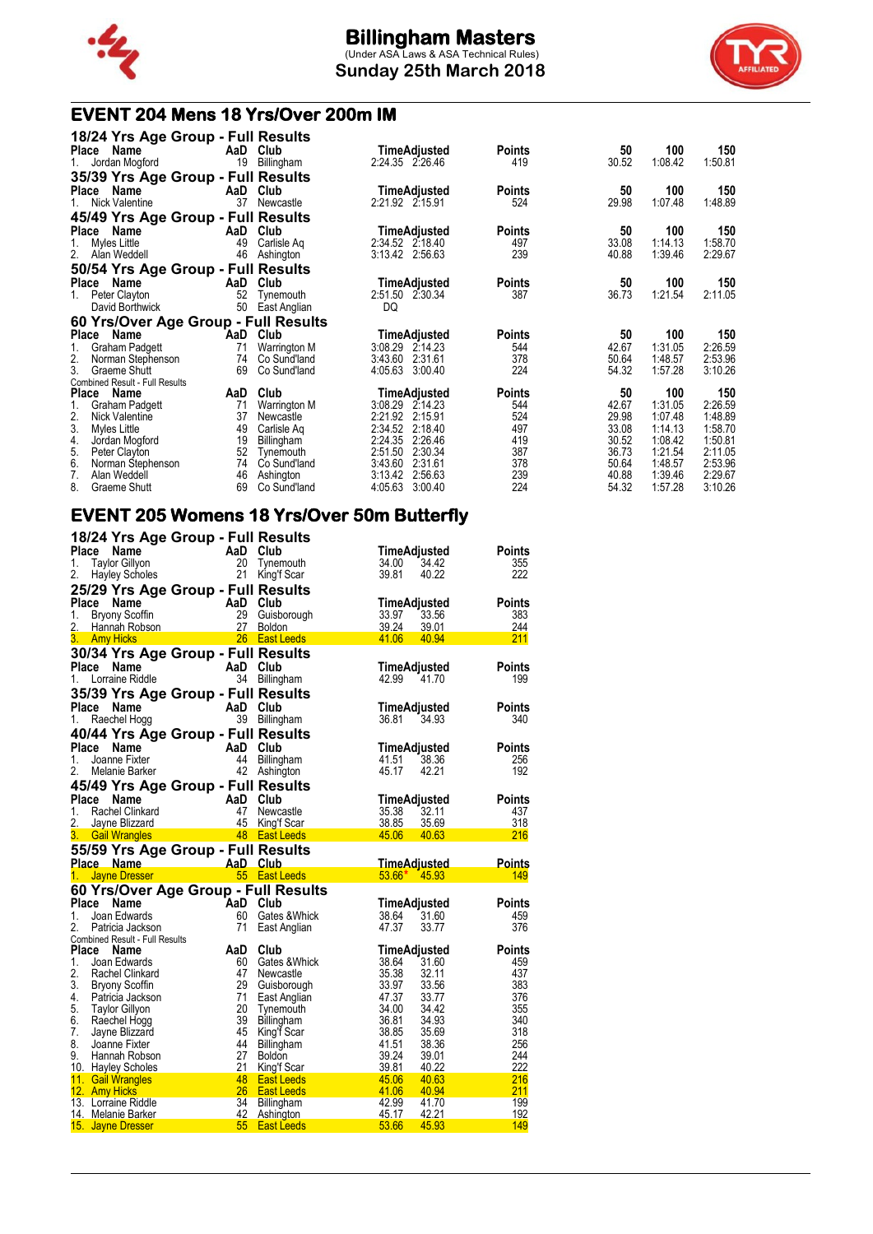

**Sunday 25th March 2018**



## **EVENT 204 Mens 18 Yrs/Over 200m IM**

| 18/24 Yrs Age Group - Full Results<br>Place<br>Name | AaD      | Club                      | TimeAdjusted                             | <b>Points</b> | 50             | 100                | 150                |
|-----------------------------------------------------|----------|---------------------------|------------------------------------------|---------------|----------------|--------------------|--------------------|
| Jordan Mogford                                      | 19       | Billingham                | 2:24.35 2:26.46                          | 419           | 30.52          | 1:08.42            | 1:50.81            |
| 35/39 Yrs Age Group - Full Results                  |          |                           |                                          |               |                |                    |                    |
| Place<br>Name                                       | AaD      | Club                      | TimeAdjusted                             | <b>Points</b> | 50             | 100                | 150                |
| Nick Valentine                                      | 37       | Newcastle                 | 2:21.92 2:15.91                          | 524           | 29.98          | 1:07.48            | 1:48.89            |
| 45/49 Yrs Age Group - Full Results                  |          |                           |                                          |               |                |                    |                    |
| <b>Place</b><br>Name                                | AaD      | Club                      | TimeAdjusted                             | Points        | 50             | 100                | 150                |
| Myles Little                                        | 49       | Carlisle Ag               | 2:34.52 2:18.40                          | 497           | 33.08          | 1:14.13            | 1:58.70            |
| 2.<br>Alan Weddell                                  | 46       | Ashington                 | 3:13.42 2:56.63                          | 239           | 40.88          | 1:39.46            | 2:29.67            |
| 50/54 Yrs Age Group - Full Results                  |          |                           |                                          |               |                |                    |                    |
| Place<br>Name                                       | AaD      | Club                      | TimeAdjusted                             | Points        | 50             | 100                | 150                |
| Peter Clayton<br>1.                                 | 52       | Tynemouth                 | 2:51.50<br>2:30.34                       | 387           | 36.73          | 1:21.54            | 2:11.05            |
| David Borthwick                                     | 50       | East Anglian              | DQ                                       |               |                |                    |                    |
| 60 Yrs/Over Age Group - Full Results                |          |                           |                                          |               |                |                    |                    |
| Place<br>Name                                       | AaD      | Club                      | TimeAdjusted                             | <b>Points</b> | 50             | 100                | 150                |
| <b>Graham Padgett</b><br>1.                         | 71       | Warrington M              | 3:08.29<br>2.14.23                       | 544           | 42.67          | 1:31.05            | 2:26.59            |
| 2.<br>Norman Stephenson                             | 74       | Co Sund'land              | 2:31.61<br>3:43.60                       | 378           | 50.64          | 1:48.57            | 2:53.96            |
| 3.<br>Graeme Shutt                                  | 69       | Co Sund'land              | 4:05.63<br>3:00.40                       | 224           | 54.32          | 1:57.28            | 3:10.26            |
| <b>Combined Result - Full Results</b>               |          |                           |                                          |               |                |                    |                    |
| Place<br>Name                                       | AaD      | Club                      | TimeAdjusted                             | Points        | 50             | 100                | 150                |
| Graham Padgett                                      | 71       | Warrington M              | 3:08.29<br>2.14.23                       | 544           | 42.67          | 1:31.05            | 2:26.59            |
| 2.<br>Nick Valentine                                | 37       | Newcastle                 | 2:15.91<br>2:21.92                       | 524           | 29.98          | 1:07.48            | 1:48.89            |
| 3.<br>Myles Little                                  | 49       | Carlisle Ag               | 2:34.52<br>2:18.40                       | 497           | 33.08          | 1:14.13            | 1:58.70            |
| 4.<br>Jordan Mogford                                | 19       | Billingham                | 2:24.35<br>2:26.46                       | 419           | 30.52          | 1:08.42            | 1:50.81            |
| 5.<br>Peter Clayton                                 | 52       | Tvnemouth                 | 2:51.50<br>2:30.34                       | 387           | 36.73          | 1:21.54            | 2:11.05            |
| 6.<br>Norman Stephenson<br>7.                       | 74<br>46 | Co Sund'land<br>Ashington | 3:43.60<br>2:31.61<br>2:56.63<br>3:13.42 | 378<br>239    | 50.64<br>40.88 | 1:48.57<br>1:39.46 | 2:53.96<br>2:29.67 |
| Alan Weddell                                        |          |                           |                                          |               |                |                    |                    |
| 8.<br>Graeme Shutt                                  | 69       | Co Sund'land              | 4:05.63<br>3:00.40                       | 224           | 54.32          | 1:57.28            | 3:10.26            |

#### **EVENT 205 Womens 18 Yrs/Over 50m Butterfly 18/24 Yrs Age Group - Full Results**

|                | 18/24 Yrs Age Group - Full Results               |                           |     |                        |                      |       |               |
|----------------|--------------------------------------------------|---------------------------|-----|------------------------|----------------------|-------|---------------|
| Place          | Name                                             |                           |     | AaD Club               | TimeAdjusted         |       | <b>Points</b> |
| 1.             | <b>Taylor Gillyon</b>                            |                           | 20  | Tynemouth              | 34.00                | 34.42 | 355           |
| 2.             | <b>Hayley Scholes</b>                            |                           | 21  | King'f Scar            | 39.81                | 40.22 | 222           |
|                |                                                  |                           |     |                        |                      |       |               |
|                | 25/29 Yrs Age Group - Full Results               |                           |     |                        |                      |       |               |
| Place          | Name                                             |                           | AaD | Club                   | TimeAdjusted         |       | <b>Points</b> |
| 1.             | <b>Bryony Scoffin</b>                            |                           | 29  | Guisborough            | 33.97                | 33.56 | 383           |
| 2.             | Hannah Robson                                    |                           | 27  | <b>Boldon</b>          | 39.24                | 39.01 | 244           |
|                | 3. Amy Hicks                                     |                           | 26  | <b>East Leeds</b>      | 41.06                | 40.94 | 211           |
|                | 30/34 Yrs Age Group - Full Results               |                           |     |                        |                      |       |               |
| Place          | Name                                             |                           | AaD | Club                   | <b>TimeAdjusted</b>  |       | <b>Points</b> |
|                |                                                  |                           |     |                        |                      |       |               |
| 1.             | Lorraine Riddle                                  |                           |     | 34 Billingham          | 42.99                | 41.70 | 199           |
|                | 35/39 Yrs Age Group - Full Results               |                           |     |                        |                      |       |               |
| Place          | Name                                             |                           | AaD | Club                   | TimeAdjusted         |       | Points        |
| 1.             | Raechel Hogg                                     |                           |     | 39 Billingham          | 36.81                | 34.93 | 340           |
|                |                                                  |                           |     |                        |                      |       |               |
|                | 40/44 Yrs Age Group - Full Results               |                           |     |                        |                      |       |               |
| Place          | Name                                             |                           | AaD | Club                   | TimeAdjusted         |       | <b>Points</b> |
| 1.             | Joanne Fixter                                    |                           | 44  | Billingham             | 41.51                | 38.36 | 256           |
| 2.             | Melanie Barker                                   |                           | 42  | Ashington              | 45.17                | 42.21 | 192           |
|                | 45/49 Yrs Age Group - Full Results               |                           |     |                        |                      |       |               |
|                | Place Name                                       |                           |     | AaD Club               | TimeAdjusted         |       | <b>Points</b> |
|                |                                                  |                           |     |                        |                      |       |               |
| 1.             | Rachel Clinkard                                  |                           | 47  | Newcastle              | 35.38                | 32.11 | 437           |
| 2.             | Jayne Blizzard                                   |                           |     | 45 King'f Scar         | 38.85                | 35.69 | 318           |
|                |                                                  |                           |     |                        |                      |       |               |
| 3.             | <b>Gail Wrangles</b>                             |                           |     | 48 East Leeds          | 45.06                | 40.63 | 216           |
|                |                                                  |                           |     |                        |                      |       |               |
|                | 55/59 Yrs Age Group - Full Results<br>Place Name | <b>Example 2</b> AaD Club |     |                        |                      |       | Points        |
|                |                                                  |                           |     | <b>1995</b> East Leeds | <u>TimeAdjusted_</u> |       | 149           |
| 1 <sub>1</sub> | <b>Jayne Dresser</b>                             |                           |     |                        | $53.66*$ 45.93       |       |               |
|                | 60 Yrs/Over Age Group - Full Results             |                           |     |                        |                      |       |               |
|                | Place Name                                       |                           |     | AaD Club               | TimeAdjusted         |       | <b>Points</b> |
| 1.             | Joan Edwards                                     |                           | 60  | Gates & Whick          | 38.64                | 31.60 | 459           |
| 2.             | Patricia Jackson                                 |                           | 71  | East Anglian           | 47.37                | 33.77 | 376           |
|                | <b>Combined Result - Full Results</b>            |                           |     |                        |                      |       |               |
|                | Place Name                                       |                           | AaD | Club                   | TimeAdjusted         |       | <b>Points</b> |
| 1.             | Joan Edwards                                     |                           | 60  | Gates & Whick          | 38.64                | 31.60 | 459           |
| 2.             | Rachel Clinkard                                  |                           | 47  | Newcastle              | 35.38                | 32.11 | 437           |
| 3.             |                                                  |                           | 29  |                        | 33.97                | 33.56 | 383           |
|                | <b>Bryony Scoffin</b>                            |                           |     | Guisborough            |                      |       |               |
| 4.             | Patricia Jackson                                 |                           | 71  | East Anglian           | 47.37                | 33.77 | 376           |
| 5.             | Taylor Gillyon                                   |                           | 20  | Tynemouth              | 34.00                | 34.42 | 355           |
| 6.             | Raechel Hogg                                     |                           | 39  | Billingham             | 36.81                | 34.93 | 340           |
| 7.             | Jayne Blizzard                                   |                           | 45  | King'f Scar            | 38.85                | 35.69 | 318           |
| 8.             | Joanne Fixter                                    |                           | 44  | Billingham             | 41.51                | 38.36 | 256           |
| 9.             | Hannah Robson                                    |                           | 27  | <b>Boldon</b>          | 39.24                | 39.01 | 244           |
|                | 10. Hayley Scholes                               |                           | 21  | King'f Scar            | 39.81                | 40.22 | 222           |
|                | 11. Gail Wrangles                                |                           | 48  | <b>East Leeds</b>      | 45.06                | 40.63 | 216           |
|                | 12. Amy Hicks                                    |                           | 26  | <b>East Leeds</b>      | 41.06                | 40.94 | 211           |
|                | 13. Lorraine Riddle                              |                           | 34  | Billingham             | 42.99                | 41.70 | 199           |
|                | 14. Melanie Barker                               |                           | 42  | Ashington              | 45.17                | 42.21 | 192           |
|                | 15. Jayne Dresser                                |                           | 55  | <b>East Leeds</b>      | 53.66                | 45.93 | 149           |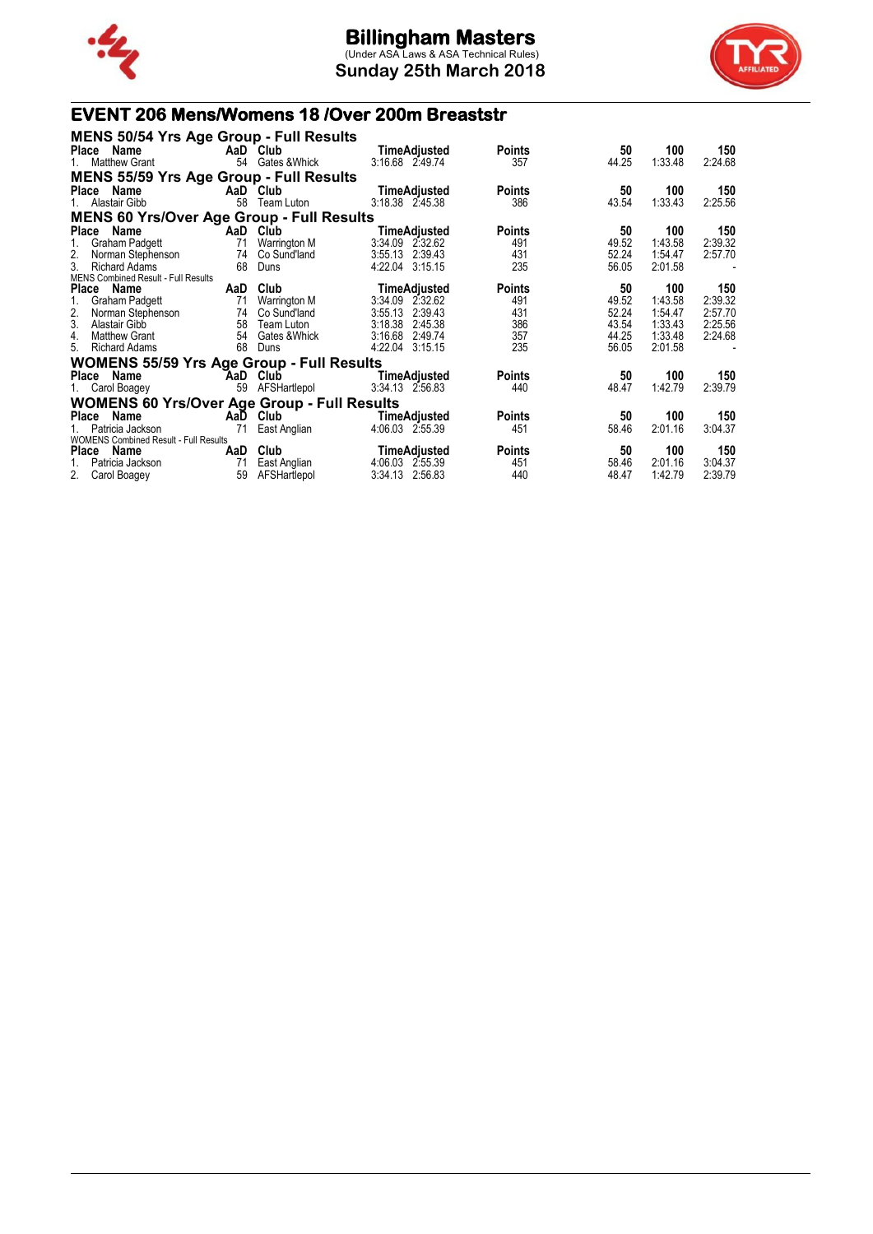

**Sunday 25th March 2018**



## **EVENT 206 Mens/Womens 18 /Over 200m Breaststr**

| <b>MENS 50/54 Yrs Age Group - Full Results</b>     |     |                  |                     |               |       |         |         |
|----------------------------------------------------|-----|------------------|---------------------|---------------|-------|---------|---------|
| Place Name                                         |     | AaD Club         | <b>TimeAdjusted</b> | <b>Points</b> | 50    | 100     | 150     |
| <b>Matthew Grant</b>                               |     | 54 Gates & Whick | 3:16.68 2.49.74     | 357           | 44.25 | 1:33.48 | 2:24.68 |
| <b>MENS 55/59 Yrs Age Group - Full Results</b>     |     |                  |                     |               |       |         |         |
| Place Name                                         |     | AaD Club         | <b>TimeAdjusted</b> | <b>Points</b> | 50    | 100     | 150     |
| Alastair Gibb                                      | 58  | Team Luton       | 3:18.38 2:45.38     | 386           | 43.54 | 1:33.43 | 2:25.56 |
| <b>MENS 60 Yrs/Over Age Group - Full Results</b>   |     |                  |                     |               |       |         |         |
| Place Name                                         |     | AaD Club         | TimeAdjusted        | <b>Points</b> | 50    | 100     | 150     |
| Graham Padgett                                     | 71  | Warrington M     | 3:34.09 2:32.62     | 491           | 49.52 | 1:43.58 | 2:39.32 |
| 2.<br>Norman Stephenson                            | 74  | Co Sund'land     | 3:55.13 2:39.43     | 431           | 52.24 | 1:54.47 | 2:57.70 |
| 3.<br><b>Richard Adams</b>                         | 68  | Duns             | 4:22.04 3:15.15     | 235           | 56.05 | 2:01.58 |         |
| <b>MENS Combined Result - Full Results</b>         |     |                  |                     |               |       |         |         |
| Place Name                                         | AaD | Club             | <b>TimeAdjusted</b> | <b>Points</b> | 50    | 100     | 150     |
| 1.<br>Graham Padgett                               | 71  | Warrington M     | 3:34.09 2:32.62     | 491           | 49.52 | 1:43.58 | 2:39.32 |
| 2.<br>Norman Stephenson                            | 74  | Co Sund'land     | 2:39.43<br>3:55.13  | 431           | 52.24 | 1:54.47 | 2:57.70 |
| 3.<br>Alastair Gibb                                | 58  | Team Luton       | 3:18.38<br>2:45.38  | 386           | 43.54 | 1:33.43 | 2:25.56 |
| 4.<br><b>Matthew Grant</b>                         | 54  | Gates & Whick    | 3:16.68<br>2:49.74  | 357           | 44.25 | 1:33.48 | 2:24.68 |
| 5.<br><b>Richard Adams</b>                         | 68  | Duns             | 4:22.04<br>3:15.15  | 235           | 56.05 | 2:01.58 |         |
| <b>WOMENS 55/59 Yrs Age Group - Full Results</b>   |     |                  |                     |               |       |         |         |
| Place Name                                         | AaD | Club             | <b>TimeAdjusted</b> | <b>Points</b> | 50    | 100     | 150     |
| 1. Carol Boagey                                    | 59  | AFSHartlepol     | 3:34.13 2.56.83     | 440           | 48.47 | 1:42.79 | 2:39.79 |
| <b>WOMENS 60 Yrs/Over Age Group - Full Results</b> |     |                  |                     |               |       |         |         |
| Place Name                                         | AaD | Club             | <b>TimeAdjusted</b> | <b>Points</b> | 50    | 100     | 150     |
| Patricia Jackson                                   | 71  | East Anglian     | 4:06.03 2:55.39     | 451           | 58.46 | 2:01.16 | 3:04.37 |
| <b>WOMENS Combined Result - Full Results</b>       |     |                  |                     |               |       |         |         |
| Place<br>Name                                      | AaD | Club             | TimeAdjusted        | <b>Points</b> | 50    | 100     | 150     |
| Patricia Jackson<br>1.                             | 71  | East Anglian     | 4:06.03 2:55.39     | 451           | 58.46 | 2:01.16 | 3:04.37 |
| Carol Boagey                                       | 59  | AFSHartlepol     | 3:34.13<br>2:56.83  | 440           | 48.47 | 1:42.79 | 2:39.79 |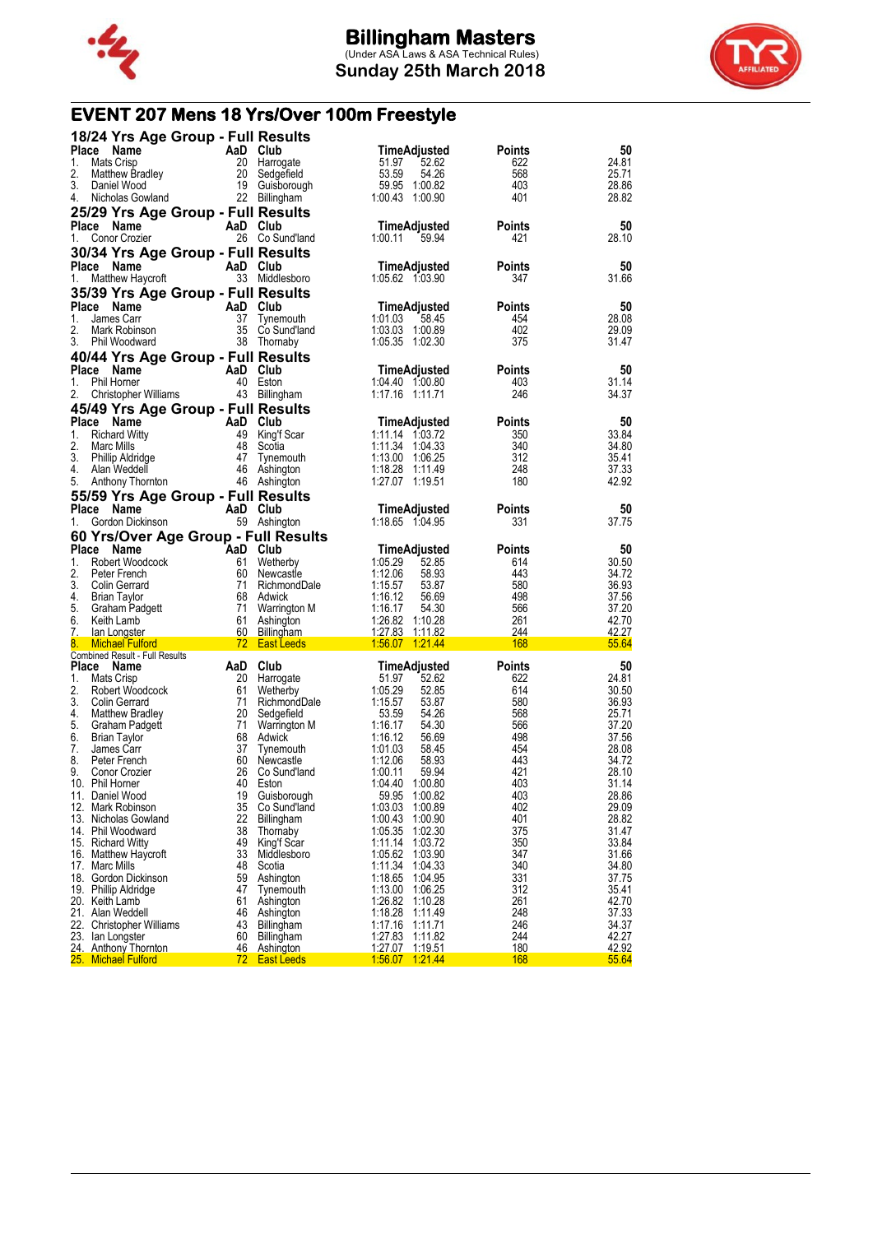



# **EVENT 207 Mens 18 Yrs/Over 100m Freestyle**

|           | 18/24 Yrs Age Group - Full Results           |          |                   |                     |               |       |
|-----------|----------------------------------------------|----------|-------------------|---------------------|---------------|-------|
|           | Place Name<br>AaD Club                       |          |                   | <b>TimeAdjusted</b> | <b>Points</b> | 50    |
| 1.        | Mats Crisp                                   |          | 20 Harrogate      | 51.97<br>52.62      | 622           | 24.81 |
| 2.        | Matthew Bradley                              |          | 20 Sedgefield     | 53.59<br>54.26      | 568           | 25.71 |
| 3.        | Daniel Wood                                  |          | 19 Guisborough    | 59.95 1:00.82       | 403           | 28.86 |
|           | Nicholas Gowland                             |          |                   | 1:00.43 1:00.90     | 401           | 28.82 |
| 4.        |                                              |          | 22 Billingham     |                     |               |       |
|           | 25/29 Yrs Age Group - Full Results           |          |                   |                     |               |       |
|           | Place Name                                   | AaD Club |                   | TimeAdjusted        | <b>Points</b> | 50    |
| 1.        | Conor Crozier                                |          | 26 Co Sund'land   | 1:00.11<br>59.94    | 421           | 28.10 |
|           |                                              |          |                   |                     |               |       |
|           | 30/34 Yrs Age Group - Full Results           |          |                   |                     |               |       |
|           | Place Name                                   | AaD Club |                   | TimeAdjusted        | <b>Points</b> | 50    |
| 1.        | Matthew Haycroft                             |          | 33 Middlesboro    | 1:05.62 1:03.90     | 347           | 31.66 |
|           | 35/39 Yrs Age Group - Full Results           |          |                   |                     |               |       |
|           |                                              |          |                   |                     |               |       |
|           | Place Name                                   | AaD Club |                   | TimeAdjusted        | <b>Points</b> | 50    |
| 1.        | James Carr                                   |          | 37 Tynemouth      | 1:01.03<br>58.45    | 454           | 28.08 |
| 2.        | Mark Robinson                                |          | 35 Co Sund'land   | 1:03.03 1:00.89     | 402           | 29.09 |
| 3.        | Phil Woodward                                |          | 38 Thornaby       | 1:05.35 1:02.30     | 375           | 31.47 |
|           | 40/44 Yrs Age Group - Full Results           |          |                   |                     |               |       |
|           | Place Name                                   | AaD Club |                   | TimeAdjusted        | <b>Points</b> | 50    |
| 1.        | Phil Horner                                  |          | 40 Eston          | 1:04.40 1:00.80     | 403           | 31.14 |
|           |                                              |          |                   |                     |               |       |
| 2.        | Christopher Williams                         |          | 43 Billingham     | 1:17.16 1:11.71     | 246           | 34.37 |
|           | 45/49 Yrs Age Group - Full Results           |          |                   |                     |               |       |
|           | Place Name                                   | AaD Club |                   | TimeAdjusted        | <b>Points</b> | 50    |
| 1.        | <b>Richard Witty</b>                         |          | 49 King'f Scar    | 1:11.14 1:03.72     | 350           | 33.84 |
| 2.        | Marc Mills                                   |          | 48 Scotia         | 1:11.34 1:04.33     | 340           | 34.80 |
| 3.        | <b>Phillip Aldridge</b>                      | 47       | Tynemouth         | 1:13.00 1:06.25     | 312           | 35.41 |
| 4.        | Alan Weddell                                 |          | 46 Ashington      | 1:18.28 1:11.49     | 248           | 37.33 |
|           |                                              |          |                   |                     |               |       |
| 5.        | Anthony Thornton                             |          | 46 Ashington      | 1:27.07 1:19.51     | 180           | 42.92 |
|           | 55/59 Yrs Age Group - Full Results           |          |                   |                     |               |       |
|           | Place Name                                   | AaD Club |                   | TimeAdjusted        | <b>Points</b> | 50    |
| 1.        | Gordon Dickinson                             |          | 59 Ashington      | 1:18.65 1:04.95     | 331           | 37.75 |
|           |                                              |          |                   |                     |               |       |
|           | 60 Yrs/Over Age Group - Full Results         |          |                   |                     |               |       |
|           | Place Name                                   |          |                   | TimeAdjusted        | <b>Points</b> | 50    |
|           |                                              |          |                   |                     |               | 30.50 |
| 1.        | Robert Woodcock                              |          | 61 Wetherby       | 1:05.29<br>52.85    | 614           |       |
| 2.        | Peter French                                 |          | 60 Newcastle      | 1:12.06<br>58.93    | 443           | 34.72 |
| 3.        | Colin Gerrard                                |          | 71 RichmondDale   | 1:15.57<br>53.87    | 580           | 36.93 |
| 4.        | AaD Club<br>61 Wethe<br>60 Newca<br>71 Richm |          | 68 Adwick         | 1:16.12<br>56.69    | 498           |       |
|           | Brian Taylor                                 |          |                   |                     |               | 37.56 |
| 5.        | Graham Padgett                               |          | 71 Warrington M   | 1:16.17<br>54.30    | 566           | 37.20 |
| 6.        | Keith Lamb                                   |          | 61 Ashington      | 1:26.82 1:10.28     | 261           | 42.70 |
| <u>7.</u> | lan Longster                                 |          | 60 Billingham     | 1:27.83 1:11.82     | 244           | 42.27 |
| 8.        | <b>Michael Fulford</b>                       |          | 72 East Leeds     | 1:56.07 1:21.44     | 168           | 55.64 |
|           | Combined Result - Full Results               |          |                   |                     |               |       |
|           | Place Name                                   | AaD Club |                   | TimeAdjusted        | <b>Points</b> | 50    |
| 1.        | Mats Crisp                                   |          | 20 Harrogate      | 51.97<br>52.62      | 622           | 24.81 |
| 2.        | Robert Woodcock                              |          | 61 Wetherby       | 1:05.29<br>52.85    | 614           | 30.50 |
| 3.        | Colin Gerrard                                |          | 71 RichmondDale   | 1:15.57<br>53.87    | 580           | 36.93 |
| 4.        | Matthew Bradley                              |          | 20 Sedgefield     | 53.59<br>54.26      | 568           | 25.71 |
| 5.        | Graham Padgett                               |          | 71 Warrington M   | 1:16.17<br>54.30    | 566           | 37.20 |
| 6.        | Brian Taylor                                 |          | 68 Adwick         | 1:16.12<br>56.69    | 498           | 37.56 |
| 7.        | James Carr                                   | 37       | Tynemouth         | 1:01.03<br>58.45    | 454           | 28.08 |
| 8.        | Peter French                                 |          | 60 Newcastle      | 1:12.06<br>58.93    | 443           | 34.72 |
| 9.        | Conor Crozier                                |          | 26 Co Sund'land   | 1:00.11<br>59.94    | 421           | 28.10 |
|           | 10. Phil Horner                              |          | 40 Eston          | 1:04.40<br>1:00.80  | 403           | 31.14 |
|           |                                              |          |                   |                     |               |       |
|           | 11. Daniel Wood                              | 19       | Guisborough       | 59.95<br>1:00.82    | 403           | 28.86 |
|           | 12. Mark Robinson                            | 35       | Co Sund'land      | 1:03.03<br>1:00.89  | 402           | 29.09 |
|           | 13. Nicholas Gowland                         | 22       | <b>Billingham</b> | 1:00.43<br>1:00.90  | 401           | 28.82 |
|           | 14. Phil Woodward                            | 38       | Thornaby          | 1:05.35<br>1:02.30  | 375           | 31.47 |
|           | 15. Richard Witty                            | 49       | King'f Scar       | 1:11.14 1:03.72     | 350           | 33.84 |
|           | 16. Matthew Haycroft                         | 33       | Middlesboro       | 1:05.62 1:03.90     | 347           | 31.66 |
|           | 17. Marc Mills                               | 48       | Scotia            | 1:11.34 1:04.33     | 340           | 34.80 |
|           | 18. Gordon Dickinson                         | 59       | Ashington         | 1:18.65 1:04.95     | 331           | 37.75 |
|           | 19. Phillip Aldridge                         | 47       | Tynemouth         | 1:13.00 1:06.25     | 312           | 35.41 |
|           | 20. Keith Lamb                               | 61       | Ashington         | 1:26.82 1:10.28     | 261           | 42.70 |
|           | 21. Alan Weddell                             | 46       | Ashington         | 1:18.28 1:11.49     | 248           | 37.33 |
|           | 22. Christopher Williams                     | 43       | Billingham        | 1:17.16 1:11.71     | 246           | 34.37 |
| 23.       | lan Longster                                 | 60       | Billingham        | 1:27.83<br>1:11.82  | 244           | 42.27 |
|           | 24. Anthony Thornton                         | 46       | <b>Ashington</b>  | 1:27.07  1:19.51    | 180<br>168    | 42.92 |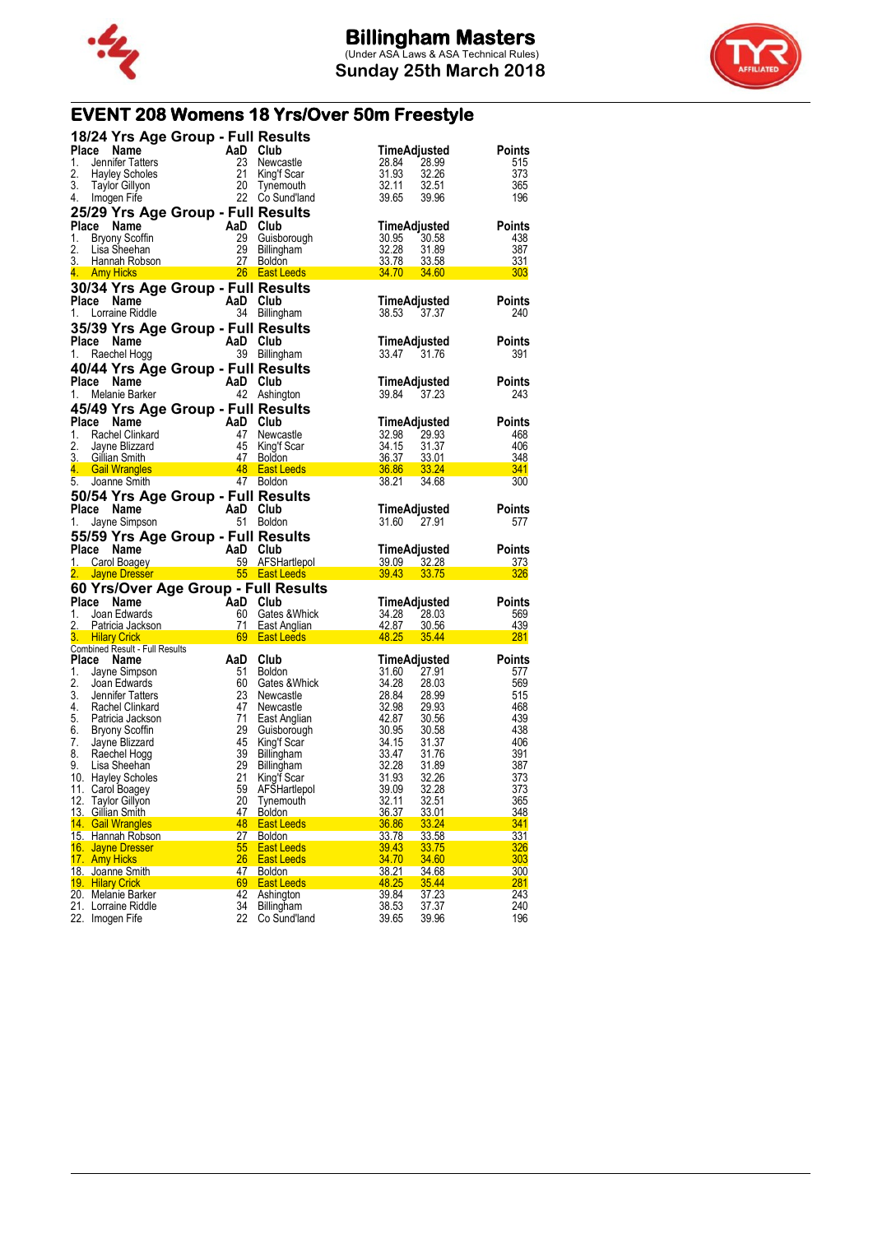



# **EVENT 208 Womens 18 Yrs/Over 50m Freestyle**

| 18/24 Yrs Age Group - Full Results                           |          |                                         |                                           |               |
|--------------------------------------------------------------|----------|-----------------------------------------|-------------------------------------------|---------------|
| <b>Place</b><br>Name                                         | AaD      | Club                                    | TimeAdjusted                              | Points        |
| 1.<br>Jennifer Tatters                                       | 23       | Newcastle                               | 28.99<br>28.84                            | 515           |
| 2.<br><b>Hayley Scholes</b>                                  | 21       | King'f Scar                             | 31.93<br>32.26                            | 373           |
| 3.<br><b>Taylor Gillyon</b>                                  | 20       | Tynemouth                               | 32.11<br>32.51                            | 365           |
| 4.<br>Imogen Fife                                            | 22       | Co Sund'Iand                            | 39.65<br>39.96                            | 196           |
| 25/29 Yrs Age Group - Full Results                           |          |                                         |                                           |               |
| Place Name                                                   | AaD Club |                                         | TimeAdjusted                              | <b>Points</b> |
| 1.<br>Bryony Scoffin                                         | 29       | Guisborough                             | 30.95<br>30.58                            | 438           |
| 2.<br>Lisa Sheehan                                           | 29       | Billingham                              | 32.28<br>31.89                            | 387           |
| 3. Hannah Robson                                             | 27       | <b>Boldon</b>                           | <u>33.78</u><br>33.58                     | 331           |
| 4.<br><b>Amy Hicks</b>                                       |          | 26 East Leeds                           | 34.70<br>34.60                            | 303           |
| 30/34 Yrs Age Group - Full Results                           |          |                                         |                                           |               |
| <b>Place</b><br>Name                                         | AaD Club |                                         | TimeAdjusted                              | Points        |
| 1.<br>Lorraine Riddle                                        |          | 34 Billingham                           | 38.53<br>37.37                            | 240           |
| 35/39 Yrs Age Group - Full Results                           |          |                                         |                                           |               |
| Place Name                                                   | AaD Club |                                         | <b>TimeAdjusted</b>                       | Points        |
| Raechel Hogg<br>1.                                           |          | 39 Billingham                           | 33.47<br>31.76                            | 391           |
| 40/44 Yrs Age Group - Full Results                           |          |                                         |                                           |               |
| Place<br>Name                                                | AaD      | Club                                    | TimeAdjusted                              | Points        |
| 1.<br>Melanie Barker                                         |          | 42 Ashington                            | 39.84<br>37.23                            | 243           |
|                                                              |          |                                         |                                           |               |
| 45/49 Yrs Age Group - Full Results                           |          |                                         |                                           |               |
| Place<br>Name                                                | AaD Club |                                         | TimeAdjusted                              | Points        |
| 1.<br>Rachel Clinkard                                        | 47       | Newcastle                               | 32.98<br>29.93                            | 468           |
| 2.<br>Jayne Blizzard<br>3.<br>Gillian Smith                  | 45<br>47 | King'f Scar                             | 34.15<br>31.37<br>36.37                   | 406           |
| 4.<br><b>Gail Wrangles</b>                                   | 48       | <b>Boldon</b><br><b>East Leeds</b>      | 33.01<br>36.86<br>33.24                   | 348<br>341    |
| 5.<br>Joanne Smith                                           |          | 47 Boldon                               | 38.21<br>34.68                            | 300           |
|                                                              |          |                                         |                                           |               |
| 50/54 Yrs Age Group - Full Results                           |          |                                         |                                           |               |
| Place Name                                                   | AaD Club |                                         | TimeAdjusted                              | Points        |
| Jayne Simpson<br>1.                                          | 51       | <b>Boldon</b>                           | 31.60<br>27.91                            | 577           |
|                                                              |          |                                         |                                           |               |
| 55/59 Yrs Age Group - Full Results                           |          |                                         |                                           |               |
| Place<br>Name                                                | AaD      | Club                                    | TimeAdjusted                              | Points        |
| 1.<br>Carol Boagey                                           | 59       | AFSHartlepol                            | 39.09<br>32.28                            | 373           |
| 2.<br><b>Jayne Dresser</b>                                   |          | 55 East Leeds                           | 39.43<br><u>33.75</u>                     | 326           |
| 60 Yrs/Over Age Group - Full Results                         |          |                                         |                                           |               |
| Place<br>Name                                                | AaD      | Club                                    | TimeAdjusted                              | Points        |
| 1.<br>Joan Edwards                                           | 60       | Gates & Whick                           | 34.28<br>28.03                            | 569           |
| 2.<br>Patricia Jackson                                       | 71       | East Anglian                            | 42.87<br>30.56                            | 439           |
| 3.<br><b>Hilary Crick</b>                                    | 69       | <b>East Leeds</b>                       | 48.25<br>35.44                            | <u>281</u>    |
| Combined Result - Full Results                               |          |                                         |                                           |               |
| Place<br>Name                                                | AaD      | Club                                    | TimeAdjusted                              | <b>Points</b> |
| 1.<br>Jayne Simpson                                          | 51       | <b>Boldon</b>                           | 31.60<br>27.91                            | 577           |
| 2.<br>Joan Edwards                                           | 60       | Gates & Whick                           | 34.28<br>28.03                            | 569           |
| 3.<br>Jennifer Tatters<br>4.<br><b>Rachel Clinkard</b>       | 23<br>47 | Newcastle                               | 28.84<br>28.99                            | 515           |
| 5.<br>Patricia Jackson                                       | 71       | Newcastle                               | 32.98<br>29.93<br>42.87<br>30.56          | 468<br>439    |
| 6.                                                           | 29       | East Anglian<br>Guisborough             | 30.95<br>30.58                            | 438           |
| <b>Bryony Scottin</b><br>7.<br>Jayne Blizzard                | 45       | King'f Scar                             | 34.15<br>31.37                            | 406           |
| 8.<br>Raechel Hogg                                           | 39       | <b>Billingham</b>                       | 33.47<br>31.76                            | 391           |
| 9.<br>Lisa Sheehan                                           | 29       | Billingham                              | 32.28<br>31.89                            | 387           |
| 10. Hayley Scholes                                           | 21       | King'f Scar                             | 31.93<br>32.26                            | 373           |
| 11. Carol Boagey                                             | 59       | AFŠHartlepol                            | 39.09<br>32.28                            | 373           |
| 12. Taylor Gillyon                                           | 20       | Tynemouth                               | 32.11<br>32.51                            | 365           |
| 13. Gillian Smith                                            | 47       | Boldon                                  | 36.37<br>33.01                            | 348           |
| 14. Gail Wrangles                                            | 48       | <b>East Leeds</b>                       | 36.86<br>33.24                            | 341           |
| 15. Hannah Robson                                            | 27       | <b>Boldon</b>                           | <u>33.78</u><br><u>33.58</u>              | 331           |
| 16. Jayne Dresser                                            | 55       | <b>East Leeds</b>                       | 39.43<br>33.75                            | 326           |
| 17. Amy Hicks                                                | 26       | East Leeds                              | 34.70<br>34.60                            | 303           |
| 18. Joanne Smith                                             | 47       | Boldon                                  | 38.21<br>34.68                            | 300           |
| 19. Hilary Crick                                             | 69<br>42 | <b>East Leeds</b>                       | 48.25<br>35.44<br>39.84                   | 281           |
| 20. Melanie Barker<br>21. Lorraine Riddle<br>22. Imogen Fife | 34<br>22 | Ashington<br>Billingham<br>Co Sund'land | 37.23<br>38.53<br>37.37<br>39.65<br>39.96 | 243<br>240    |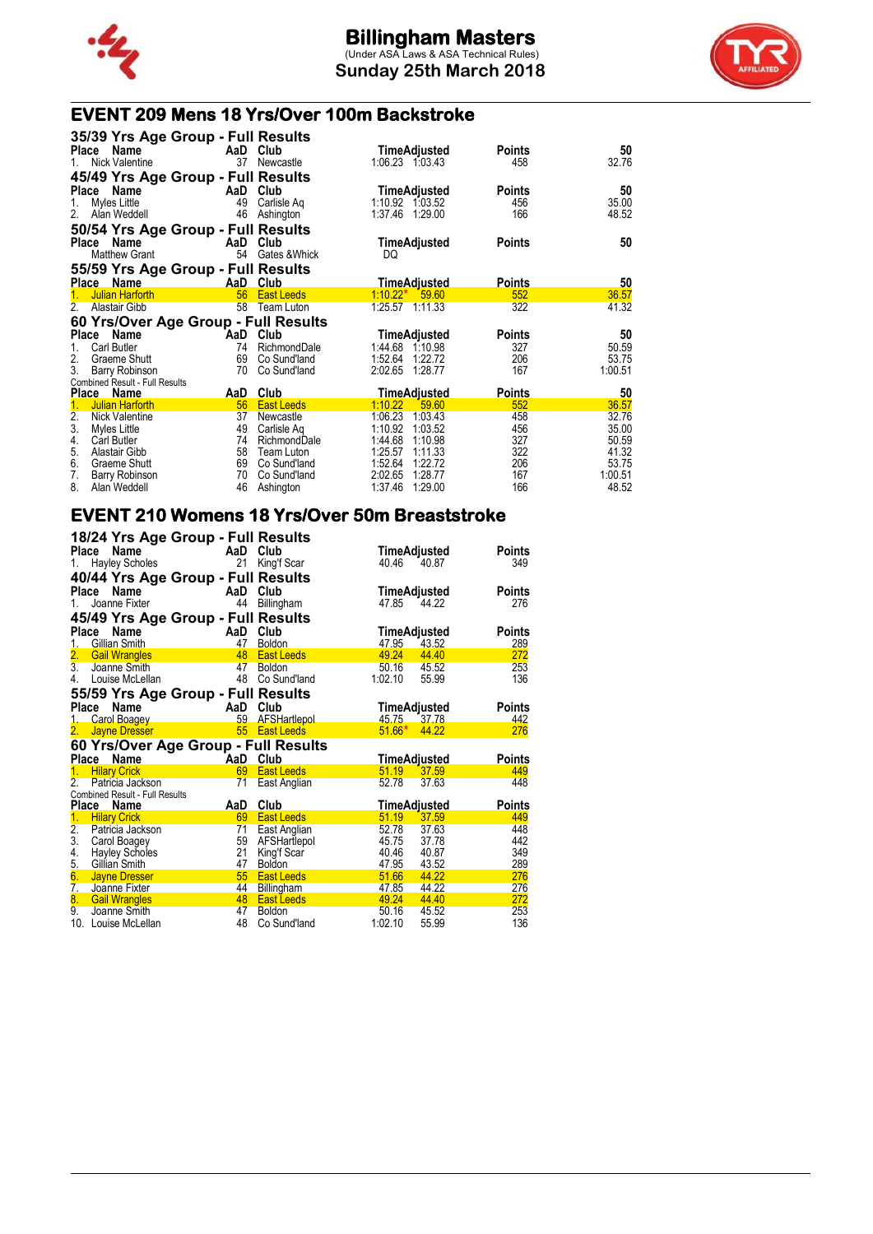

**Sunday 25th March 2018**



## **EVENT 209 Mens 18 Yrs/Over 100m Backstroke**

| 35/39 Yrs Age Group - Full Results           |            |                            |                                          |                      |                  |
|----------------------------------------------|------------|----------------------------|------------------------------------------|----------------------|------------------|
| Name<br><b>Place</b><br>Nick Valentine<br>1. | AaD<br>37  | Club<br>Newcastle          | TimeAdjusted<br>1:06.23 1:03.43          | <b>Points</b><br>458 | 50<br>32.76      |
| 45/49 Yrs Age Group - Full Results           |            |                            |                                          |                      |                  |
| Name<br>Place                                | AaD        | Club                       | TimeAdjusted                             | <b>Points</b>        | 50               |
| Myles Little<br>1.                           | 49         | Carlisle Ag                | 1:10.92 1:03.52                          | 456                  | 35.00            |
| 2.<br>Alan Weddell                           | 46         | Ashington                  | 1:37.46 1:29.00                          | 166                  | 48.52            |
| 50/54 Yrs Age Group - Full Results           |            |                            |                                          |                      |                  |
| Name<br><b>Place</b>                         | AaD        | Club                       | TimeAdjusted                             | <b>Points</b>        | 50               |
| <b>Matthew Grant</b>                         | 54         | Gates & Whick              | DQ                                       |                      |                  |
| 55/59 Yrs Age Group - Full Results           |            |                            |                                          |                      |                  |
| Place Name                                   |            | AaD Club                   | <b>TimeAdjusted</b>                      | <b>Points</b>        | 50               |
| <b>Julian Harforth</b><br>1.                 | 56         | <b>East Leeds</b>          | $1:10.22*$<br>59.60                      | 552                  | 36.57            |
| 2.<br>Alastair Gibb                          | 58         | Team Luton                 | 1:25.57 1:11.33                          | 322                  | 41.32            |
| 60 Yrs/Over Age Group - Full Results         |            |                            |                                          |                      |                  |
| <b>Place</b><br>Name                         | AaD        | Club                       | TimeAdjusted                             | <b>Points</b>        | 50               |
| <b>Carl Butler</b><br>1.                     | 74         | RichmondDale               | 1:44.68 1:10.98                          | 327                  | 50.59            |
| 2.<br>Graeme Shutt                           | 69         | Co Sund'land               | 1:52.64<br>1:22.72                       | 206                  | 53.75            |
| 3.<br>Barry Robinson                         | 70         | Co Sund'land               | 2:02.65<br>1:28.77                       | 167                  | 1:00.51          |
| Combined Result - Full Results               |            |                            |                                          |                      |                  |
|                                              |            |                            |                                          |                      |                  |
| <b>Place</b><br><b>Name</b>                  | <u>AaD</u> | Club                       | <u>TimeAdjusted</u>                      | <b>Points</b>        | 50               |
| 1.<br><b>Julian Harforth</b>                 | 56         | <b>East Leeds</b>          | 1:10.22<br>59.60                         | 552                  | 36.57            |
| 2.<br>Nick Valentine                         | 37         | Newcastle                  | 1:03.43<br>1:06.23                       | 458                  | 32.76            |
| 3.<br>Myles Little                           | 49         | Carlisle Ag                | 1:10.92<br>1:03.52                       | 456                  | 35.00            |
| 4.<br>Carl Butler<br>5.<br>Alastair Gibb     | 74<br>58   | RichmondDale<br>Team Luton | 1:44.68<br>1:10.98<br>1:25.57<br>1:11.33 | 327<br>322           | 50.59<br>41.32   |
| 6.<br>Graeme Shutt                           | 69         | Co Sund'land               | 1:52.64<br>1:22.72                       | 206                  | 53.75            |
| 7.<br>Barry Robinson<br>8.                   | 70<br>46   | Co Sund'land               | 2:02.65<br>1.28.77<br>1:37.46<br>1:29.00 | 167<br>166           | 1:00.51<br>48.52 |

### **EVENT 210 Womens 18 Yrs/Over 50m Breaststroke**

|                  | 18/24 Yrs Age Group - Full Results<br>Place<br>Name | AaD Club |                     | TimeAdjusted        |       | Points        |
|------------------|-----------------------------------------------------|----------|---------------------|---------------------|-------|---------------|
| 1.               | <b>Hayley Scholes</b>                               | 21       | King'f Scar         | 40.46               | 40.87 | 349           |
|                  | 40/44 Yrs Age Group - Full Results                  |          |                     |                     |       |               |
| Place            | Name                                                | AaD      | Club                | TimeAdjusted        |       | <b>Points</b> |
| 1.               | Joanne Fixter                                       | 44       | Billingham          | 47.85               | 44.22 | 276           |
|                  | 45/49 Yrs Age Group - Full Results                  |          |                     |                     |       |               |
|                  | Place<br>Name                                       | AaD      | Club                | TimeAdjusted        |       | <b>Points</b> |
| 1.               | Gillian Smith                                       | 47       | <b>Boldon</b>       | 47.95               | 43.52 | 289           |
|                  | 2. Gail Wrangles                                    | 48       | <b>East Leeds</b>   | 49.24               | 44.40 | 272           |
| $\overline{3}$ . | Joanne Smith                                        | 47       | <b>Boldon</b>       | 50.16 45.52         |       | 253           |
| 4.               | Louise McLellan                                     | 48       | Co Sund'land        | 1:02.10             | 55.99 | 136           |
|                  | 55/59 Yrs Age Group - Full Results                  |          |                     |                     |       |               |
|                  | Place<br>Name                                       |          | AaD Club            | TimeAdjusted        |       | <b>Points</b> |
|                  | Carol Boagey                                        |          | 59 AFSHartlepol     | 45.75 37.78         |       | 442           |
| 2.               | <b>Jayne Dresser</b>                                | 55       | <b>East Leeds</b>   | $51.66*$            | 44.22 | 276           |
|                  | 60 Yrs/Over Age Group - Full Results                |          |                     |                     |       |               |
|                  | Place Name                                          | AaD Club |                     | <u>TimeAdjusted</u> |       | <b>Points</b> |
| 1.               | <b>Hilary Crick</b>                                 | 69       | <b>East Leeds</b>   | 51.19               | 37.59 | 449           |
| 2.               | Patricia Jackson                                    | 71       | East Anglian        | 52.78               | 37.63 | 448           |
|                  | Combined Result - Full Results                      |          |                     |                     |       |               |
|                  | Place Name                                          | AaD      | Club                | <u>TimeAdjusted</u> |       | Points        |
| 1.               | <b>Hilary Crick</b>                                 | 69       | <b>East Leeds</b>   | 51.19               | 37.59 | 449           |
| 2.               | Patricia Jackson                                    | 71       | <b>East Anglian</b> | 52.78 37.63         |       | 448           |
|                  | 3. Carol Boagey                                     | 59       | AFSHartlepol        | 45.75               | 37.78 | 442           |
| 4.               | <b>Hayley Scholes</b>                               | 21       | King'f Scar         | 40.46               | 40.87 | 349           |
| 5.               | Gillian Smith                                       | 47       | <b>Boldon</b>       | 47.95               | 43.52 | 289           |
| 6.               | Jayne Dresser                                       | 55       | <b>East Leeds</b>   | 51.66               | 44.22 | 276           |
|                  | 7. Joanne Fixter                                    | 44       | <b>Billingham</b>   | 47.85               | 44.22 | 276           |
| 8.               | <b>Gail Wrangles</b>                                | 48       | <b>East Leeds</b>   | 49.24               | 44.40 | 272           |
| 9.               | Joanne Smith                                        | 47       | <b>Boldon</b>       | 50.16               | 45.52 | 253           |
|                  | 10. Louise McLellan                                 | 48       | Co Sund'land        | 1:02.10             | 55.99 | 136           |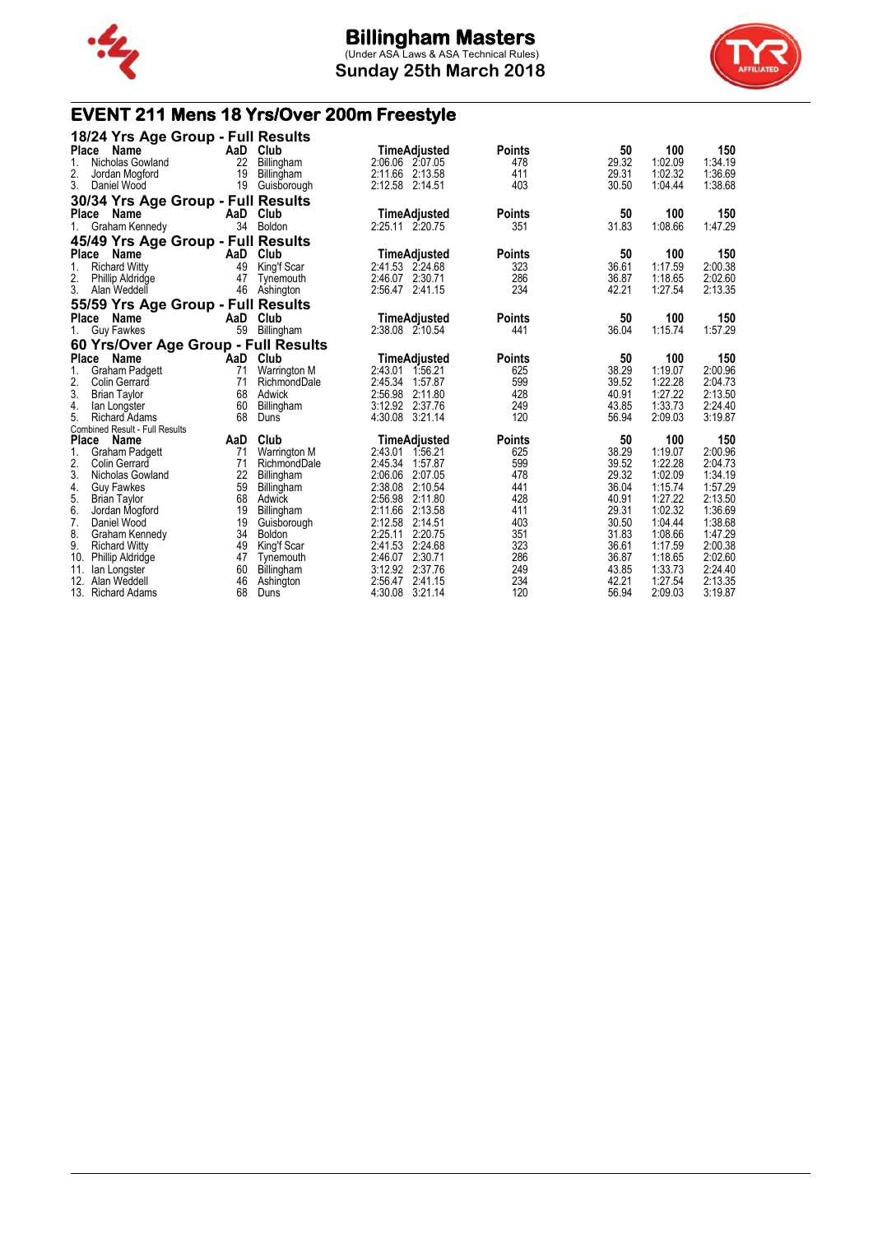

**Sunday 25th March 2018**



# **EVENT 211 Mens 18 Yrs/Over 200m Freestyle**

| 18/24 Yrs Age Group - Full Results                 |          |                          |                                          |               |                |                    |                    |
|----------------------------------------------------|----------|--------------------------|------------------------------------------|---------------|----------------|--------------------|--------------------|
| <b>Place</b><br>Name                               |          | AaD Club                 | TimeAdjusted                             | <b>Points</b> | 50             | 100                | 150                |
| 1.<br>Nicholas Gowland                             | 22       | Billingham               | 2:06.06 2:07.05                          | 478           | 29.32          | 1:02.09            | 1:34.19            |
| 2.<br>Jordan Mogford                               | 19       | Billingham               | 2:11.66 2:13.58                          | 411           | 29.31          | 1:02.32            | 1:36.69            |
| 3.<br>Daniel Wood                                  | 19       | Guisborough              | 2:12.58 2:14.51                          | 403           | 30.50          | 1:04.44            | 1:38.68            |
| 30/34 Yrs Age Group - Full Results                 |          |                          |                                          |               |                |                    |                    |
| Place<br>Name                                      | AaD      | Club                     | <b>TimeAdjusted</b>                      | <b>Points</b> | 50             | 100                | 150                |
| Graham Kennedy<br>$1_{-}$                          | 34       | Boldon                   | 2:25.11 2:20.75                          | 351           | 31.83          | 1:08.66            | 1:47.29            |
| 45/49 Yrs Age Group - Full Results                 |          |                          |                                          |               |                |                    |                    |
| Place<br>Name                                      |          | AaD Club                 | TimeAdjusted                             | <b>Points</b> | 50             | 100                | 150                |
| 1.<br><b>Richard Witty</b>                         | 49       | King'f Scar              | 2:41.53 2:24.68                          | 323           | 36.61          | 1:17.59            | 2:00.38            |
| 2.<br><b>Phillip Aldridge</b>                      | 47       | Tynemouth                | 2:46.07 2:30.71                          | 286           | 36.87          | 1:18.65            | 2:02.60            |
| 3.<br>Alan Weddell                                 | 46       | Ashington                | 2:56.47 2:41.15                          | 234           | 42.21          | 1:27.54            | 2:13.35            |
| 55/59 Yrs Age Group - Full Results                 |          |                          |                                          |               |                |                    |                    |
| <b>Place</b><br>Name                               | AaD      | Club                     | TimeAdjusted                             | <b>Points</b> | 50             | 100                | 150                |
| 1.<br>Guy Fawkes                                   | 59       | Billingham               | 2:38.08 2:10.54                          | 441           | 36.04          | 1:15.74            | 1:57.29            |
| 60 Yrs/Over Age Group - Full Results               |          |                          |                                          |               |                |                    |                    |
| <b>Place</b><br>Name                               | AaD      | Club                     | TimeAdjusted                             | <b>Points</b> | 50             | 100                | 150                |
| <b>Graham Padgett</b><br>1.                        | 71       | Warrington M             | 2:43.01<br>1:56.21                       | 625           | 38.29          | 1:19.07            | 2:00.96            |
| 2.<br><b>Colin Gerrard</b>                         | 71       | RichmondDale             | 2:45.34<br>1:57.87                       | 599           | 39.52          | 1:22.28            | 2:04.73            |
| 3.<br><b>Brian Taylor</b>                          | 68       | Adwick                   | 2:56.98<br>2:11.80                       | 428           | 40.91          | 1:27.22            | 2:13.50            |
| 4.<br>lan Longster                                 | 60       | Billingham               | 3:12.92 2:37.76                          | 249           | 43.85          | 1:33.73            | 2:24.40            |
| 5.<br><b>Richard Adams</b>                         | 68       | Duns                     | 4:30.08<br>3:21.14                       | 120           | 56.94          | 2:09.03            | 3:19.87            |
| <b>Combined Result - Full Results</b>              |          |                          |                                          |               |                |                    |                    |
| <b>Place</b><br>Name                               | AaD      | Club                     | <b>TimeAdjusted</b>                      | <b>Points</b> | 50             | 100                | 150                |
| 1.<br>Graham Padgett                               | 71       | <b>Warrington M</b>      | 2:43.01 1:56.21                          | 625           | 38.29          | 1:19.07            | 2:00.96            |
| 2.<br><b>Colin Gerrard</b>                         | 71       | RichmondDale             | 2:45.34 1:57.87                          | 599           | 39.52          | 1:22.28            | 2:04.73            |
| 3.<br>Nicholas Gowland                             | 22       | Billingham               | 2:06.06<br>2:07.05                       | 478           | 29.32          | 1:02.09            | 1:34.19            |
| 4.<br><b>Guy Fawkes</b>                            | 59       | Billingham               | 2:38.08<br>2:10.54                       | 441           | 36.04          | 1:15.74            | 1:57.29            |
| 5.<br><b>Brian Taylor</b>                          | 68       | Adwick                   | 2:56.98<br>2:11.80                       | 428           | 40.91          | 1:27.22            | 2:13.50            |
| 6.<br>Jordan Mogford                               | 19       | Billingham               | 2:11.66<br>2:13.58                       | 411           | 29.31          | 1:02.32            | 1:36.69            |
| 7.<br>Daniel Wood                                  | 19       | Guisborough              | 2:12.58<br>2:14.51                       | 403           | 30.50          | 1:04.44            | 1:38.68            |
| 8.<br>Graham Kennedy<br>9.<br><b>Richard Witty</b> | 34<br>49 | Boldon                   | 2:25.11<br>2:20.75<br>2:41.53<br>2:24.68 | 351<br>323    | 31.83<br>36.61 | 1:08.66<br>1:17.59 | 1:47.29<br>2:00.38 |
| 10.                                                | 47       | King'f Scar<br>Tynemouth | 2:46.07 2:30.71                          | 286           | 36.87          | 1:18.65            | 2:02.60            |
| <b>Phillip Aldridge</b><br>11.                     | 60       |                          | 3:12.92 2:37.76                          | 249           | 43.85          | 1:33.73            | 2:24.40            |
| lan Longster<br>12. Alan Weddell                   | 46       | Billingham<br>Ashington  | 2:56.47<br>2:41.15                       | 234           | 42.21          | 1:27.54            | 2:13.35            |
| 13. Richard Adams                                  | 68       | Duns                     | 4:30.08<br>3:21.14                       | 120           | 56.94          | 2:09.03            | 3:19.87            |
|                                                    |          |                          |                                          |               |                |                    |                    |